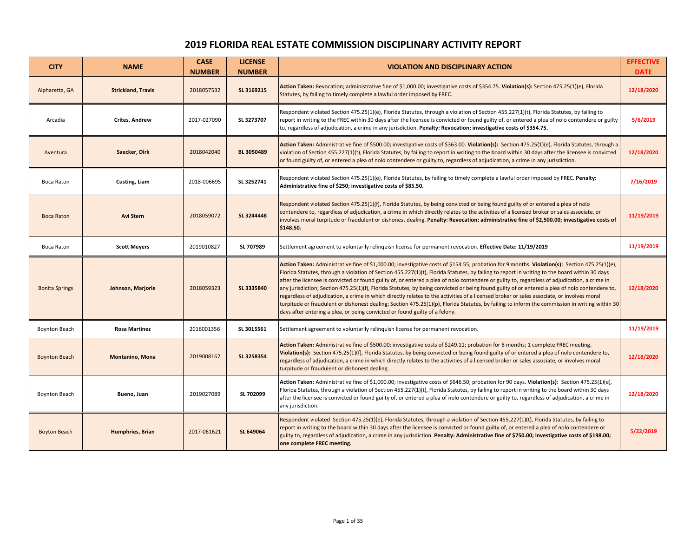## **2019 FLORIDA REAL ESTATE COMMISSION DISCIPLINARY ACTIVITY REPORT**

| <b>CITY</b>           | <b>NAME</b>               | <b>CASE</b><br><b>NUMBER</b> | <b>LICENSE</b><br><b>NUMBER</b> | <b>VIOLATION AND DISCIPLINARY ACTION</b>                                                                                                                                                                                                                                                                                                                                                                                                                                                                                                                                                                                                                                                                                                                                                                                                                                                                                                                                         | <b>EFFECTIVE</b><br><b>DATE</b> |
|-----------------------|---------------------------|------------------------------|---------------------------------|----------------------------------------------------------------------------------------------------------------------------------------------------------------------------------------------------------------------------------------------------------------------------------------------------------------------------------------------------------------------------------------------------------------------------------------------------------------------------------------------------------------------------------------------------------------------------------------------------------------------------------------------------------------------------------------------------------------------------------------------------------------------------------------------------------------------------------------------------------------------------------------------------------------------------------------------------------------------------------|---------------------------------|
| Alpharetta, GA        | <b>Strickland, Travis</b> | 2018057532                   | SL 3169215                      | Action Taken: Revocation; administrative fine of \$1,000.00; investigative costs of \$354.75. Violation(s): Section 475.25(1)(e), Florida<br>Statutes, by failing to timely complete a lawful order imposed by FREC.                                                                                                                                                                                                                                                                                                                                                                                                                                                                                                                                                                                                                                                                                                                                                             | 12/18/2020                      |
| Arcadia               | <b>Crites, Andrew</b>     | 2017-027090                  | SL 3273707                      | Respondent violated Section 475.25(1)(e), Florida Statutes, through a violation of Section 455.227(1)(t), Florida Statutes, by failing to<br>report in writing to the FREC within 30 days after the licensee is convicted or found guilty of, or entered a plea of nolo contendere or guilty<br>to, regardless of adjudication, a crime in any jurisdiction. Penalty: Revocation; investigative costs of \$354.75.                                                                                                                                                                                                                                                                                                                                                                                                                                                                                                                                                               | 5/6/2019                        |
| Aventura              | Saecker, Dirk             | 2018042040                   | <b>BL 3050489</b>               | Action Taken: Administrative fine of \$500.00; investigative costs of \$363.00. Violation(s): Section 475.25(1)(e), Florida Statutes, through a<br>violation of Section 455.227(1)(t), Florida Statutes, by failing to report in writing to the board within 30 days after the licensee is convicted<br>or found guilty of, or entered a plea of nolo contendere or guilty to, regardless of adjudication, a crime in any jurisdiction.                                                                                                                                                                                                                                                                                                                                                                                                                                                                                                                                          | 12/18/2020                      |
| Boca Raton            | Custing, Liam             | 2018-006695                  | SL 3252741                      | Respondent violated Section 475.25(1)(e), Florida Statutes, by failing to timely complete a lawful order imposed by FREC. Penalty:<br>Administrative fine of \$250; investigative costs of \$85.50.                                                                                                                                                                                                                                                                                                                                                                                                                                                                                                                                                                                                                                                                                                                                                                              | 7/16/2019                       |
| <b>Boca Raton</b>     | <b>Avi Stern</b>          | 2018059072                   | SL 3244448                      | Respondent violated Section 475.25(1)(f), Florida Statutes, by being convicted or being found guilty of or entered a plea of nolo<br>contendere to, regardless of adjudication, a crime in which directly relates to the activities of a licensed broker or sales associate, or<br>involves moral turpitude or fraudulent or dishonest dealing. Penalty: Revocation; administrative fine of \$2,500.00; investigative costs of<br>\$148.50.                                                                                                                                                                                                                                                                                                                                                                                                                                                                                                                                      | 11/19/2019                      |
| Boca Raton            | <b>Scott Meyers</b>       | 2019010827                   | SL 707989                       | Settlement agreement to voluntarily relinquish license for permanent revocation. Effective Date: 11/19/2019                                                                                                                                                                                                                                                                                                                                                                                                                                                                                                                                                                                                                                                                                                                                                                                                                                                                      | 11/19/2019                      |
| <b>Bonita Springs</b> | Johnson, Marjorie         | 2018059323                   | SL 3335840                      | Action Taken: Administrative fine of \$1,000.00; investigative costs of \$154.55; probation for 9 months. Violation(s): Section 475.25(1)(e),<br>Florida Statutes, through a violation of Section 455.227(1)(t), Florida Statutes, by failing to report in writing to the board within 30 days<br>after the licensee is convicted or found guilty of, or entered a plea of nolo contendere or guilty to, regardless of adjudication, a crime in<br>any jurisdiction; Section 475.25(1)(f), Florida Statutes, by being convicted or being found guilty of or entered a plea of nolo contendere to,<br>regardless of adjudication, a crime in which directly relates to the activities of a licensed broker or sales associate, or involves moral<br>turpitude or fraudulent or dishonest dealing; Section 475.25(1)(p), Florida Statutes, by failing to inform the commission in writing within 30<br>days after entering a plea, or being convicted or found guilty of a felony. | 12/18/2020                      |
| <b>Boynton Beach</b>  | <b>Rosa Martinez</b>      | 2016001356                   | SL 3015561                      | Settlement agreement to voluntarily relinquish license for permanent revocation.                                                                                                                                                                                                                                                                                                                                                                                                                                                                                                                                                                                                                                                                                                                                                                                                                                                                                                 | 11/19/2019                      |
| <b>Boynton Beach</b>  | <b>Montanino, Mona</b>    | 2019008167                   | SL 3258354                      | Action Taken: Administrative fine of \$500.00; investigative costs of \$249.11; probation for 6 months; 1 complete FREC meeting.<br>Violation(s): Section 475.25(1)(f), Florida Statutes, by being convicted or being found guilty of or entered a plea of nolo contendere to,<br>regardless of adjudication, a crime in which directly relates to the activities of a licensed broker or sales associate, or involves moral<br>turpitude or fraudulent or dishonest dealing.                                                                                                                                                                                                                                                                                                                                                                                                                                                                                                    | 12/18/2020                      |
| <b>Boynton Beach</b>  | Bueno, Juan               | 2019027089                   | SL 702099                       | Action Taken: Administrative fine of \$1,000.00; investigative costs of \$646.50; probation for 90 days. Violation(s): Section 475.25(1)(e),<br>Florida Statutes, through a violation of Section 455.227(1)(t), Florida Statutes, by failing to report in writing to the board within 30 days<br>after the licensee is convicted or found guilty of, or entered a plea of nolo contendere or guilty to, regardless of adjudication, a crime in<br>any jurisdiction.                                                                                                                                                                                                                                                                                                                                                                                                                                                                                                              | 12/18/2020                      |
| <b>Boyton Beach</b>   | <b>Humphries, Brian</b>   | 2017-061621                  | SL 649064                       | Respondent violated Section 475.25(1)(e), Florida Statutes, through a violation of Section 455.227(1)(t), Florida Statutes, by failing to<br>report in writing to the board within 30 days after the licensee is convicted or found guilty of, or entered a plea of nolo contendere or<br>guilty to, regardless of adjudication, a crime in any jurisdiction. Penalty: Administrative fine of \$750.00; investigative costs of \$198.00;<br>one complete FREC meeting.                                                                                                                                                                                                                                                                                                                                                                                                                                                                                                           | 5/22/2019                       |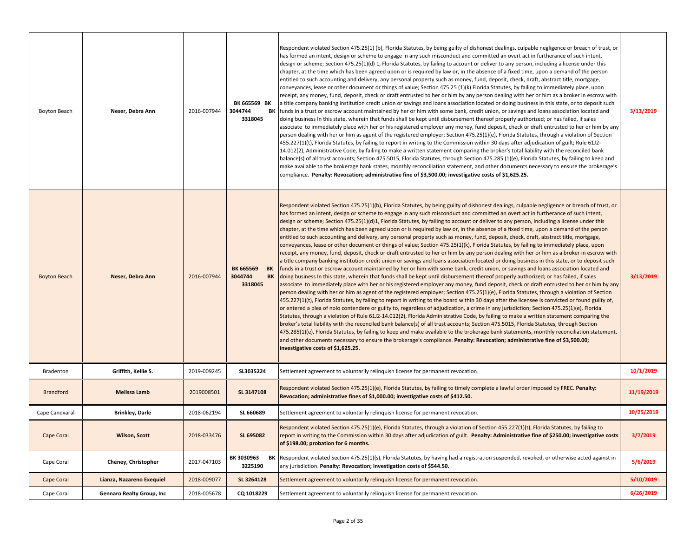| Boyton Beach        | Neser, Debra Ann          | 2016-007944 | BK 665569 BK<br>3044744<br>ΒK<br>3318045           | Respondent violated Section 475.25(1) (b), Florida Statutes, by being guilty of dishonest dealings, culpable negligence or breach of trust, or<br>has formed an intent, design or scheme to engage in any such misconduct and committed an overt act in furtherance of such intent,<br>design or scheme; Section 475.25(1)(d) 1, Florida Statutes, by failing to account or deliver to any person, including a license under this<br>chapter, at the time which has been agreed upon or is required by law or, in the absence of a fixed time, upon a demand of the person<br>entitled to such accounting and delivery, any personal property such as money, fund, deposit, check, draft, abstract title, mortgage,<br>conveyances, lease or other document or things of value; Section 475.25 (1)(k) Florida Statutes, by failing to immediately place, upon<br>receipt, any money, fund, deposit, check or draft entrusted to her or him by any person dealing with her or him as a broker in escrow with<br>a title company banking institution credit union or savings and loans association located or doing business in this state, or to deposit such<br>funds in a trust or escrow account maintained by her or him with some bank, credit union, or savings and loans association located and<br>doing business In this state, wherein that funds shall be kept until disbursement thereof properly authorized; or has failed, if sales<br>associate to immediately place with her or his registered employer any money, fund deposit, check or draft entrusted to her or him by any<br>person dealing with her or him as agent of the registered employer; Section 475.25(1)(e), Florida Statutes, through a violation of Section<br>455.227(1)(t), Florida Statutes, by failing to report in writing to the Commission within 30 days after adjudication of guilt; Rule 61J2-<br>14.012(2), Administrative Code, by failing to make a written statement comparing the broker's total liability with the reconciled bank<br>balance(s) of all trust accounts; Section 475.5015, Florida Statutes, through Section 475.285 (1)(e), Florida Statutes, by failing to keep and<br>make available to the brokerage bank states, monthly reconciliation statement, and other documents necessary to ensure the brokerage's<br>compliance. Penalty: Revocation; administrative fine of \$3,500.00; investigative costs of \$1,625.25.                                                                                                                                                                                                            | 3/13/2019  |
|---------------------|---------------------------|-------------|----------------------------------------------------|-----------------------------------------------------------------------------------------------------------------------------------------------------------------------------------------------------------------------------------------------------------------------------------------------------------------------------------------------------------------------------------------------------------------------------------------------------------------------------------------------------------------------------------------------------------------------------------------------------------------------------------------------------------------------------------------------------------------------------------------------------------------------------------------------------------------------------------------------------------------------------------------------------------------------------------------------------------------------------------------------------------------------------------------------------------------------------------------------------------------------------------------------------------------------------------------------------------------------------------------------------------------------------------------------------------------------------------------------------------------------------------------------------------------------------------------------------------------------------------------------------------------------------------------------------------------------------------------------------------------------------------------------------------------------------------------------------------------------------------------------------------------------------------------------------------------------------------------------------------------------------------------------------------------------------------------------------------------------------------------------------------------------------------------------------------------------------------------------------------------------------------------------------------------------------------------------------------------------------------------------------------------------------------------------------------------------------------------------------------------------------------------------------------------------------------------------------------------------------------------------------------------------------------------------------------------------------------------------------------------------------------------------------|------------|
| <b>Boyton Beach</b> | Neser, Debra Ann          | 2016-007944 | <b>BK 665569</b><br>BK<br>3044744<br>BK<br>3318045 | Respondent violated Section 475.25(1)(b), Florida Statutes, by being guilty of dishonest dealings, culpable negligence or breach of trust, or<br>has formed an intent, design or scheme to engage in any such misconduct and committed an overt act in furtherance of such intent,<br>design or scheme; Section 475.25(1)(d)1, Florida Statutes, by failing to account or deliver to any person, including a license under this<br>chapter, at the time which has been agreed upon or is required by law or, in the absence of a fixed time, upon a demand of the person<br>entitled to such accounting and delivery, any personal property such as money, fund, deposit, check, draft, abstract title, mortgage,<br>conveyances, lease or other document or things of value; Section 475.25(1)(k), Florida Statutes, by failing to immediately place, upon<br>receipt, any money, fund, deposit, check or draft entrusted to her or him by any person dealing with her or him as a broker in escrow with<br>a title company banking institution credit union or savings and loans association located or doing business in this state, or to deposit such<br>funds in a trust or escrow account maintained by her or him with some bank, credit union, or savings and loans association located and<br>doing business In this state, wherein that funds shall be kept until disbursement thereof properly authorized; or has failed, if sales<br>associate to immediately place with her or his registered employer any money, fund deposit, check or draft entrusted to her or him by any<br>person dealing with her or him as agent of the registered employer; Section 475.25(1)(e), Florida Statutes, through a violation of Section<br>455.227(1)(t), Florida Statutes, by failing to report in writing to the board within 30 days after the licensee is convicted or found guilty of,<br>or entered a plea of nolo contendere or guilty to, regardless of adjudication, a crime in any jurisdiction; Section 475.25(1)(e), Florida<br>Statutes, through a violation of Rule 61J2-14.012(2), Florida Administrative Code, by failing to make a written statement comparing the<br>broker's total liability with the reconciled bank balance(s) of all trust accounts; Section 475.5015, Florida Statutes, through Section<br>475.285(1)(e), Florida Statutes, by failing to keep and make available to the brokerage bank statements, monthly reconciliation statement,<br>and other documents necessary to ensure the brokerage's compliance. Penalty: Revocation; administrative fine of \$3,500.00;<br>investigative costs of \$1,625.25. | 3/13/2019  |
| Bradenton           | Griffith, Kellie S.       | 2019-009245 | SL3035224                                          | Settlement agreement to voluntarily relinquish license for permanent revocation.                                                                                                                                                                                                                                                                                                                                                                                                                                                                                                                                                                                                                                                                                                                                                                                                                                                                                                                                                                                                                                                                                                                                                                                                                                                                                                                                                                                                                                                                                                                                                                                                                                                                                                                                                                                                                                                                                                                                                                                                                                                                                                                                                                                                                                                                                                                                                                                                                                                                                                                                                                    | 10/1/2019  |
| <b>Brandford</b>    | <b>Melissa Lamb</b>       | 2019008501  | SL 3147108                                         | Respondent violated Section 475.25(1)(e), Florida Statutes, by failing to timely complete a lawful order imposed by FREC. Penalty:<br>Revocation; administrative fines of \$1,000.00; investigative costs of \$412.50.                                                                                                                                                                                                                                                                                                                                                                                                                                                                                                                                                                                                                                                                                                                                                                                                                                                                                                                                                                                                                                                                                                                                                                                                                                                                                                                                                                                                                                                                                                                                                                                                                                                                                                                                                                                                                                                                                                                                                                                                                                                                                                                                                                                                                                                                                                                                                                                                                              | 11/19/2019 |
| Cape Canevaral      | <b>Brinkley, Darle</b>    | 2018-062194 | SL 660689                                          | Settlement agreement to voluntarily relinquish license for permanent revocation.                                                                                                                                                                                                                                                                                                                                                                                                                                                                                                                                                                                                                                                                                                                                                                                                                                                                                                                                                                                                                                                                                                                                                                                                                                                                                                                                                                                                                                                                                                                                                                                                                                                                                                                                                                                                                                                                                                                                                                                                                                                                                                                                                                                                                                                                                                                                                                                                                                                                                                                                                                    | 10/25/2019 |
| <b>Cape Coral</b>   | Wilson, Scott             | 2018-033476 | SL 695082                                          | Respondent violated Section 475.25(1)(e), Florida Statutes, through a violation of Section 455.227(1)(t), Florida Statutes, by failing to<br>report in writing to the Commission within 30 days after adjudication of guilt. Penalty: Administrative fine of \$250.00; investigative costs<br>of \$198.00; probation for 6 months.                                                                                                                                                                                                                                                                                                                                                                                                                                                                                                                                                                                                                                                                                                                                                                                                                                                                                                                                                                                                                                                                                                                                                                                                                                                                                                                                                                                                                                                                                                                                                                                                                                                                                                                                                                                                                                                                                                                                                                                                                                                                                                                                                                                                                                                                                                                  | 3/7/2019   |
| Cape Coral          | Cheney, Christopher       | 2017-047103 | BK 3030963<br>BK<br>3225190                        | Respondent violated Section 475.25(1)(s), Florida Statutes, by having had a registration suspended, revoked, or otherwise acted against in<br>any jurisdiction. Penalty: Revocation; investigation costs of \$544.50.                                                                                                                                                                                                                                                                                                                                                                                                                                                                                                                                                                                                                                                                                                                                                                                                                                                                                                                                                                                                                                                                                                                                                                                                                                                                                                                                                                                                                                                                                                                                                                                                                                                                                                                                                                                                                                                                                                                                                                                                                                                                                                                                                                                                                                                                                                                                                                                                                               | 5/6/2019   |
| Cape Coral          | Lianza, Nazareno Exequiel | 2018-009077 | SL 3264128                                         | Settlement agreement to voluntarily relinguish license for permanent revocation.                                                                                                                                                                                                                                                                                                                                                                                                                                                                                                                                                                                                                                                                                                                                                                                                                                                                                                                                                                                                                                                                                                                                                                                                                                                                                                                                                                                                                                                                                                                                                                                                                                                                                                                                                                                                                                                                                                                                                                                                                                                                                                                                                                                                                                                                                                                                                                                                                                                                                                                                                                    | 5/10/2019  |
| Cape Coral          | Gennaro Realty Group, Inc | 2018-005678 | CQ 1018229                                         | Settlement agreement to voluntarily relinquish license for permanent revocation.                                                                                                                                                                                                                                                                                                                                                                                                                                                                                                                                                                                                                                                                                                                                                                                                                                                                                                                                                                                                                                                                                                                                                                                                                                                                                                                                                                                                                                                                                                                                                                                                                                                                                                                                                                                                                                                                                                                                                                                                                                                                                                                                                                                                                                                                                                                                                                                                                                                                                                                                                                    | 6/26/2019  |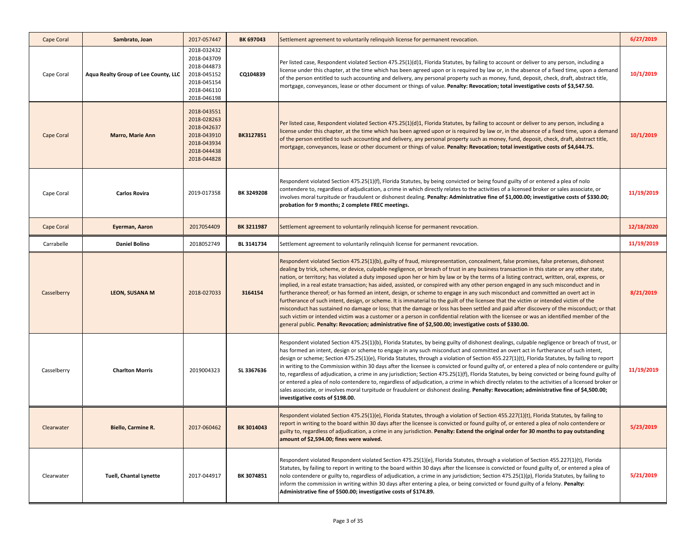| <b>Cape Coral</b> | Sambrato, Joan                       | 2017-057447                                                                                           | BK 697043  | Settlement agreement to voluntarily relinguish license for permanent revocation.                                                                                                                                                                                                                                                                                                                                                                                                                                                                                                                                                                                                                                                                                                                                                                                                                                                                                                                                                                                                                                                                                                                                                                         | 6/27/2019  |
|-------------------|--------------------------------------|-------------------------------------------------------------------------------------------------------|------------|----------------------------------------------------------------------------------------------------------------------------------------------------------------------------------------------------------------------------------------------------------------------------------------------------------------------------------------------------------------------------------------------------------------------------------------------------------------------------------------------------------------------------------------------------------------------------------------------------------------------------------------------------------------------------------------------------------------------------------------------------------------------------------------------------------------------------------------------------------------------------------------------------------------------------------------------------------------------------------------------------------------------------------------------------------------------------------------------------------------------------------------------------------------------------------------------------------------------------------------------------------|------------|
| Cape Coral        | Aqua Realty Group of Lee County, LLC | 2018-032432<br>2018-043709<br>2018-044873<br>2018-045152<br>2018-045154<br>2018-046110<br>2018-046198 | CQ104839   | Per listed case, Respondent violated Section 475.25(1)(d)1, Florida Statutes, by failing to account or deliver to any person, including a<br>license under this chapter, at the time which has been agreed upon or is required by law or, in the absence of a fixed time, upon a demand<br>of the person entitled to such accounting and delivery, any personal property such as money, fund, deposit, check, draft, abstract title,<br>mortgage, conveyances, lease or other document or things of value. Penalty: Revocation; total investigative costs of \$3,547.50.                                                                                                                                                                                                                                                                                                                                                                                                                                                                                                                                                                                                                                                                                 | 10/1/2019  |
| Cape Coral        | <b>Marro, Marie Ann</b>              | 2018-043551<br>2018-028263<br>2018-042637<br>2018-043910<br>2018-043934<br>2018-044438<br>2018-044828 | BK3127851  | Per listed case, Respondent violated Section 475.25(1)(d)1, Florida Statutes, by failing to account or deliver to any person, including a<br>license under this chapter, at the time which has been agreed upon or is required by law or, in the absence of a fixed time, upon a demand<br>of the person entitled to such accounting and delivery, any personal property such as money, fund, deposit, check, draft, abstract title,<br>mortgage, conveyances, lease or other document or things of value. Penalty: Revocation; total investigative costs of \$4,644.75.                                                                                                                                                                                                                                                                                                                                                                                                                                                                                                                                                                                                                                                                                 | 10/1/2019  |
| Cape Coral        | <b>Carlos Rovira</b>                 | 2019-017358                                                                                           | BK 3249208 | Respondent violated Section 475.25(1)(f), Florida Statutes, by being convicted or being found guilty of or entered a plea of nolo<br>contendere to, regardless of adjudication, a crime in which directly relates to the activities of a licensed broker or sales associate, or<br>involves moral turpitude or fraudulent or dishonest dealing. Penalty: Administrative fine of \$1,000.00; investigative costs of \$330.00;<br>probation for 9 months; 2 complete FREC meetings.                                                                                                                                                                                                                                                                                                                                                                                                                                                                                                                                                                                                                                                                                                                                                                        | 11/19/2019 |
| Cape Coral        | Eyerman, Aaron                       | 2017054409                                                                                            | BK 3211987 | Settlement agreement to voluntarily relinquish license for permanent revocation.                                                                                                                                                                                                                                                                                                                                                                                                                                                                                                                                                                                                                                                                                                                                                                                                                                                                                                                                                                                                                                                                                                                                                                         | 12/18/2020 |
| Carrabelle        | <b>Daniel Bolino</b>                 | 2018052749                                                                                            | BL 3141734 | Settlement agreement to voluntarily relinguish license for permanent revocation.                                                                                                                                                                                                                                                                                                                                                                                                                                                                                                                                                                                                                                                                                                                                                                                                                                                                                                                                                                                                                                                                                                                                                                         | 11/19/2019 |
| Casselberry       | <b>LEON, SUSANA M</b>                | 2018-027033                                                                                           | 3164154    | Respondent violated Section 475.25(1)(b), guilty of fraud, misrepresentation, concealment, false promises, false pretenses, dishonest<br>dealing by trick, scheme, or device, culpable negligence, or breach of trust in any business transaction in this state or any other state,<br>nation, or territory; has violated a duty imposed upon her or him by law or by the terms of a listing contract, written, oral, express, or<br>implied, in a real estate transaction; has aided, assisted, or conspired with any other person engaged in any such misconduct and in<br>furtherance thereof; or has formed an intent, design, or scheme to engage in any such misconduct and committed an overt act in<br>furtherance of such intent, design, or scheme. It is immaterial to the guilt of the licensee that the victim or intended victim of the<br>misconduct has sustained no damage or loss; that the damage or loss has been settled and paid after discovery of the misconduct; or that<br>such victim or intended victim was a customer or a person in confidential relation with the licensee or was an identified member of the<br>general public. Penalty: Revocation; administrative fine of \$2,500.00; investigative costs of \$330.00. | 8/21/2019  |
| Casselberry       | <b>Charlton Morris</b>               | 2019004323                                                                                            | SL 3367636 | Respondent violated Section 475.25(1)(b), Florida Statutes, by being guilty of dishonest dealings, culpable negligence or breach of trust, or<br>has formed an intent, design or scheme to engage in any such misconduct and committed an overt act in furtherance of such intent,<br>design or scheme; Section 475.25(1)(e), Florida Statutes, through a violation of Section 455.227(1)(t), Florida Statutes, by failing to report<br>in writing to the Commission within 30 days after the licensee is convicted or found guilty of, or entered a plea of nolo contendere or guilty<br>to, regardless of adjudication, a crime in any jurisdiction; Section 475.25(1)(f), Florida Statutes, by being convicted or being found guilty of<br>or entered a plea of nolo contendere to, regardless of adjudication, a crime in which directly relates to the activities of a licensed broker or<br>sales associate, or involves moral turpitude or fraudulent or dishonest dealing. Penalty: Revocation; administrative fine of \$4,500.00;<br>investigative costs of \$198.00.                                                                                                                                                                           | 11/19/2019 |
| Clearwater        | Biello, Carmine R.                   | 2017-060462                                                                                           | BK 3014043 | Respondent violated Section 475.25(1)(e), Florida Statutes, through a violation of Section 455.227(1)(t), Florida Statutes, by failing to<br>report in writing to the board within 30 days after the licensee is convicted or found guilty of, or entered a plea of nolo contendere or<br>guilty to, regardless of adjudication, a crime in any jurisdiction. Penalty: Extend the original order for 30 months to pay outstanding<br>amount of \$2,594.00; fines were waived.                                                                                                                                                                                                                                                                                                                                                                                                                                                                                                                                                                                                                                                                                                                                                                            | 5/23/2019  |
| Clearwater        | Tuell, Chantal Lynette               | 2017-044917                                                                                           | BK 3074851 | Respondent violated Respondent violated Section 475.25(1)(e), Florida Statutes, through a violation of Section 455.227(1)(t), Florida<br>Statutes, by failing to report in writing to the board within 30 days after the licensee is convicted or found guilty of, or entered a plea of<br>nolo contendere or guilty to, regardless of adjudication, a crime in any jurisdiction; Section 475.25(1)(p), Florida Statutes, by failing to<br>inform the commission in writing within 30 days after entering a plea, or being convicted or found guilty of a felony. Penalty:<br>Administrative fine of \$500.00; investigative costs of \$174.89.                                                                                                                                                                                                                                                                                                                                                                                                                                                                                                                                                                                                          | 5/21/2019  |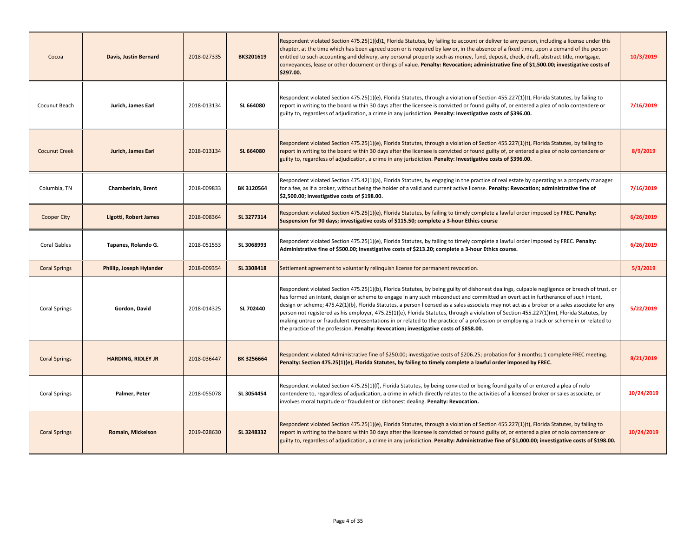| Cocoa                | <b>Davis, Justin Bernard</b> | 2018-027335 | BK3201619  | Respondent violated Section 475.25(1)(d)1, Florida Statutes, by failing to account or deliver to any person, including a license under this<br>chapter, at the time which has been agreed upon or is required by law or, in the absence of a fixed time, upon a demand of the person<br>entitled to such accounting and delivery, any personal property such as money, fund, deposit, check, draft, abstract title, mortgage,<br>conveyances, lease or other document or things of value. Penalty: Revocation; administrative fine of \$1,500.00; investigative costs of<br>\$297.00.                                                                                                                                                                                                                                  | 10/3/2019  |
|----------------------|------------------------------|-------------|------------|------------------------------------------------------------------------------------------------------------------------------------------------------------------------------------------------------------------------------------------------------------------------------------------------------------------------------------------------------------------------------------------------------------------------------------------------------------------------------------------------------------------------------------------------------------------------------------------------------------------------------------------------------------------------------------------------------------------------------------------------------------------------------------------------------------------------|------------|
| Cocunut Beach        | Jurich, James Earl           | 2018-013134 | SL 664080  | Respondent violated Section 475.25(1)(e), Florida Statutes, through a violation of Section 455.227(1)(t), Florida Statutes, by failing to<br>report in writing to the board within 30 days after the licensee is convicted or found guilty of, or entered a plea of nolo contendere or<br>guilty to, regardless of adjudication, a crime in any jurisdiction. Penalty: Investigative costs of \$396.00.                                                                                                                                                                                                                                                                                                                                                                                                                | 7/16/2019  |
| <b>Cocunut Creek</b> | Jurich, James Earl           | 2018-013134 | SL 664080  | Respondent violated Section 475.25(1)(e), Florida Statutes, through a violation of Section 455.227(1)(t), Florida Statutes, by failing to<br>report in writing to the board within 30 days after the licensee is convicted or found guilty of, or entered a plea of nolo contendere or<br>guilty to, regardless of adjudication, a crime in any jurisdiction. Penalty: Investigative costs of \$396.00.                                                                                                                                                                                                                                                                                                                                                                                                                | 8/9/2019   |
| Columbia, TN         | Chamberlain, Brent           | 2018-009833 | BK 3120564 | Respondent violated Section 475.42(1)(a), Florida Statutes, by engaging in the practice of real estate by operating as a property manager<br>for a fee, as if a broker, without being the holder of a valid and current active license. Penalty: Revocation; administrative fine of<br>\$2,500.00; investigative costs of \$198.00.                                                                                                                                                                                                                                                                                                                                                                                                                                                                                    | 7/16/2019  |
| <b>Cooper City</b>   | Ligotti, Robert James        | 2018-008364 | SL 3277314 | Respondent violated Section 475.25(1)(e), Florida Statutes, by failing to timely complete a lawful order imposed by FREC. Penalty:<br>Suspension for 90 days; investigative costs of \$115.50; complete a 3-hour Ethics course                                                                                                                                                                                                                                                                                                                                                                                                                                                                                                                                                                                         | 6/26/2019  |
| Coral Gables         | Tapanes, Rolando G.          | 2018-051553 | SL 3068993 | Respondent violated Section 475.25(1)(e), Florida Statutes, by failing to timely complete a lawful order imposed by FREC. Penalty:<br>Administrative fine of \$500.00; investigative costs of \$213.20; complete a 3-hour Ethics course.                                                                                                                                                                                                                                                                                                                                                                                                                                                                                                                                                                               | 6/26/2019  |
| <b>Coral Springs</b> | Phillip, Joseph Hylander     | 2018-009354 | SL 3308418 | Settlement agreement to voluntarily relinguish license for permanent revocation.                                                                                                                                                                                                                                                                                                                                                                                                                                                                                                                                                                                                                                                                                                                                       | 5/3/2019   |
| <b>Coral Springs</b> | Gordon, David                | 2018-014325 | SL 702440  | Respondent violated Section 475.25(1)(b), Florida Statutes, by being guilty of dishonest dealings, culpable negligence or breach of trust, or<br>has formed an intent, design or scheme to engage in any such misconduct and committed an overt act in furtherance of such intent,<br>design or scheme; 475.42(1)(b), Florida Statutes, a person licensed as a sales associate may not act as a broker or a sales associate for any<br>person not registered as his employer, 475.25(1)(e), Florida Statutes, through a violation of Section 455.227(1)(m), Florida Statutes, by<br>making untrue or fraudulent representations in or related to the practice of a profession or employing a track or scheme in or related to<br>the practice of the profession. Penalty: Revocation; investigative costs of \$858.00. | 5/22/2019  |
| <b>Coral Springs</b> | <b>HARDING, RIDLEY JR</b>    | 2018-036447 | BK 3256664 | Respondent violated Administrative fine of \$250.00; investigative costs of \$206.25; probation for 3 months; 1 complete FREC meeting.<br>Penalty: Section 475.25(1)(e), Florida Statutes, by failing to timely complete a lawful order imposed by FREC.                                                                                                                                                                                                                                                                                                                                                                                                                                                                                                                                                               | 8/21/2019  |
| <b>Coral Springs</b> | Palmer, Peter                | 2018-055078 | SL 3054454 | Respondent violated Section 475.25(1)(f), Florida Statutes, by being convicted or being found guilty of or entered a plea of nolo<br>contendere to, regardless of adjudication, a crime in which directly relates to the activities of a licensed broker or sales associate, or<br>involves moral turpitude or fraudulent or dishonest dealing. Penalty: Revocation.                                                                                                                                                                                                                                                                                                                                                                                                                                                   | 10/24/2019 |
| <b>Coral Springs</b> | Romain, Mickelson            | 2019-028630 | SL 3248332 | Respondent violated Section 475.25(1)(e), Florida Statutes, through a violation of Section 455.227(1)(t), Florida Statutes, by failing to<br>report in writing to the board within 30 days after the licensee is convicted or found guilty of, or entered a plea of nolo contendere or<br>guilty to, regardless of adjudication, a crime in any jurisdiction. Penalty: Administrative fine of \$1,000.00; investigative costs of \$198.00.                                                                                                                                                                                                                                                                                                                                                                             | 10/24/2019 |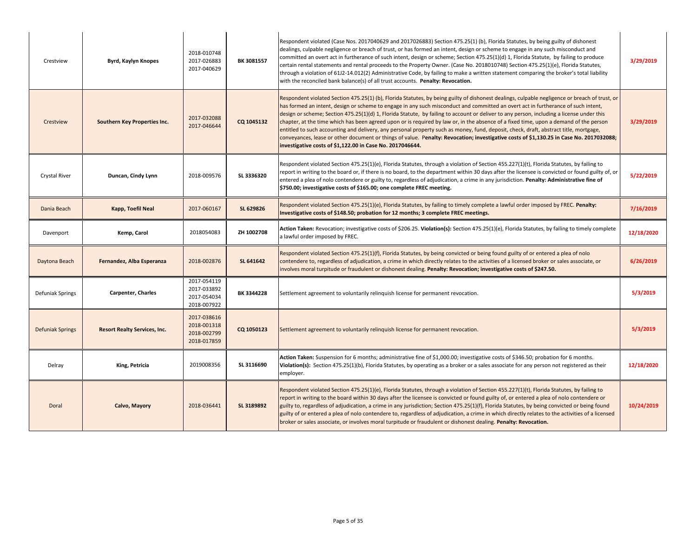| Crestview               | Byrd, Kaylyn Knopes                 | 2018-010748<br>2017-026883<br>2017-040629                | BK 3081557 | Respondent violated (Case Nos. 2017040629 and 2017026883) Section 475.25(1) (b), Florida Statutes, by being guilty of dishonest<br>dealings, culpable negligence or breach of trust, or has formed an intent, design or scheme to engage in any such misconduct and<br>committed an overt act in furtherance of such intent, design or scheme; Section 475.25(1)(d) 1, Florida Statute, by failing to produce<br>certain rental statements and rental proceeds to the Property Owner. (Case No. 2018010748) Section 475.25(1)(e), Florida Statutes,<br>through a violation of 61J2-14.012(2) Administrative Code, by failing to make a written statement comparing the broker's total liability<br>with the reconciled bank balance(s) of all trust accounts. Penalty: Revocation.                                                                                                                                         | 3/29/2019  |
|-------------------------|-------------------------------------|----------------------------------------------------------|------------|----------------------------------------------------------------------------------------------------------------------------------------------------------------------------------------------------------------------------------------------------------------------------------------------------------------------------------------------------------------------------------------------------------------------------------------------------------------------------------------------------------------------------------------------------------------------------------------------------------------------------------------------------------------------------------------------------------------------------------------------------------------------------------------------------------------------------------------------------------------------------------------------------------------------------|------------|
| Crestview               | <b>Southern Key Properties Inc.</b> | 2017-032088<br>2017-046644                               | CQ 1045132 | Respondent violated Section 475.25(1) (b), Florida Statutes, by being guilty of dishonest dealings, culpable negligence or breach of trust, or<br>has formed an intent, design or scheme to engage in any such misconduct and committed an overt act in furtherance of such intent,<br>design or scheme; Section 475.25(1)(d) 1, Florida Statute, by failing to account or deliver to any person, including a license under this<br>chapter, at the time which has been agreed upon or is required by law or, in the absence of a fixed time, upon a demand of the person<br>entitled to such accounting and delivery, any personal property such as money, fund, deposit, check, draft, abstract title, mortgage,<br>conveyances, lease or other document or things of value. Penalty: Revocation; investigative costs of \$1,130.25 in Case No. 2017032088;<br>investigative costs of \$1,122.00 in Case No. 2017046644. | 3/29/2019  |
| Crystal River           | Duncan, Cindy Lynn                  | 2018-009576                                              | SL 3336320 | Respondent violated Section 475.25(1)(e), Florida Statutes, through a violation of Section 455.227(1)(t), Florida Statutes, by failing to<br>report in writing to the board or, if there is no board, to the department within 30 days after the licensee is convicted or found guilty of, or<br>entered a plea of nolo contendere or guilty to, regardless of adjudication, a crime in any jurisdiction. Penalty: Administrative fine of<br>\$750.00; investigative costs of \$165.00; one complete FREC meeting.                                                                                                                                                                                                                                                                                                                                                                                                         | 5/22/2019  |
| Dania Beach             | Kapp, Toefil Neal                   | 2017-060167                                              | SL 629826  | Respondent violated Section 475.25(1)(e), Florida Statutes, by failing to timely complete a lawful order imposed by FREC. Penalty:<br>Investigative costs of \$148.50; probation for 12 months; 3 complete FREC meetings.                                                                                                                                                                                                                                                                                                                                                                                                                                                                                                                                                                                                                                                                                                  | 7/16/2019  |
| Davenport               | Kemp, Carol                         | 2018054083                                               | ZH 1002708 | Action Taken: Revocation; investigative costs of \$206.25. Violation(s): Section 475.25(1)(e), Florida Statutes, by failing to timely complete<br>a lawful order imposed by FREC.                                                                                                                                                                                                                                                                                                                                                                                                                                                                                                                                                                                                                                                                                                                                          | 12/18/2020 |
| Daytona Beach           | Fernandez, Alba Esperanza           | 2018-002876                                              | SL 641642  | Respondent violated Section 475.25(1)(f), Florida Statutes, by being convicted or being found guilty of or entered a plea of nolo<br>contendere to, regardless of adjudication, a crime in which directly relates to the activities of a licensed broker or sales associate, or<br>involves moral turpitude or fraudulent or dishonest dealing. Penalty: Revocation; investigative costs of \$247.50.                                                                                                                                                                                                                                                                                                                                                                                                                                                                                                                      | 6/26/2019  |
| Defuniak Springs        | <b>Carpenter, Charles</b>           | 2017-054119<br>2017-033892<br>2017-054034<br>2018-007922 | BK 3344228 | Settlement agreement to voluntarily relinquish license for permanent revocation.                                                                                                                                                                                                                                                                                                                                                                                                                                                                                                                                                                                                                                                                                                                                                                                                                                           | 5/3/2019   |
| <b>Defuniak Springs</b> | <b>Resort Realty Services, Inc.</b> | 2017-038616<br>2018-001318<br>2018-002799<br>2018-017859 | CQ 1050123 | Settlement agreement to voluntarily relinquish license for permanent revocation.                                                                                                                                                                                                                                                                                                                                                                                                                                                                                                                                                                                                                                                                                                                                                                                                                                           | 5/3/2019   |
| Delray                  | King, Petricia                      | 2019008356                                               | SL 3116690 | Action Taken: Suspension for 6 months; administrative fine of \$1,000.00; investigative costs of \$346.50; probation for 6 months.<br>Violation(s): Section 475.25(1)(b), Florida Statutes, by operating as a broker or a sales associate for any person not registered as their<br>employer.                                                                                                                                                                                                                                                                                                                                                                                                                                                                                                                                                                                                                              | 12/18/2020 |
| Doral                   | Calvo, Mayory                       | 2018-036441                                              | SL 3189892 | Respondent violated Section 475.25(1)(e), Florida Statutes, through a violation of Section 455.227(1)(t), Florida Statutes, by failing to<br>report in writing to the board within 30 days after the licensee is convicted or found guilty of, or entered a plea of nolo contendere or<br>guilty to, regardless of adjudication, a crime in any jurisdiction; Section 475.25(1)(f), Florida Statutes, by being convicted or being found<br>guilty of or entered a plea of nolo contendere to, regardless of adjudication, a crime in which directly relates to the activities of a licensed<br>broker or sales associate, or involves moral turpitude or fraudulent or dishonest dealing. Penalty: Revocation.                                                                                                                                                                                                             | 10/24/2019 |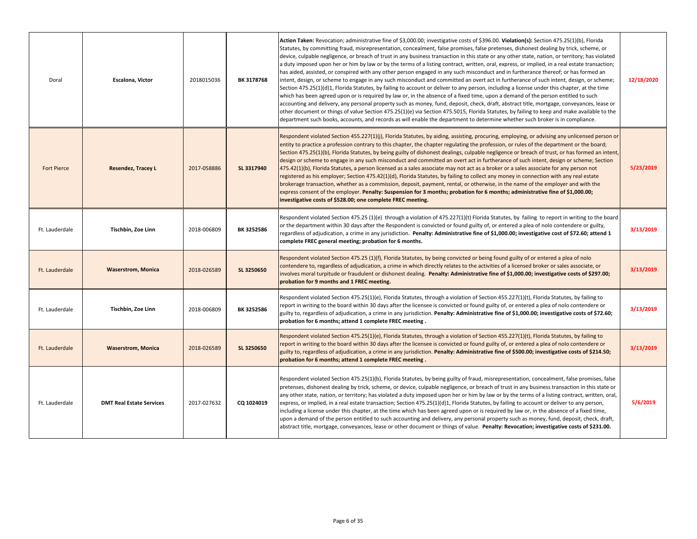| Doral              | Escalona, Victor                | 2018015036  | BK 3178768 | Action Taken: Revocation; administrative fine of \$3,000.00; investigative costs of \$396.00. Violation(s): Section 475.25(1)(b), Florida<br>Statutes, by committing fraud, misrepresentation, concealment, false promises, false pretenses, dishonest dealing by trick, scheme, or<br>device, culpable negligence, or breach of trust in any business transaction in this state or any other state, nation, or territory; has violated<br>a duty imposed upon her or him by law or by the terms of a listing contract, written, oral, express, or implied, in a real estate transaction;<br>has aided, assisted, or conspired with any other person engaged in any such misconduct and in furtherance thereof; or has formed an<br>intent, design, or scheme to engage in any such misconduct and committed an overt act in furtherance of such intent, design, or scheme;<br>Section 475.25(1)(d)1, Florida Statutes, by failing to account or deliver to any person, including a license under this chapter, at the time<br>which has been agreed upon or is required by law or, in the absence of a fixed time, upon a demand of the person entitled to such<br>accounting and delivery, any personal property such as money, fund, deposit, check, draft, abstract title, mortgage, conveyances, lease or<br>other document or things of value Section 475.25(1)(e) via Section 475.5015, Florida Statutes, by failing to keep and make available to the<br>department such books, accounts, and records as will enable the department to determine whether such broker is in compliance. | 12/18/2020 |
|--------------------|---------------------------------|-------------|------------|------------------------------------------------------------------------------------------------------------------------------------------------------------------------------------------------------------------------------------------------------------------------------------------------------------------------------------------------------------------------------------------------------------------------------------------------------------------------------------------------------------------------------------------------------------------------------------------------------------------------------------------------------------------------------------------------------------------------------------------------------------------------------------------------------------------------------------------------------------------------------------------------------------------------------------------------------------------------------------------------------------------------------------------------------------------------------------------------------------------------------------------------------------------------------------------------------------------------------------------------------------------------------------------------------------------------------------------------------------------------------------------------------------------------------------------------------------------------------------------------------------------------------------------------------------------------------------------------|------------|
| <b>Fort Pierce</b> | <b>Resendez, Tracey L</b>       | 2017-058886 | SL 3317940 | Respondent violated Section 455.227(1)(j), Florida Statutes, by aiding, assisting, procuring, employing, or advising any unlicensed person or<br>entity to practice a profession contrary to this chapter, the chapter regulating the profession, or rules of the department or the board;<br>Section 475.25(1)(b), Florida Statutes, by being guilty of dishonest dealings, culpable negligence or breach of trust, or has formed an intent,<br>design or scheme to engage in any such misconduct and committed an overt act in furtherance of such intent, design or scheme; Section<br>475.42(1)(b), Florida Statutes, a person licensed as a sales associate may not act as a broker or a sales associate for any person not<br>registered as his employer; Section 475.42(1)(d), Florida Statutes, by failing to collect any money in connection with any real estate<br>brokerage transaction, whether as a commission, deposit, payment, rental, or otherwise, in the name of the employer and with the<br>express consent of the employer. Penalty: Suspension for 3 months; probation for 6 months; administrative fine of \$1,000.00;<br>investigative costs of \$528.00; one complete FREC meeting.                                                                                                                                                                                                                                                                                                                                                                                 | 5/23/2019  |
| Ft. Lauderdale     | Tischbin, Zoe Linn              | 2018-006809 | BK 3252586 | Respondent violated Section 475.25 (1)(e) through a violation of 475.227(1)(t) Florida Statutes, by failing to report in writing to the board<br>or the department within 30 days after the Respondent is convicted or found guilty of, or entered a plea of nolo contendere or guilty,<br>regardless of adjudication, a crime in any jurisdiction. Penalty: Administrative fine of \$1,000.00; investigative cost of \$72.60; attend 1<br>complete FREC general meeting; probation for 6 months.                                                                                                                                                                                                                                                                                                                                                                                                                                                                                                                                                                                                                                                                                                                                                                                                                                                                                                                                                                                                                                                                                              | 3/13/2019  |
| Ft. Lauderdale     | <b>Waserstrom, Monica</b>       | 2018-026589 | SL 3250650 | Respondent violated Section 475.25 (1)(f), Florida Statutes, by being convicted or being found guilty of or entered a plea of nolo<br>contendere to, regardless of adjudication, a crime in which directly relates to the activities of a licensed broker or sales associate, or<br>involves moral turpitude or fraudulent or dishonest dealing. Penalty: Administrative fine of \$1,000.00; investigative costs of \$297.00;<br>probation for 9 months and 1 FREC meeting.                                                                                                                                                                                                                                                                                                                                                                                                                                                                                                                                                                                                                                                                                                                                                                                                                                                                                                                                                                                                                                                                                                                    | 3/13/2019  |
| Ft. Lauderdale     | Tischbin, Zoe Linn              | 2018-006809 | BK 3252586 | Respondent violated Section 475.25(1)(e), Florida Statutes, through a violation of Section 455.227(1)(t), Florida Statutes, by failing to<br>report in writing to the board within 30 days after the licensee is convicted or found guilty of, or entered a plea of nolo contendere or<br>guilty to, regardless of adjudication, a crime in any jurisdiction. Penalty: Administrative fine of \$1,000.00; investigative costs of \$72.60;<br>probation for 6 months; attend 1 complete FREC meeting.                                                                                                                                                                                                                                                                                                                                                                                                                                                                                                                                                                                                                                                                                                                                                                                                                                                                                                                                                                                                                                                                                           | 3/13/2019  |
| Ft. Lauderdale     | <b>Waserstrom, Monica</b>       | 2018-026589 | SL 3250650 | Respondent violated Section 475.25(1)(e), Florida Statutes, through a violation of Section 455.227(1)(t), Florida Statutes, by failing to<br>report in writing to the board within 30 days after the licensee is convicted or found guilty of, or entered a plea of nolo contendere or<br>guilty to, regardless of adjudication, a crime in any jurisdiction. Penalty: Administrative fine of \$500.00; investigative costs of \$214.50;<br>probation for 6 months; attend 1 complete FREC meeting.                                                                                                                                                                                                                                                                                                                                                                                                                                                                                                                                                                                                                                                                                                                                                                                                                                                                                                                                                                                                                                                                                            | 3/13/2019  |
| Ft. Lauderdale     | <b>DMT Real Estate Services</b> | 2017-027632 | CQ 1024019 | Respondent violated Section 475.25(1)(b), Florida Statutes, by being guilty of fraud, misrepresentation, concealment, false promises, false<br>pretenses, dishonest dealing by trick, scheme, or device, culpable negligence, or breach of trust in any business transaction in this state or<br>any other state, nation, or territory; has violated a duty imposed upon her or him by law or by the terms of a listing contract, written, oral,<br>express, or implied, in a real estate transaction; Section 475.25(1)(d)1, Florida Statutes, by failing to account or deliver to any person,<br>including a license under this chapter, at the time which has been agreed upon or is required by law or, in the absence of a fixed time,<br>upon a demand of the person entitled to such accounting and delivery, any personal property such as money, fund, deposit, check, draft,<br>abstract title, mortgage, conveyances, lease or other document or things of value. Penalty: Revocation; investigative costs of \$231.00.                                                                                                                                                                                                                                                                                                                                                                                                                                                                                                                                                             | 5/6/2019   |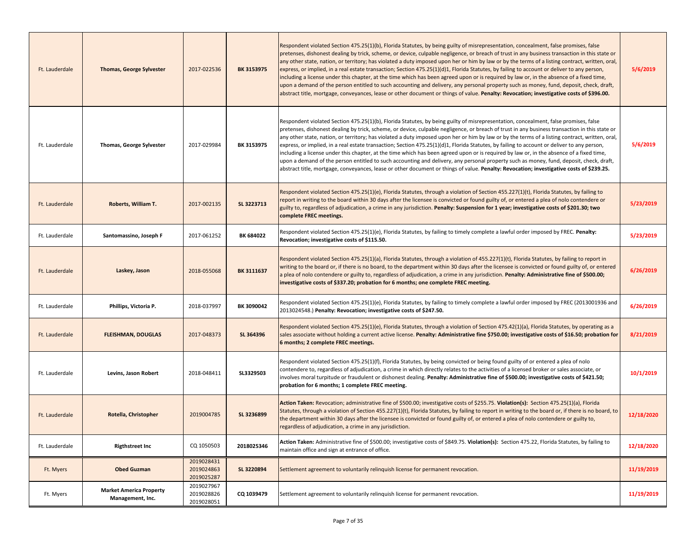| Ft. Lauderdale | <b>Thomas, George Sylvester</b>                    | 2017-022536                            | BK 3153975 | Respondent violated Section 475.25(1)(b), Florida Statutes, by being guilty of misrepresentation, concealment, false promises, false<br>pretenses, dishonest dealing by trick, scheme, or device, culpable negligence, or breach of trust in any business transaction in this state or<br>any other state, nation, or territory; has violated a duty imposed upon her or him by law or by the terms of a listing contract, written, oral,<br>express, or implied, in a real estate transaction; Section 475.25(1)(d)1, Florida Statutes, by failing to account or deliver to any person,<br>including a license under this chapter, at the time which has been agreed upon or is required by law or, in the absence of a fixed time,<br>upon a demand of the person entitled to such accounting and delivery, any personal property such as money, fund, deposit, check, draft,<br>abstract title, mortgage, conveyances, lease or other document or things of value. Penalty: Revocation; investigative costs of \$396.00. | 5/6/2019   |
|----------------|----------------------------------------------------|----------------------------------------|------------|-----------------------------------------------------------------------------------------------------------------------------------------------------------------------------------------------------------------------------------------------------------------------------------------------------------------------------------------------------------------------------------------------------------------------------------------------------------------------------------------------------------------------------------------------------------------------------------------------------------------------------------------------------------------------------------------------------------------------------------------------------------------------------------------------------------------------------------------------------------------------------------------------------------------------------------------------------------------------------------------------------------------------------|------------|
| Ft. Lauderdale | <b>Thomas, George Sylvester</b>                    | 2017-029984                            | BK 3153975 | Respondent violated Section 475.25(1)(b), Florida Statutes, by being guilty of misrepresentation, concealment, false promises, false<br>pretenses, dishonest dealing by trick, scheme, or device, culpable negligence, or breach of trust in any business transaction in this state or<br>any other state, nation, or territory; has violated a duty imposed upon her or him by law or by the terms of a listing contract, written, oral,<br>express, or implied, in a real estate transaction; Section 475.25(1)(d)1, Florida Statutes, by failing to account or deliver to any person,<br>including a license under this chapter, at the time which has been agreed upon or is required by law or, in the absence of a fixed time,<br>upon a demand of the person entitled to such accounting and delivery, any personal property such as money, fund, deposit, check, draft,<br>abstract title, mortgage, conveyances, lease or other document or things of value. Penalty: Revocation; investigative costs of \$239.25. | 5/6/2019   |
| Ft. Lauderdale | Roberts, William T.                                | 2017-002135                            | SL 3223713 | Respondent violated Section 475.25(1)(e), Florida Statutes, through a violation of Section 455.227(1)(t), Florida Statutes, by failing to<br>report in writing to the board within 30 days after the licensee is convicted or found guilty of, or entered a plea of nolo contendere or<br>guilty to, regardless of adjudication, a crime in any jurisdiction. Penalty: Suspension for 1 year; investigative costs of \$201.30; two<br>complete FREC meetings.                                                                                                                                                                                                                                                                                                                                                                                                                                                                                                                                                               | 5/23/2019  |
| Ft. Lauderdale | Santomassino, Joseph F                             | 2017-061252                            | BK 684022  | Respondent violated Section 475.25(1)(e), Florida Statutes, by failing to timely complete a lawful order imposed by FREC. Penalty:<br>Revocation; investigative costs of \$115.50.                                                                                                                                                                                                                                                                                                                                                                                                                                                                                                                                                                                                                                                                                                                                                                                                                                          | 5/23/2019  |
| Ft. Lauderdale | Laskey, Jason                                      | 2018-055068                            | BK 3111637 | Respondent violated Section 475.25(1)(a), Florida Statutes, through a violation of 455.227(1)(t), Florida Statutes, by failing to report in<br>writing to the board or, if there is no board, to the department within 30 days after the licensee is convicted or found guilty of, or entered<br>a plea of nolo contendere or guilty to, regardless of adjudication, a crime in any jurisdiction. Penalty: Administrative fine of \$500.00;<br>investigative costs of \$337.20; probation for 6 months; one complete FREC meeting.                                                                                                                                                                                                                                                                                                                                                                                                                                                                                          | 6/26/2019  |
| Ft. Lauderdale | Phillips, Victoria P.                              | 2018-037997                            | BK 3090042 | Respondent violated Section 475.25(1)(e), Florida Statutes, by failing to timely complete a lawful order imposed by FREC (2013001936 and<br>2013024548.) Penalty: Revocation; investigative costs of \$247.50.                                                                                                                                                                                                                                                                                                                                                                                                                                                                                                                                                                                                                                                                                                                                                                                                              | 6/26/2019  |
| Ft. Lauderdale | <b>FLEISHMAN, DOUGLAS</b>                          | 2017-048373                            | SL 364396  | Respondent violated Section 475.25(1)(e), Florida Statutes, through a violation of Section 475.42(1)(a), Florida Statutes, by operating as a<br>sales associate without holding a current active license. Penalty: Administrative fine \$750.00; investigative costs of \$16.50; probation for<br>6 months; 2 complete FREC meetings.                                                                                                                                                                                                                                                                                                                                                                                                                                                                                                                                                                                                                                                                                       | 8/21/2019  |
| Ft. Lauderdale | Levins, Jason Robert                               | 2018-048411                            | SL3329503  | Respondent violated Section 475.25(1)(f), Florida Statutes, by being convicted or being found guilty of or entered a plea of nolo<br>contendere to, regardless of adjudication, a crime in which directly relates to the activities of a licensed broker or sales associate, or<br>involves moral turpitude or fraudulent or dishonest dealing. Penalty: Administrative fine of \$500.00; investigative costs of \$421.50;<br>probation for 6 months; 1 complete FREC meeting.                                                                                                                                                                                                                                                                                                                                                                                                                                                                                                                                              | 10/1/2019  |
| Ft. Lauderdale | Rotella, Christopher                               | 2019004785                             | SL 3236899 | Action Taken: Revocation; administrative fine of \$500.00; investigative costs of \$255.75. Violation(s): Section 475.25(1)(a), Florida<br>Statutes, through a violation of Section 455.227(1)(t), Florida Statutes, by failing to report in writing to the board or, if there is no board, to<br>the department within 30 days after the licensee is convicted or found guilty of, or entered a plea of nolo contendere or guilty to,<br>regardless of adjudication, a crime in any jurisdiction.                                                                                                                                                                                                                                                                                                                                                                                                                                                                                                                          | 12/18/2020 |
| Ft. Lauderdale | <b>Rigthstreet Inc</b>                             | CQ 1050503                             | 2018025346 | Action Taken: Administrative fine of \$500.00; investigative costs of \$849.75. Violation(s): Section 475.22, Florida Statutes, by failing to<br>maintain office and sign at entrance of office.                                                                                                                                                                                                                                                                                                                                                                                                                                                                                                                                                                                                                                                                                                                                                                                                                            | 12/18/2020 |
| Ft. Myers      | <b>Obed Guzman</b>                                 | 2019028431<br>2019024863<br>2019025287 | SL 3220894 | Settlement agreement to voluntarily relinguish license for permanent revocation.                                                                                                                                                                                                                                                                                                                                                                                                                                                                                                                                                                                                                                                                                                                                                                                                                                                                                                                                            | 11/19/2019 |
| Ft. Myers      | <b>Market America Property</b><br>Management, Inc. | 2019027967<br>2019028826<br>2019028051 | CQ 1039479 | Settlement agreement to voluntarily relinguish license for permanent revocation.                                                                                                                                                                                                                                                                                                                                                                                                                                                                                                                                                                                                                                                                                                                                                                                                                                                                                                                                            | 11/19/2019 |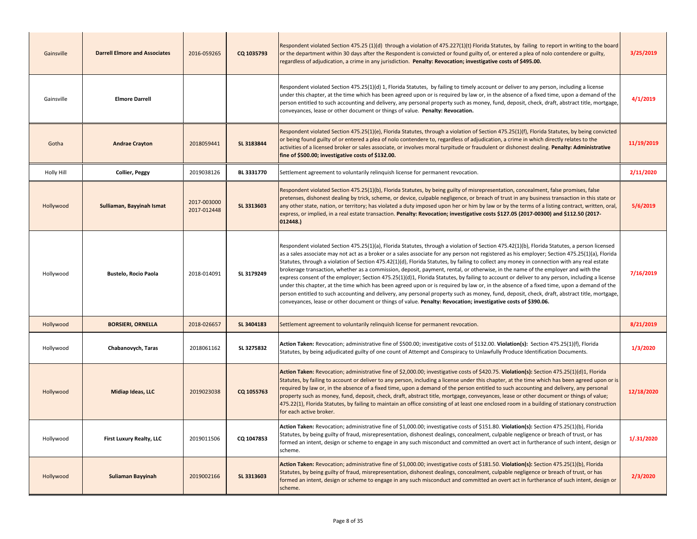| Gainsville | <b>Darrell Elmore and Associates</b> | 2016-059265                | CQ 1035793 | Respondent violated Section 475.25 (1)(d) through a violation of 475.227(1)(t) Florida Statutes, by failing to report in writing to the board<br>or the department within 30 days after the Respondent is convicted or found guilty of, or entered a plea of nolo contendere or guilty,<br>regardless of adjudication, a crime in any jurisdiction. Penalty: Revocation; investigative costs of \$495.00.                                                                                                                                                                                                                                                                                                                                                                                                                                                                                                                                                                                                                                                                                                                                         | 3/25/2019  |
|------------|--------------------------------------|----------------------------|------------|---------------------------------------------------------------------------------------------------------------------------------------------------------------------------------------------------------------------------------------------------------------------------------------------------------------------------------------------------------------------------------------------------------------------------------------------------------------------------------------------------------------------------------------------------------------------------------------------------------------------------------------------------------------------------------------------------------------------------------------------------------------------------------------------------------------------------------------------------------------------------------------------------------------------------------------------------------------------------------------------------------------------------------------------------------------------------------------------------------------------------------------------------|------------|
| Gainsville | <b>Elmore Darrell</b>                |                            |            | Respondent violated Section 475.25(1)(d) 1, Florida Statutes, by failing to timely account or deliver to any person, including a license<br>under this chapter, at the time which has been agreed upon or is required by law or, in the absence of a fixed time, upon a demand of the<br>person entitled to such accounting and delivery, any personal property such as money, fund, deposit, check, draft, abstract title, mortgage,<br>conveyances, lease or other document or things of value. Penalty: Revocation.                                                                                                                                                                                                                                                                                                                                                                                                                                                                                                                                                                                                                            | 4/1/2019   |
| Gotha      | <b>Andrae Crayton</b>                | 2018059441                 | SL 3183844 | Respondent violated Section 475.25(1)(e), Florida Statutes, through a violation of Section 475.25(1)(f), Florida Statutes, by being convicted<br>or being found guilty of or entered a plea of nolo contendere to, regardless of adjudication, a crime in which directly relates to the<br>activities of a licensed broker or sales associate, or involves moral turpitude or fraudulent or dishonest dealing. Penalty: Administrative<br>fine of \$500.00; investigative costs of \$132.00.                                                                                                                                                                                                                                                                                                                                                                                                                                                                                                                                                                                                                                                      | 11/19/2019 |
| Holly Hill | <b>Collier, Peggy</b>                | 2019038126                 | BL 3331770 | Settlement agreement to voluntarily relinguish license for permanent revocation.                                                                                                                                                                                                                                                                                                                                                                                                                                                                                                                                                                                                                                                                                                                                                                                                                                                                                                                                                                                                                                                                  | 2/11/2020  |
| Hollywood  | Sulliaman, Bayyinah Ismat            | 2017-003000<br>2017-012448 | SL 3313603 | Respondent violated Section 475.25(1)(b), Florida Statutes, by being guilty of misrepresentation, concealment, false promises, false<br>pretenses, dishonest dealing by trick, scheme, or device, culpable negligence, or breach of trust in any business transaction in this state or<br>any other state, nation, or territory; has violated a duty imposed upon her or him by law or by the terms of a listing contract, written, oral,<br>express, or implied, in a real estate transaction. Penalty: Revocation; investigative costs \$127.05 (2017-00300) and \$112.50 (2017-<br>012448.)                                                                                                                                                                                                                                                                                                                                                                                                                                                                                                                                                    | 5/6/2019   |
| Hollywood  | <b>Bustelo, Rocio Paola</b>          | 2018-014091                | SL 3179249 | Respondent violated Section 475.25(1)(a), Florida Statutes, through a violation of Section 475.42(1)(b), Florida Statutes, a person licensed<br>as a sales associate may not act as a broker or a sales associate for any person not registered as his employer; Section 475.25(1)(a), Florida<br>Statutes, through a violation of Section 475.42(1)(d), Florida Statutes, by failing to collect any money in connection with any real estate<br>brokerage transaction, whether as a commission, deposit, payment, rental, or otherwise, in the name of the employer and with the<br>express consent of the employer; Section 475.25(1)(d)1, Florida Statutes, by failing to account or deliver to any person, including a license<br>under this chapter, at the time which has been agreed upon or is required by law or, in the absence of a fixed time, upon a demand of the<br>person entitled to such accounting and delivery, any personal property such as money, fund, deposit, check, draft, abstract title, mortgage,<br>conveyances, lease or other document or things of value. Penalty: Revocation; investigative costs of \$390.06. | 7/16/2019  |
| Hollywood  | <b>BORSIERI, ORNELLA</b>             | 2018-026657                | SL 3404183 | Settlement agreement to voluntarily relinquish license for permanent revocation.                                                                                                                                                                                                                                                                                                                                                                                                                                                                                                                                                                                                                                                                                                                                                                                                                                                                                                                                                                                                                                                                  | 8/21/2019  |
| Hollywood  | Chabanovych, Taras                   | 2018061162                 | SL 3275832 | Action Taken: Revocation; administrative fine of \$500.00; investigative costs of \$132.00. Violation(s): Section 475.25(1)(f), Florida<br>Statutes, by being adjudicated guilty of one count of Attempt and Conspiracy to Unlawfully Produce Identification Documents.                                                                                                                                                                                                                                                                                                                                                                                                                                                                                                                                                                                                                                                                                                                                                                                                                                                                           | 1/3/2020   |
| Hollywood  | Midiap Ideas, LLC                    | 2019023038                 | CQ 1055763 | Action Taken: Revocation; administrative fine of \$2,000.00; investigative costs of \$420.75. Violation(s): Section 475.25(1)(d)1, Florida<br>Statutes, by failing to account or deliver to any person, including a license under this chapter, at the time which has been agreed upon or is<br>required by law or, in the absence of a fixed time, upon a demand of the person entitled to such accounting and delivery, any personal<br>property such as money, fund, deposit, check, draft, abstract title, mortgage, conveyances, lease or other document or things of value;<br>475.22(1), Florida Statutes, by failing to maintain an office consisting of at least one enclosed room in a building of stationary construction<br>for each active broker.                                                                                                                                                                                                                                                                                                                                                                                   | 12/18/2020 |
| Hollywood  | First Luxury Realty, LLC             | 2019011506                 | CQ 1047853 | Action Taken: Revocation; administrative fine of \$1,000.00; investigative costs of \$151.80. Violation(s): Section 475.25(1)(b), Florida<br>Statutes, by being guilty of fraud, misrepresentation, dishonest dealings, concealment, culpable negligence or breach of trust, or has<br>formed an intent, design or scheme to engage in any such misconduct and committed an overt act in furtherance of such intent, design or<br>scheme.                                                                                                                                                                                                                                                                                                                                                                                                                                                                                                                                                                                                                                                                                                         | 1/.31/2020 |
| Hollywood  | Suliaman Bayyinah                    | 2019002166                 | SL 3313603 | Action Taken: Revocation; administrative fine of \$1,000.00; investigative costs of \$181.50. Violation(s): Section 475.25(1)(b), Florida<br>Statutes, by being guilty of fraud, misrepresentation, dishonest dealings, concealment, culpable negligence or breach of trust, or has<br>formed an intent, design or scheme to engage in any such misconduct and committed an overt act in furtherance of such intent, design or<br>scheme.                                                                                                                                                                                                                                                                                                                                                                                                                                                                                                                                                                                                                                                                                                         | 2/3/2020   |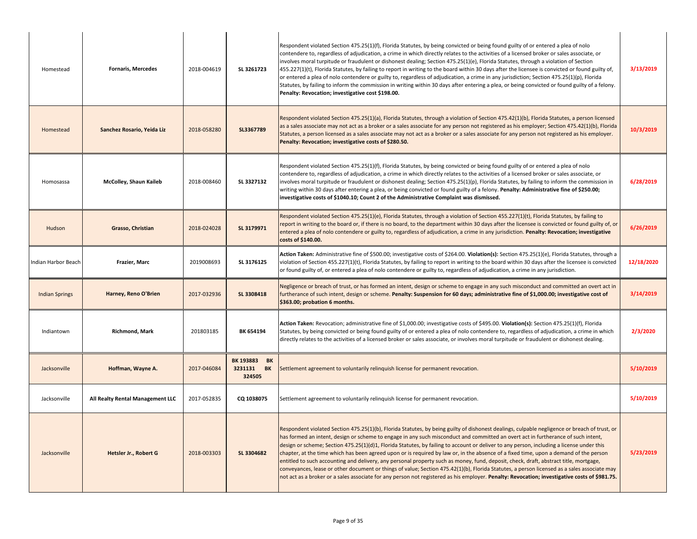| Homestead             | <b>Fornaris, Mercedes</b>        | 2018-004619 | SL 3261723                                               | Respondent violated Section 475.25(1)(f), Florida Statutes, by being convicted or being found guilty of or entered a plea of nolo<br>contendere to, regardless of adjudication, a crime in which directly relates to the activities of a licensed broker or sales associate, or<br>involves moral turpitude or fraudulent or dishonest dealing; Section 475.25(1)(e), Florida Statutes, through a violation of Section<br>$455.227(1)(t)$ , Florida Statutes, by failing to report in writing to the board within 30 days after the licensee is convicted or found guilty of,<br>or entered a plea of nolo contendere or guilty to, regardless of adjudication, a crime in any jurisdiction; Section 475.25(1)(p), Florida<br>Statutes, by failing to inform the commission in writing within 30 days after entering a plea, or being convicted or found guilty of a felony.<br>Penalty: Revocation; investigative cost \$198.00.                                                                                 | 3/13/2019  |
|-----------------------|----------------------------------|-------------|----------------------------------------------------------|-------------------------------------------------------------------------------------------------------------------------------------------------------------------------------------------------------------------------------------------------------------------------------------------------------------------------------------------------------------------------------------------------------------------------------------------------------------------------------------------------------------------------------------------------------------------------------------------------------------------------------------------------------------------------------------------------------------------------------------------------------------------------------------------------------------------------------------------------------------------------------------------------------------------------------------------------------------------------------------------------------------------|------------|
| Homestead             | Sanchez Rosario, Yeida Liz       | 2018-058280 | SL3367789                                                | Respondent violated Section 475.25(1)(a), Florida Statutes, through a violation of Section 475.42(1)(b), Florida Statutes, a person licensed<br>as a sales associate may not act as a broker or a sales associate for any person not registered as his employer; Section 475.42(1)(b), Florida<br>Statutes, a person licensed as a sales associate may not act as a broker or a sales associate for any person not registered as his employer.<br>Penalty: Revocation; investigative costs of \$280.50.                                                                                                                                                                                                                                                                                                                                                                                                                                                                                                           | 10/3/2019  |
| Homosassa             | McColley, Shaun Kaileb           | 2018-008460 | SL 3327132                                               | Respondent violated Section 475.25(1)(f), Florida Statutes, by being convicted or being found guilty of or entered a plea of nolo<br>contendere to, regardless of adjudication, a crime in which directly relates to the activities of a licensed broker or sales associate, or<br>involves moral turpitude or fraudulent or dishonest dealing; Section 475.25(1)(p), Florida Statutes, by failing to inform the commission in<br>writing within 30 days after entering a plea, or being convicted or found guilty of a felony. Penalty: Administrative fine of \$250.00;<br>investigative costs of \$1040.10; Count 2 of the Administrative Complaint was dismissed.                                                                                                                                                                                                                                                                                                                                             | 6/28/2019  |
| Hudson                | Grasso, Christian                | 2018-024028 | SL 3179971                                               | Respondent violated Section 475.25(1)(e), Florida Statutes, through a violation of Section 455.227(1)(t), Florida Statutes, by failing to<br>report in writing to the board or, if there is no board, to the department within 30 days after the licensee is convicted or found guilty of, or<br>entered a plea of nolo contendere or guilty to, regardless of adjudication, a crime in any jurisdiction. Penalty: Revocation; investigative<br>costs of \$140.00.                                                                                                                                                                                                                                                                                                                                                                                                                                                                                                                                                | 6/26/2019  |
| Indian Harbor Beach   | Frazier, Marc                    | 2019008693  | SL 3176125                                               | Action Taken: Administrative fine of \$500.00; investigative costs of \$264.00. Violation(s): Section 475.25(1)(e), Florida Statutes, through a<br>violation of Section 455.227(1)(t), Florida Statutes, by failing to report in writing to the board within 30 days after the licensee is convicted<br>or found guilty of, or entered a plea of nolo contendere or guilty to, regardless of adjudication, a crime in any jurisdiction.                                                                                                                                                                                                                                                                                                                                                                                                                                                                                                                                                                           | 12/18/2020 |
| <b>Indian Springs</b> | Harney, Reno O'Brien             | 2017-032936 | SL 3308418                                               | Negligence or breach of trust, or has formed an intent, design or scheme to engage in any such misconduct and committed an overt act in<br>furtherance of such intent, design or scheme. Penalty: Suspension for 60 days; administrative fine of \$1,000.00; investigative cost of<br>\$363.00; probation 6 months.                                                                                                                                                                                                                                                                                                                                                                                                                                                                                                                                                                                                                                                                                               | 3/14/2019  |
| Indiantown            | <b>Richmond, Mark</b>            | 201803185   | BK 654194                                                | Action Taken: Revocation; administrative fine of \$1,000.00; investigative costs of \$495.00. Violation(s): Section 475.25(1)(f), Florida<br>Statutes, by being convicted or being found guilty of or entered a plea of nolo contendere to, regardless of adjudication, a crime in which<br>directly relates to the activities of a licensed broker or sales associate, or involves moral turpitude or fraudulent or dishonest dealing.                                                                                                                                                                                                                                                                                                                                                                                                                                                                                                                                                                           | 2/3/2020   |
| Jacksonville          | Hoffman, Wayne A.                | 2017-046084 | <b>BK 193883</b><br>BK<br>3231131<br><b>BK</b><br>324505 | Settlement agreement to voluntarily relinquish license for permanent revocation.                                                                                                                                                                                                                                                                                                                                                                                                                                                                                                                                                                                                                                                                                                                                                                                                                                                                                                                                  | 5/10/2019  |
| Jacksonville          | All Realty Rental Management LLC | 2017-052835 | CQ 1038075                                               | Settlement agreement to voluntarily relinquish license for permanent revocation.                                                                                                                                                                                                                                                                                                                                                                                                                                                                                                                                                                                                                                                                                                                                                                                                                                                                                                                                  | 5/10/2019  |
| Jacksonville          | Hetsler Jr., Robert G            | 2018-003303 | SL 3304682                                               | Respondent violated Section 475.25(1)(b), Florida Statutes, by being guilty of dishonest dealings, culpable negligence or breach of trust, or<br>has formed an intent, design or scheme to engage in any such misconduct and committed an overt act in furtherance of such intent,<br>design or scheme; Section 475.25(1)(d)1, Florida Statutes, by failing to account or deliver to any person, including a license under this<br>chapter, at the time which has been agreed upon or is required by law or, in the absence of a fixed time, upon a demand of the person<br>entitled to such accounting and delivery, any personal property such as money, fund, deposit, check, draft, abstract title, mortgage,<br>conveyances, lease or other document or things of value; Section 475.42(1)(b), Florida Statutes, a person licensed as a sales associate may<br>not act as a broker or a sales associate for any person not registered as his employer. Penalty: Revocation; investigative costs of \$981.75. | 5/23/2019  |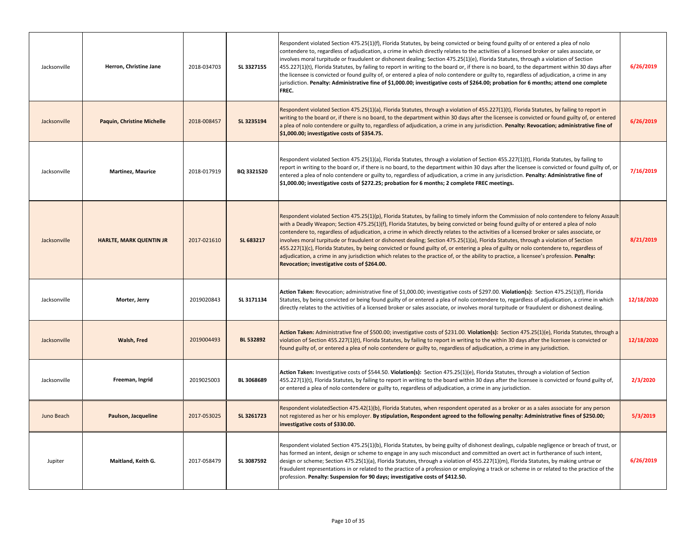| Jacksonville | Herron, Christine Jane            | 2018-034703 | SL 3327155 | Respondent violated Section 475.25(1)(f), Florida Statutes, by being convicted or being found guilty of or entered a plea of nolo<br>contendere to, regardless of adjudication, a crime in which directly relates to the activities of a licensed broker or sales associate, or<br>involves moral turpitude or fraudulent or dishonest dealing; Section 475.25(1)(e), Florida Statutes, through a violation of Section<br>455.227(1)(t), Florida Statutes, by failing to report in writing to the board or, if there is no board, to the department within 30 days after<br>the licensee is convicted or found guilty of, or entered a plea of nolo contendere or guilty to, regardless of adjudication, a crime in any<br>jurisdiction. Penalty: Administrative fine of \$1,000.00; investigative costs of \$264.00; probation for 6 months; attend one complete<br>FREC.                                        | 6/26/2019  |
|--------------|-----------------------------------|-------------|------------|-------------------------------------------------------------------------------------------------------------------------------------------------------------------------------------------------------------------------------------------------------------------------------------------------------------------------------------------------------------------------------------------------------------------------------------------------------------------------------------------------------------------------------------------------------------------------------------------------------------------------------------------------------------------------------------------------------------------------------------------------------------------------------------------------------------------------------------------------------------------------------------------------------------------|------------|
| Jacksonville | <b>Paquin, Christine Michelle</b> | 2018-008457 | SL 3235194 | Respondent violated Section 475.25(1)(a), Florida Statutes, through a violation of 455.227(1)(t), Florida Statutes, by failing to report in<br>writing to the board or, if there is no board, to the department within 30 days after the licensee is convicted or found guilty of, or entered<br>a plea of nolo contendere or guilty to, regardless of adjudication, a crime in any jurisdiction. Penalty: Revocation; administrative fine of<br>\$1,000.00; investigative costs of \$354.75.                                                                                                                                                                                                                                                                                                                                                                                                                     | 6/26/2019  |
| Jacksonville | Martinez, Maurice                 | 2018-017919 | BQ 3321520 | Respondent violated Section 475.25(1)(a), Florida Statutes, through a violation of Section 455.227(1)(t), Florida Statutes, by failing to<br>report in writing to the board or, if there is no board, to the department within 30 days after the licensee is convicted or found guilty of, or<br>entered a plea of nolo contendere or guilty to, regardless of adjudication, a crime in any jurisdiction. Penalty: Administrative fine of<br>\$1,000.00; investigative costs of \$272.25; probation for 6 months; 2 complete FREC meetings.                                                                                                                                                                                                                                                                                                                                                                       | 7/16/2019  |
| Jacksonville | <b>HARLTE, MARK QUENTIN JR</b>    | 2017-021610 | SL 683217  | Respondent violated Section 475.25(1)(p), Florida Statutes, by failing to timely inform the Commission of nolo contendere to felony Assault<br>with a Deadly Weapon; Section 475.25(1)(f), Florida Statutes, by being convicted or being found guilty of or entered a plea of nolo<br>contendere to, regardless of adjudication, a crime in which directly relates to the activities of a licensed broker or sales associate, or<br>involves moral turpitude or fraudulent or dishonest dealing; Section 475.25(1)(a), Florida Statutes, through a violation of Section<br>455.227(1)(c), Florida Statutes, by being convicted or found guilty of, or entering a plea of guilty or nolo contendere to, regardless of<br>adjudication, a crime in any jurisdiction which relates to the practice of, or the ability to practice, a licensee's profession. Penalty:<br>Revocation; investigative costs of \$264.00. | 8/21/2019  |
| Jacksonville | Morter, Jerry                     | 2019020843  | SL 3171134 | Action Taken: Revocation; administrative fine of \$1,000.00; investigative costs of \$297.00. Violation(s): Section 475.25(1)(f), Florida<br>Statutes, by being convicted or being found guilty of or entered a plea of nolo contendere to, regardless of adjudication, a crime in which<br>directly relates to the activities of a licensed broker or sales associate, or involves moral turpitude or fraudulent or dishonest dealing.                                                                                                                                                                                                                                                                                                                                                                                                                                                                           | 12/18/2020 |
| Jacksonville | Walsh, Fred                       | 2019004493  | BL 532892  | Action Taken: Administrative fine of \$500.00; investigative costs of \$231.00. Violation(s): Section 475.25(1)(e), Florida Statutes, through a<br>violation of Section 455.227(1)(t), Florida Statutes, by failing to report in writing to the within 30 days after the licensee is convicted or<br>found guilty of, or entered a plea of nolo contendere or guilty to, regardless of adjudication, a crime in any jurisdiction.                                                                                                                                                                                                                                                                                                                                                                                                                                                                                 | 12/18/2020 |
| Jacksonville | Freeman, Ingrid                   | 2019025003  | BL 3068689 | Action Taken: Investigative costs of \$544.50. Violation(s): Section 475.25(1)(e), Florida Statutes, through a violation of Section<br>455.227(1)(t), Florida Statutes, by failing to report in writing to the board within 30 days after the licensee is convicted or found guilty of,<br>or entered a plea of nolo contendere or guilty to, regardless of adjudication, a crime in any jurisdiction.                                                                                                                                                                                                                                                                                                                                                                                                                                                                                                            | 2/3/2020   |
| Juno Beach   | Paulson, Jacqueline               | 2017-053025 | SL 3261723 | Respondent violatedSection 475.42(1)(b), Florida Statutes, when respondent operated as a broker or as a sales associate for any person<br>not registered as her or his employer. By stipulation, Respondent agreed to the following penalty: Administrative fines of \$250.00;<br>investigative costs of \$330.00.                                                                                                                                                                                                                                                                                                                                                                                                                                                                                                                                                                                                | 5/3/2019   |
| Jupiter      | Maitland, Keith G.                | 2017-058479 | SL 3087592 | Respondent violated Section 475.25(1)(b), Florida Statutes, by being guilty of dishonest dealings, culpable negligence or breach of trust, or<br>has formed an intent, design or scheme to engage in any such misconduct and committed an overt act in furtherance of such intent,<br>design or scheme; Section 475.25(1)(a), Florida Statutes, through a violation of 455.227(1)(m), Florida Statutes, by making untrue or<br>fraudulent representations in or related to the practice of a profession or employing a track or scheme in or related to the practice of the<br>profession. Penalty: Suspension for 90 days; investigative costs of \$412.50.                                                                                                                                                                                                                                                      | 6/26/2019  |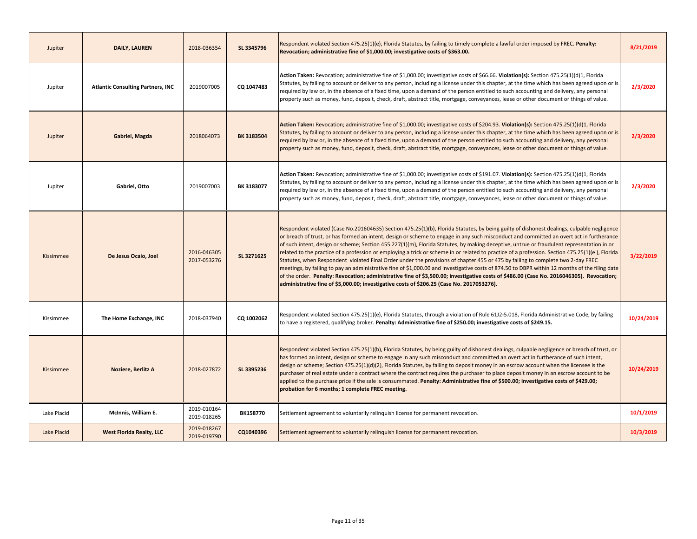| Jupiter     | <b>DAILY, LAUREN</b>                     | 2018-036354                | SL 3345796      | Respondent violated Section 475.25(1)(e), Florida Statutes, by failing to timely complete a lawful order imposed by FREC. Penalty:<br>Revocation; administrative fine of \$1,000.00; investigative costs of \$363.00.                                                                                                                                                                                                                                                                                                                                                                                                                                                                                                                                                                                                                                                                                                                                                                                                                                                                                                | 8/21/2019  |
|-------------|------------------------------------------|----------------------------|-----------------|----------------------------------------------------------------------------------------------------------------------------------------------------------------------------------------------------------------------------------------------------------------------------------------------------------------------------------------------------------------------------------------------------------------------------------------------------------------------------------------------------------------------------------------------------------------------------------------------------------------------------------------------------------------------------------------------------------------------------------------------------------------------------------------------------------------------------------------------------------------------------------------------------------------------------------------------------------------------------------------------------------------------------------------------------------------------------------------------------------------------|------------|
| Jupiter     | <b>Atlantic Consulting Partners, INC</b> | 2019007005                 | CQ 1047483      | Action Taken: Revocation; administrative fine of \$1,000.00; investigative costs of \$66.66. Violation(s): Section 475.25(1)(d)1, Florida<br>Statutes, by failing to account or deliver to any person, including a license under this chapter, at the time which has been agreed upon or is<br>required by law or, in the absence of a fixed time, upon a demand of the person entitled to such accounting and delivery, any personal<br>property such as money, fund, deposit, check, draft, abstract title, mortgage, conveyances, lease or other document or things of value.                                                                                                                                                                                                                                                                                                                                                                                                                                                                                                                                     | 2/3/2020   |
| Jupiter     | Gabriel, Magda                           | 2018064073                 | BK 3183504      | Action Taken: Revocation; administrative fine of \$1,000.00; investigative costs of \$204.93. Violation(s): Section 475.25(1)(d)1, Florida<br>Statutes, by failing to account or deliver to any person, including a license under this chapter, at the time which has been agreed upon or is<br>required by law or, in the absence of a fixed time, upon a demand of the person entitled to such accounting and delivery, any personal<br>property such as money, fund, deposit, check, draft, abstract title, mortgage, conveyances, lease or other document or things of value.                                                                                                                                                                                                                                                                                                                                                                                                                                                                                                                                    | 2/3/2020   |
| Jupiter     | Gabriel, Otto                            | 2019007003                 | BK 3183077      | Action Taken: Revocation; administrative fine of \$1,000.00; investigative costs of \$191.07. Violation(s): Section 475.25(1)(d)1, Florida<br>Statutes, by failing to account or deliver to any person, including a license under this chapter, at the time which has been agreed upon or is<br>required by law or, in the absence of a fixed time, upon a demand of the person entitled to such accounting and delivery, any personal<br>property such as money, fund, deposit, check, draft, abstract title, mortgage, conveyances, lease or other document or things of value.                                                                                                                                                                                                                                                                                                                                                                                                                                                                                                                                    | 2/3/2020   |
| Kissimmee   | De Jesus Ocaio, Joel                     | 2016-046305<br>2017-053276 | SL 3271625      | Respondent violated (Case No.201604635) Section 475.25(1)(b), Florida Statutes, by being guilty of dishonest dealings, culpable negligence<br>or breach of trust, or has formed an intent, design or scheme to engage in any such misconduct and committed an overt act in furtherance<br>of such intent, design or scheme; Section 455.227(1)(m), Florida Statutes, by making deceptive, untrue or fraudulent representation in or<br>related to the practice of a profession or employing a trick or scheme in or related to practice of a profession. Section 475.25(1)(e), Florida<br>Statutes, when Respondent violated Final Order under the provisions of chapter 455 or 475 by failing to complete two 2-day FREC<br>meetings, by failing to pay an administrative fine of \$1,000.00 and investigative costs of 874.50 to DBPR within 12 months of the filing date<br>of the order. Penalty: Revocation; administrative fine of \$3,500.00; investigative costs of \$486.00 (Case No. 2016046305). Revocation;<br>administrative fine of \$5,000.00; investigative costs of \$206.25 (Case No. 2017053276). | 3/22/2019  |
| Kissimmee   | The Home Exchange, INC                   | 2018-037940                | CQ 1002062      | Respondent violated Section 475.25(1)(e), Florida Statutes, through a violation of Rule 61J2-5.018, Florida Administrative Code, by failing<br>to have a registered, qualifying broker. Penalty: Administrative fine of \$250.00; investigative costs of \$249.15.                                                                                                                                                                                                                                                                                                                                                                                                                                                                                                                                                                                                                                                                                                                                                                                                                                                   | 10/24/2019 |
| Kissimmee   | Noziere, Berlitz A                       | 2018-027872                | SL 3395236      | Respondent violated Section 475.25(1)(b), Florida Statutes, by being guilty of dishonest dealings, culpable negligence or breach of trust, or<br>has formed an intent, design or scheme to engage in any such misconduct and committed an overt act in furtherance of such intent,<br>design or scheme; Section 475.25(1)(d)(2), Florida Statutes, by failing to deposit money in an escrow account when the licensee is the<br>purchaser of real estate under a contract where the contract requires the purchaser to place deposit money in an escrow account to be<br>applied to the purchase price if the sale is consummated. Penalty: Administrative fine of \$500.00; investigative costs of \$429.00;<br>probation for 6 months; 1 complete FREC meeting.                                                                                                                                                                                                                                                                                                                                                    | 10/24/2019 |
| Lake Placid | McInnis, William E.                      | 2019-010164<br>2019-018265 | <b>BK158770</b> | Settlement agreement to voluntarily relinguish license for permanent revocation.                                                                                                                                                                                                                                                                                                                                                                                                                                                                                                                                                                                                                                                                                                                                                                                                                                                                                                                                                                                                                                     | 10/1/2019  |
| Lake Placid | <b>West Florida Realty, LLC</b>          | 2019-018267<br>2019-019790 | CQ1040396       | Settlement agreement to voluntarily relinquish license for permanent revocation.                                                                                                                                                                                                                                                                                                                                                                                                                                                                                                                                                                                                                                                                                                                                                                                                                                                                                                                                                                                                                                     | 10/3/2019  |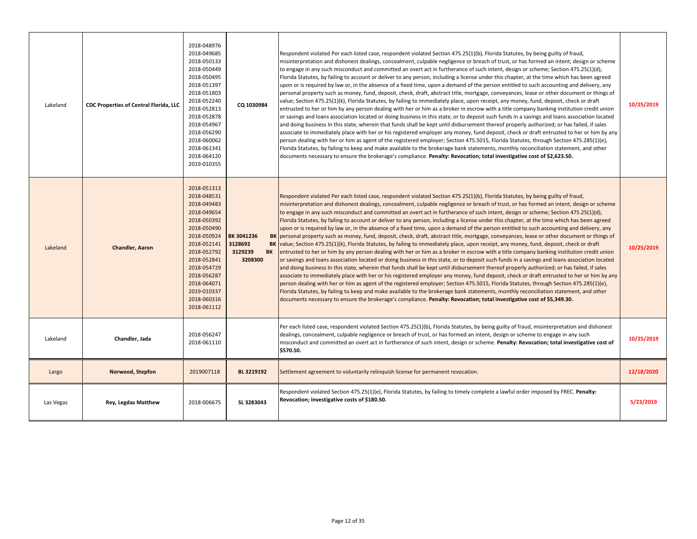| Lakeland  | CDC Properties of Central Florida, LLC | 2018-048976<br>2018-049685<br>2018-050133<br>2018-050449<br>2018-050495<br>2018-051397<br>2018-051803<br>2018-052240<br>2018-052813<br>2018-052878<br>2018-054967<br>2018-056290<br>2018-060062<br>2018-061341<br>2018-064120<br>2019-010355 | CQ 1030984                                               | Respondent violated Per each listed case, respondent violated Section 475.25(1)(b), Florida Statutes, by being guilty of fraud,<br>misinterpretation and dishonest dealings, concealment, culpable negligence or breach of trust, or has formed an intent, design or scheme<br>to engage in any such misconduct and committed an overt act in furtherance of such intent, design or scheme; Section 475.25(1)(d),<br>Florida Statutes, by failing to account or deliver to any person, including a license under this chapter, at the time which has been agreed<br>upon or is required by law or, in the absence of a fixed time, upon a demand of the person entitled to such accounting and delivery, any<br>personal property such as money, fund, deposit, check, draft, abstract title, mortgage, conveyances, lease or other document or things of<br>value; Section 475.25(1)(k), Florida Statutes, by failing to immediately place, upon receipt, any money, fund, deposit, check or draft<br>entrusted to her or him by any person dealing with her or him as a broker in escrow with a title company banking institution credit union<br>or savings and loans association located or doing business in this state, or to deposit such funds in a savings and loans association located<br>and doing business In this state, wherein that funds shall be kept until disbursement thereof properly authorized; or has failed, if sales<br>associate to immediately place with her or his registered employer any money, fund deposit, check or draft entrusted to her or him by any<br>person dealing with her or him as agent of the registered employer; Section 475.5015, Florida Statutes, through Section 475.285(1)(e),<br>Florida Statutes, by failing to keep and make available to the brokerage bank statements, monthly reconciliation statement, and other<br>documents necessary to ensure the brokerage's compliance. Penalty: Revocation; total investigative cost of \$2,623.50.       | 10/25/2019 |
|-----------|----------------------------------------|----------------------------------------------------------------------------------------------------------------------------------------------------------------------------------------------------------------------------------------------|----------------------------------------------------------|-----------------------------------------------------------------------------------------------------------------------------------------------------------------------------------------------------------------------------------------------------------------------------------------------------------------------------------------------------------------------------------------------------------------------------------------------------------------------------------------------------------------------------------------------------------------------------------------------------------------------------------------------------------------------------------------------------------------------------------------------------------------------------------------------------------------------------------------------------------------------------------------------------------------------------------------------------------------------------------------------------------------------------------------------------------------------------------------------------------------------------------------------------------------------------------------------------------------------------------------------------------------------------------------------------------------------------------------------------------------------------------------------------------------------------------------------------------------------------------------------------------------------------------------------------------------------------------------------------------------------------------------------------------------------------------------------------------------------------------------------------------------------------------------------------------------------------------------------------------------------------------------------------------------------------------------------------------------------------------------------------------------|------------|
| Lakeland  | <b>Chandler, Aaron</b>                 | 2018-051313<br>2018-048531<br>2018-049483<br>2018-049654<br>2018-050392<br>2018-050490<br>2018-050924<br>2018-052141<br>2018-052792<br>2018-052841<br>2018-054729<br>2018-056287<br>2018-064071<br>2019-010337<br>2018-060316<br>2018-061112 | BK 3041236<br>3128692<br>3129239<br><b>BK</b><br>3208300 | Respondent violated Per each listed case, respondent violated Section 475.25(1)(b), Florida Statutes, by being guilty of fraud,<br>misinterpretation and dishonest dealings, concealment, culpable negligence or breach of trust, or has formed an intent, design or scheme<br>to engage in any such misconduct and committed an overt act in furtherance of such intent, design or scheme; Section 475.25(1)(d),<br>Florida Statutes, by failing to account or deliver to any person, including a license under this chapter, at the time which has been agreed<br>upon or is required by law or, in the absence of a fixed time, upon a demand of the person entitled to such accounting and delivery, any<br>BK personal property such as money, fund, deposit, check, draft, abstract title, mortgage, conveyances, lease or other document or things of<br>BK value; Section 475.25(1)(k), Florida Statutes, by failing to immediately place, upon receipt, any money, fund, deposit, check or draft<br>entrusted to her or him by any person dealing with her or him as a broker in escrow with a title company banking institution credit union<br>or savings and loans association located or doing business in this state, or to deposit such funds in a savings and loans association located<br>and doing business In this state, wherein that funds shall be kept until disbursement thereof properly authorized; or has failed, if sales<br>associate to immediately place with her or his registered employer any money, fund deposit, check or draft entrusted to her or him by any<br>person dealing with her or him as agent of the registered employer; Section 475.5015, Florida Statutes, through Section 475.285(1)(e),<br>Florida Statutes, by failing to keep and make available to the brokerage bank statements, monthly reconciliation statement, and other<br>documents necessary to ensure the brokerage's compliance. Penalty: Revocation; total investigative cost of \$5,349.30. | 10/25/2019 |
| Lakeland  | Chandler, Jada                         | 2018-056247<br>2018-061110                                                                                                                                                                                                                   |                                                          | Per each listed case, respondent violated Section 475.25(1)(b), Florida Statutes, by being guilty of fraud, misinterpretation and dishonest<br>dealings, concealment, culpable negligence or breach of trust, or has formed an intent, design or scheme to engage in any such<br>misconduct and committed an overt act in furtherance of such intent, design or scheme. Penalty: Revocation; total investigative cost of<br>\$570.50.                                                                                                                                                                                                                                                                                                                                                                                                                                                                                                                                                                                                                                                                                                                                                                                                                                                                                                                                                                                                                                                                                                                                                                                                                                                                                                                                                                                                                                                                                                                                                                           | 10/25/2019 |
| Largo     | Norwood, Stepfon                       | 2019007118                                                                                                                                                                                                                                   | BL 3219192                                               | Settlement agreement to voluntarily relinquish license for permanent revocation.                                                                                                                                                                                                                                                                                                                                                                                                                                                                                                                                                                                                                                                                                                                                                                                                                                                                                                                                                                                                                                                                                                                                                                                                                                                                                                                                                                                                                                                                                                                                                                                                                                                                                                                                                                                                                                                                                                                                | 12/18/2020 |
| Las Vegas | <b>Rey, Legdas Matthew</b>             | 2018-006675                                                                                                                                                                                                                                  | SL 3283043                                               | Respondent violated Section 475.25(1)(e), Florida Statutes, by failing to timely complete a lawful order imposed by FREC. Penalty:<br>Revocation; investigative costs of \$180.50.                                                                                                                                                                                                                                                                                                                                                                                                                                                                                                                                                                                                                                                                                                                                                                                                                                                                                                                                                                                                                                                                                                                                                                                                                                                                                                                                                                                                                                                                                                                                                                                                                                                                                                                                                                                                                              | 5/23/2019  |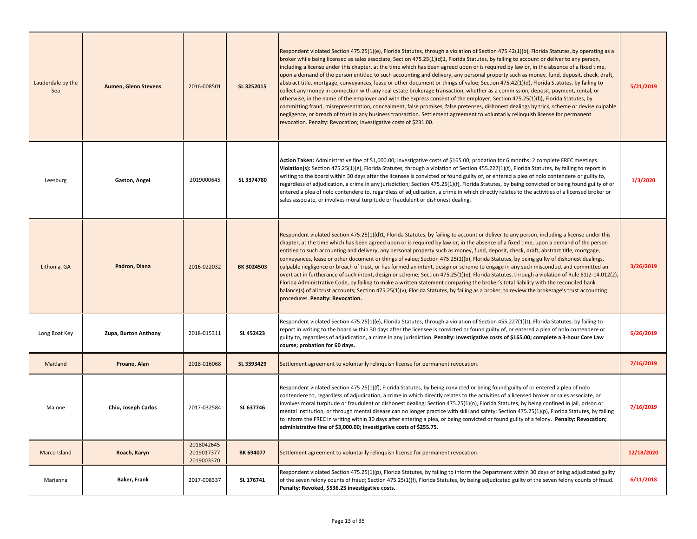| Lauderdale by the<br>Sea | <b>Aumen, Glenn Stevens</b> | 2016-008501                            | SL 3252015 | Respondent violated Section 475.25(1)(e), Florida Statutes, through a violation of Section 475.42(1)(b), Florida Statutes, by operating as a<br>broker while being licensed as sales associate; Section 475.25(1)(d)1, Florida Statutes, by failing to account or deliver to any person,<br>including a license under this chapter, at the time which has been agreed upon or is required by law or, in the absence of a fixed time,<br>upon a demand of the person entitled to such accounting and delivery, any personal property such as money, fund, deposit, check, draft,<br>abstract title, mortgage, conveyances, lease or other document or things of value; Section 475.42(1)(d), Florida Statutes, by failing to<br>collect any money in connection with any real estate brokerage transaction, whether as a commission, deposit, payment, rental, or<br>otherwise, in the name of the employer and with the express consent of the employer; Section 475.25(1)(b), Florida Statutes, by<br>committing fraud, misrepresentation, concealment, false promises, false pretenses, dishonest dealings by trick, scheme or devise culpable<br>negligence, or breach of trust in any business transaction. Settlement agreement to voluntarily relinquish license for permanent<br>revocation. Penalty: Revocation; investigative costs of \$231.00. | 5/21/2019  |
|--------------------------|-----------------------------|----------------------------------------|------------|-----------------------------------------------------------------------------------------------------------------------------------------------------------------------------------------------------------------------------------------------------------------------------------------------------------------------------------------------------------------------------------------------------------------------------------------------------------------------------------------------------------------------------------------------------------------------------------------------------------------------------------------------------------------------------------------------------------------------------------------------------------------------------------------------------------------------------------------------------------------------------------------------------------------------------------------------------------------------------------------------------------------------------------------------------------------------------------------------------------------------------------------------------------------------------------------------------------------------------------------------------------------------------------------------------------------------------------------------------------|------------|
| Leesburg                 | Gaston, Angel               | 2019000645                             | SL 3374780 | Action Taken: Administrative fine of \$1,000.00; investigative costs of \$165.00; probation for 6 months; 2 complete FREC meetings.<br>Violation(s): Section 475.25(1)(e), Florida Statutes, through a violation of Section 455.227(1)(t), Florida Statutes, by failing to report in<br>writing to the board within 30 days after the licensee is convicted or found guilty of, or entered a plea of nolo contendere or guilty to,<br>regardless of adjudication, a crime in any jurisdiction; Section 475.25(1)(f), Florida Statutes, by being convicted or being found guilty of or<br>entered a plea of nolo contendere to, regardless of adjudication, a crime in which directly relates to the activities of a licensed broker or<br>sales associate, or involves moral turpitude or fraudulent or dishonest dealing.                                                                                                                                                                                                                                                                                                                                                                                                                                                                                                                                | 1/3/2020   |
| Lithonia, GA             | Padron, Diana               | 2016-022032                            | BK 3024503 | Respondent violated Section 475.25(1)(d)1, Florida Statutes, by failing to account or deliver to any person, including a license under this<br>chapter, at the time which has been agreed upon or is required by law or, in the absence of a fixed time, upon a demand of the person<br>entitled to such accounting and delivery, any personal property such as money, fund, deposit, check, draft, abstract title, mortgage,<br>conveyances, lease or other document or things of value; Section 475.25(1)(b), Florida Statutes, by being guilty of dishonest dealings,<br>culpable negligence or breach of trust, or has formed an intent, design or scheme to engage in any such misconduct and committed an<br>overt act in furtherance of such intent, design or scheme; Section 475.25(1)(e), Florida Statutes, through a violation of Rule 61J2-14.012(2),<br>Florida Administrative Code, by failing to make a written statement comparing the broker's total liability with the reconciled bank<br>balance(s) of all trust accounts; Section 475.25(1)(v), Florida Statutes, by failing as a broker, to review the brokerage's trust accounting<br>procedures. Penalty: Revocation.                                                                                                                                                              | 3/26/2019  |
| Long Boat Key            | Zupa, Burton Anthony        | 2018-015311                            | SL 452423  | Respondent violated Section 475.25(1)(e), Florida Statutes, through a violation of Section 455.227(1)(t), Florida Statutes, by failing to<br>report in writing to the board within 30 days after the licensee is convicted or found guilty of, or entered a plea of nolo contendere or<br>guilty to, regardless of adjudication, a crime in any jurisdiction. <b>Penalty: Investigative costs of \$165.00; complete a 3-hour Core Law</b><br>course; probation for 60 days.                                                                                                                                                                                                                                                                                                                                                                                                                                                                                                                                                                                                                                                                                                                                                                                                                                                                               | 6/26/2019  |
| Maitland                 | Proano, Alan                | 2018-016068                            | SL 3393429 | Settlement agreement to voluntarily relinquish license for permanent revocation.                                                                                                                                                                                                                                                                                                                                                                                                                                                                                                                                                                                                                                                                                                                                                                                                                                                                                                                                                                                                                                                                                                                                                                                                                                                                          | 7/16/2019  |
| Malone                   | Chiu, Joseph Carlos         | 2017-032584                            | SL 637746  | Respondent violated Section 475.25(1)(f), Florida Statutes, by being convicted or being found guilty of or entered a plea of nolo<br>contendere to, regardless of adjudication, a crime in which directly relates to the activities of a licensed broker or sales associate, or<br>involves moral turpitude or fraudulent or dishonest dealing; Section 475.25(1)(n), Florida Statutes, by being confined in jail, prison or<br>mental institution, or through mental disease can no longer practice with skill and safety; Section 475.25(1)(p), Florida Statutes, by failing<br>to inform the FREC in writing within 30 days after entering a plea, or being convicted or found guilty of a felony. Penalty: Revocation;<br>administrative fine of \$3,000.00; investigative costs of \$255.75.                                                                                                                                                                                                                                                                                                                                                                                                                                                                                                                                                         | 7/16/2019  |
| Marco Island             | Roach, Karyn                | 2018042645<br>2019017377<br>2019003370 | BK 694077  | Settlement agreement to voluntarily relinguish license for permanent revocation.                                                                                                                                                                                                                                                                                                                                                                                                                                                                                                                                                                                                                                                                                                                                                                                                                                                                                                                                                                                                                                                                                                                                                                                                                                                                          | 12/18/2020 |
| Marianna                 | Baker, Frank                | 2017-008337                            | SL 176741  | Respondent violated Section 475.25(1)(p), Florida Statutes, by failing to inform the Department within 30 days of being adjudicated guilty<br>of the seven felony counts of fraud; Section 475.25(1)(f), Florida Statutes, by being adjudicated guilty of the seven felony counts of fraud.<br>Penalty: Revoked, \$536.25 investigative costs.                                                                                                                                                                                                                                                                                                                                                                                                                                                                                                                                                                                                                                                                                                                                                                                                                                                                                                                                                                                                            | 6/11/2018  |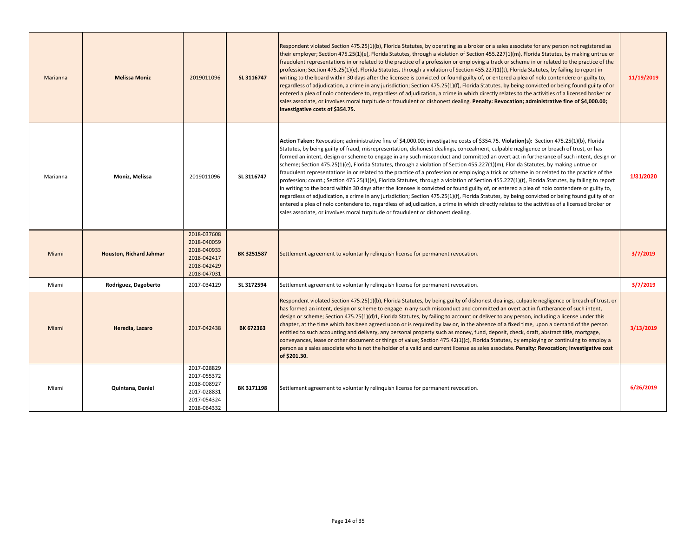| Marianna | <b>Melissa Moniz</b>           | 2019011096                                                                             | SL 3116747        | Respondent violated Section 475.25(1)(b), Florida Statutes, by operating as a broker or a sales associate for any person not registered as<br>their employer; Section 475.25(1)(e), Florida Statutes, through a violation of Section 455.227(1)(m), Florida Statutes, by making untrue or<br>fraudulent representations in or related to the practice of a profession or employing a track or scheme in or related to the practice of the<br>profession; Section 475.25(1)(e), Florida Statutes, through a violation of Section 455.227(1)(t), Florida Statutes, by failing to report in<br>writing to the board within 30 days after the licensee is convicted or found guilty of, or entered a plea of nolo contendere or guilty to,<br>regardless of adjudication, a crime in any jurisdiction; Section 475.25(1)(f), Florida Statutes, by being convicted or being found guilty of or<br>entered a plea of nolo contendere to, regardless of adjudication, a crime in which directly relates to the activities of a licensed broker or<br>sales associate, or involves moral turpitude or fraudulent or dishonest dealing. Penalty: Revocation; administrative fine of \$4,000.00;<br>investigative costs of \$354.75.                                                                                                                                                                                         | 11/19/2019 |
|----------|--------------------------------|----------------------------------------------------------------------------------------|-------------------|--------------------------------------------------------------------------------------------------------------------------------------------------------------------------------------------------------------------------------------------------------------------------------------------------------------------------------------------------------------------------------------------------------------------------------------------------------------------------------------------------------------------------------------------------------------------------------------------------------------------------------------------------------------------------------------------------------------------------------------------------------------------------------------------------------------------------------------------------------------------------------------------------------------------------------------------------------------------------------------------------------------------------------------------------------------------------------------------------------------------------------------------------------------------------------------------------------------------------------------------------------------------------------------------------------------------------------------------------------------------------------------------------------------------|------------|
| Marianna | Moniz, Melissa                 | 2019011096                                                                             | SL 3116747        | Action Taken: Revocation; administrative fine of \$4,000.00; investigative costs of \$354.75. Violation(s): Section 475.25(1)(b), Florida<br>Statutes, by being guilty of fraud, misrepresentation, dishonest dealings, concealment, culpable negligence or breach of trust, or has<br>formed an intent, design or scheme to engage in any such misconduct and committed an overt act in furtherance of such intent, design or<br>scheme; Section 475.25(1)(e), Florida Statutes, through a violation of Section 455.227(1)(m), Florida Statutes, by making untrue or<br>fraudulent representations in or related to the practice of a profession or employing a trick or scheme in or related to the practice of the<br>profession; count.; Section 475.25(1)(e), Florida Statutes, through a violation of Section 455.227(1)(t), Florida Statutes, by failing to report<br>in writing to the board within 30 days after the licensee is convicted or found guilty of, or entered a plea of nolo contendere or guilty to,<br>regardless of adjudication, a crime in any jurisdiction; Section 475.25(1)(f), Florida Statutes, by being convicted or being found guilty of or<br>entered a plea of nolo contendere to, regardless of adjudication, a crime in which directly relates to the activities of a licensed broker or<br>sales associate, or involves moral turpitude or fraudulent or dishonest dealing. | 1/31/2020  |
| Miami    | <b>Houston, Richard Jahmar</b> | 2018-037608<br>2018-040059<br>2018-040933<br>2018-042417<br>2018-042429<br>2018-047031 | <b>BK 3251587</b> | Settlement agreement to voluntarily relinguish license for permanent revocation.                                                                                                                                                                                                                                                                                                                                                                                                                                                                                                                                                                                                                                                                                                                                                                                                                                                                                                                                                                                                                                                                                                                                                                                                                                                                                                                                   | 3/7/2019   |
| Miami    | Rodriguez, Dagoberto           | 2017-034129                                                                            | SL 3172594        | Settlement agreement to voluntarily relinquish license for permanent revocation.                                                                                                                                                                                                                                                                                                                                                                                                                                                                                                                                                                                                                                                                                                                                                                                                                                                                                                                                                                                                                                                                                                                                                                                                                                                                                                                                   | 3/7/2019   |
| Miami    | Heredia, Lazaro                | 2017-042438                                                                            | BK 672363         | Respondent violated Section 475.25(1)(b), Florida Statutes, by being guilty of dishonest dealings, culpable negligence or breach of trust, or<br>has formed an intent, design or scheme to engage in any such misconduct and committed an overt act in furtherance of such intent,<br>design or scheme; Section 475.25(1)(d)1, Florida Statutes, by failing to account or deliver to any person, including a license under this<br>chapter, at the time which has been agreed upon or is required by law or, in the absence of a fixed time, upon a demand of the person<br>entitled to such accounting and delivery, any personal property such as money, fund, deposit, check, draft, abstract title, mortgage,<br>conveyances, lease or other document or things of value; Section 475.42(1)(c), Florida Statutes, by employing or continuing to employ a<br>person as a sales associate who is not the holder of a valid and current license as sales associate. Penalty: Revocation; investigative cost<br>of \$201.30.                                                                                                                                                                                                                                                                                                                                                                                       | 3/13/2019  |
| Miami    | Quintana, Daniel               | 2017-028829<br>2017-055372<br>2018-008927<br>2017-028831<br>2017-054324<br>2018-064332 | BK 3171198        | Settlement agreement to voluntarily relinquish license for permanent revocation.                                                                                                                                                                                                                                                                                                                                                                                                                                                                                                                                                                                                                                                                                                                                                                                                                                                                                                                                                                                                                                                                                                                                                                                                                                                                                                                                   | 6/26/2019  |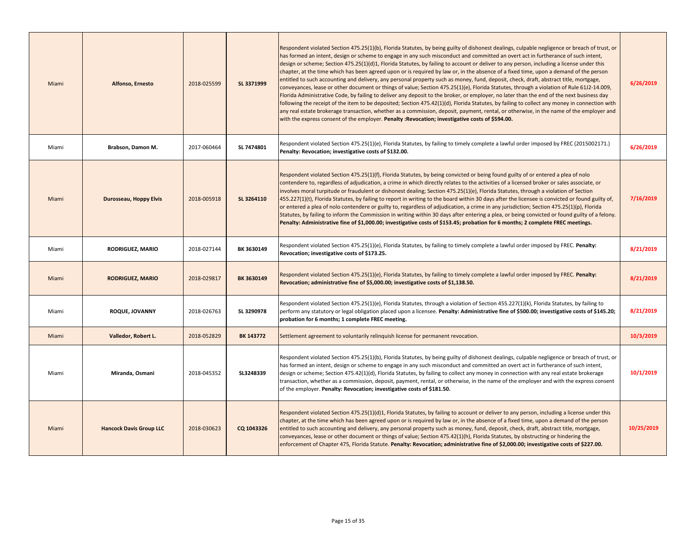| Miami | Alfonso, Ernesto               | 2018-025599 | SL 3371999 | Respondent violated Section 475.25(1)(b), Florida Statutes, by being guilty of dishonest dealings, culpable negligence or breach of trust, or<br>has formed an intent, design or scheme to engage in any such misconduct and committed an overt act in furtherance of such intent,<br>design or scheme; Section 475.25(1)(d)1, Florida Statutes, by failing to account or deliver to any person, including a license under this<br>chapter, at the time which has been agreed upon or is required by law or, in the absence of a fixed time, upon a demand of the person<br>entitled to such accounting and delivery, any personal property such as money, fund, deposit, check, draft, abstract title, mortgage,<br>conveyances, lease or other document or things of value; Section 475.25(1)(e), Florida Statutes, through a violation of Rule 61J2-14.009,<br>Florida Administrative Code, by failing to deliver any deposit to the broker, or employer, no later than the end of the next business day<br>following the receipt of the item to be deposited; Section 475.42(1)(d), Florida Statutes, by failing to collect any money in connection with<br>any real estate brokerage transaction, whether as a commission, deposit, payment, rental, or otherwise, in the name of the employer and<br>with the express consent of the employer. Penalty: Revocation; investigative costs of \$594.00. | 6/26/2019  |
|-------|--------------------------------|-------------|------------|------------------------------------------------------------------------------------------------------------------------------------------------------------------------------------------------------------------------------------------------------------------------------------------------------------------------------------------------------------------------------------------------------------------------------------------------------------------------------------------------------------------------------------------------------------------------------------------------------------------------------------------------------------------------------------------------------------------------------------------------------------------------------------------------------------------------------------------------------------------------------------------------------------------------------------------------------------------------------------------------------------------------------------------------------------------------------------------------------------------------------------------------------------------------------------------------------------------------------------------------------------------------------------------------------------------------------------------------------------------------------------------------------------|------------|
| Miami | Brabson, Damon M.              | 2017-060464 | SL 7474801 | Respondent violated Section 475.25(1)(e), Florida Statutes, by failing to timely complete a lawful order imposed by FREC (2015002171.)<br>Penalty: Revocation; investigative costs of \$132.00.                                                                                                                                                                                                                                                                                                                                                                                                                                                                                                                                                                                                                                                                                                                                                                                                                                                                                                                                                                                                                                                                                                                                                                                                            | 6/26/2019  |
| Miami | Durosseau, Hoppy Elvis         | 2018-005918 | SL 3264110 | Respondent violated Section 475.25(1)(f), Florida Statutes, by being convicted or being found guilty of or entered a plea of nolo<br>contendere to, regardless of adjudication, a crime in which directly relates to the activities of a licensed broker or sales associate, or<br>involves moral turpitude or fraudulent or dishonest dealing; Section 475.25(1)(e), Florida Statutes, through a violation of Section<br>455.227(1)(t), Florida Statutes, by failing to report in writing to the board within 30 days after the licensee is convicted or found guilty of,<br>or entered a plea of nolo contendere or guilty to, regardless of adjudication, a crime in any jurisdiction; Section 475.25(1)(p), Florida<br>Statutes, by failing to inform the Commission in writing within 30 days after entering a plea, or being convicted or found guilty of a felony.<br>Penalty: Administrative fine of \$1,000.00; investigative costs of \$153.45; probation for 6 months; 2 complete FREC meetings.                                                                                                                                                                                                                                                                                                                                                                                                | 7/16/2019  |
| Miami | RODRIGUEZ, MARIO               | 2018-027144 | BK 3630149 | Respondent violated Section 475.25(1)(e), Florida Statutes, by failing to timely complete a lawful order imposed by FREC. Penalty:<br>Revocation; investigative costs of \$173.25.                                                                                                                                                                                                                                                                                                                                                                                                                                                                                                                                                                                                                                                                                                                                                                                                                                                                                                                                                                                                                                                                                                                                                                                                                         | 8/21/2019  |
| Miami | <b>RODRIGUEZ, MARIO</b>        | 2018-029817 | BK 3630149 | Respondent violated Section 475.25(1)(e), Florida Statutes, by failing to timely complete a lawful order imposed by FREC. Penalty:<br>Revocation; administrative fine of \$5,000.00; investigative costs of \$1,138.50.                                                                                                                                                                                                                                                                                                                                                                                                                                                                                                                                                                                                                                                                                                                                                                                                                                                                                                                                                                                                                                                                                                                                                                                    | 8/21/2019  |
| Miami | ROQUE, JOVANNY                 | 2018-026763 | SL 3290978 | Respondent violated Section 475.25(1)(e), Florida Statutes, through a violation of Section 455.227(1)(k), Florida Statutes, by failing to<br>perform any statutory or legal obligation placed upon a licensee. Penalty: Administrative fine of \$500.00; investigative costs of \$145.20;<br>probation for 6 months; 1 complete FREC meeting.                                                                                                                                                                                                                                                                                                                                                                                                                                                                                                                                                                                                                                                                                                                                                                                                                                                                                                                                                                                                                                                              | 8/21/2019  |
| Miami | Valledor, Robert L.            | 2018-052829 | BK 143772  | Settlement agreement to voluntarily relinquish license for permanent revocation.                                                                                                                                                                                                                                                                                                                                                                                                                                                                                                                                                                                                                                                                                                                                                                                                                                                                                                                                                                                                                                                                                                                                                                                                                                                                                                                           | 10/3/2019  |
| Miami | Miranda, Osmani                | 2018-045352 | SL3248339  | Respondent violated Section 475.25(1)(b), Florida Statutes, by being guilty of dishonest dealings, culpable negligence or breach of trust, or<br>has formed an intent, design or scheme to engage in any such misconduct and committed an overt act in furtherance of such intent,<br>design or scheme; Section 475.42(1)(d), Florida Statutes, by failing to collect any money in connection with any real estate brokerage<br>transaction, whether as a commission, deposit, payment, rental, or otherwise, in the name of the employer and with the express consent<br>of the employer. Penalty: Revocation; investigative costs of \$181.50.                                                                                                                                                                                                                                                                                                                                                                                                                                                                                                                                                                                                                                                                                                                                                           | 10/1/2019  |
| Miami | <b>Hancock Davis Group LLC</b> | 2018-030623 | CQ 1043326 | Respondent violated Section 475.25(1)(d)1, Florida Statutes, by failing to account or deliver to any person, including a license under this<br>chapter, at the time which has been agreed upon or is required by law or, in the absence of a fixed time, upon a demand of the person<br>entitled to such accounting and delivery, any personal property such as money, fund, deposit, check, draft, abstract title, mortgage,<br>conveyances, lease or other document or things of value; Section 475.42(1)(h), Florida Statutes, by obstructing or hindering the<br>enforcement of Chapter 475, Florida Statute. Penalty: Revocation; administrative fine of \$2,000.00; investigative costs of \$227.00.                                                                                                                                                                                                                                                                                                                                                                                                                                                                                                                                                                                                                                                                                                 | 10/25/2019 |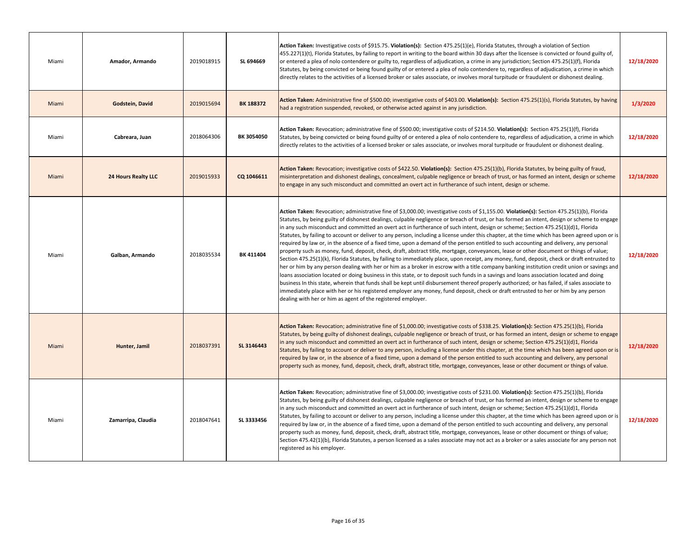| Miami | Amador, Armando            | 2019018915 | SL 694669  | Action Taken: Investigative costs of \$915.75. Violation(s): Section 475.25(1)(e), Florida Statutes, through a violation of Section<br>455.227(1)(t), Florida Statutes, by failing to report in writing to the board within 30 days after the licensee is convicted or found guilty of,<br>or entered a plea of nolo contendere or guilty to, regardless of adjudication, a crime in any jurisdiction; Section 475.25(1)(f), Florida<br>Statutes, by being convicted or being found guilty of or entered a plea of nolo contendere to, regardless of adjudication, a crime in which<br>directly relates to the activities of a licensed broker or sales associate, or involves moral turpitude or fraudulent or dishonest dealing.                                                                                                                                                                                                                                                                                                                                                                                                                                                                                                                                                                                                                                                                                                                                                                                                                                                                                                                                         | 12/18/2020 |
|-------|----------------------------|------------|------------|----------------------------------------------------------------------------------------------------------------------------------------------------------------------------------------------------------------------------------------------------------------------------------------------------------------------------------------------------------------------------------------------------------------------------------------------------------------------------------------------------------------------------------------------------------------------------------------------------------------------------------------------------------------------------------------------------------------------------------------------------------------------------------------------------------------------------------------------------------------------------------------------------------------------------------------------------------------------------------------------------------------------------------------------------------------------------------------------------------------------------------------------------------------------------------------------------------------------------------------------------------------------------------------------------------------------------------------------------------------------------------------------------------------------------------------------------------------------------------------------------------------------------------------------------------------------------------------------------------------------------------------------------------------------------|------------|
| Miami | Godstein, David            | 2019015694 | BK 188372  | Action Taken: Administrative fine of \$500.00; investigative costs of \$403.00. Violation(s): Section 475.25(1)(s), Florida Statutes, by having<br>had a registration suspended, revoked, or otherwise acted against in any jurisdiction.                                                                                                                                                                                                                                                                                                                                                                                                                                                                                                                                                                                                                                                                                                                                                                                                                                                                                                                                                                                                                                                                                                                                                                                                                                                                                                                                                                                                                                  | 1/3/2020   |
| Miami | Cabreara, Juan             | 2018064306 | BK 3054050 | Action Taken: Revocation; administrative fine of \$500.00; investigative costs of \$214.50. Violation(s): Section 475.25(1)(f), Florida<br>Statutes, by being convicted or being found guilty of or entered a plea of nolo contendere to, regardless of adjudication, a crime in which<br>directly relates to the activities of a licensed broker or sales associate, or involves moral turpitude or fraudulent or dishonest dealing.                                                                                                                                                                                                                                                                                                                                                                                                                                                                                                                                                                                                                                                                                                                                                                                                                                                                                                                                                                                                                                                                                                                                                                                                                                      | 12/18/2020 |
| Miami | <b>24 Hours Realty LLC</b> | 2019015933 | CQ 1046611 | Action Taken: Revocation; investigative costs of \$422.50. Violation(s): Section 475.25(1)(b), Florida Statutes, by being guilty of fraud,<br>misinterpretation and dishonest dealings, concealment, culpable negligence or breach of trust, or has formed an intent, design or scheme<br>to engage in any such misconduct and committed an overt act in furtherance of such intent, design or scheme.                                                                                                                                                                                                                                                                                                                                                                                                                                                                                                                                                                                                                                                                                                                                                                                                                                                                                                                                                                                                                                                                                                                                                                                                                                                                     | 12/18/2020 |
| Miami | Galban, Armando            | 2018035534 | BK 411404  | Action Taken: Revocation; administrative fine of \$3,000.00; investigative costs of \$1,155.00. Violation(s): Section 475.25(1)(b), Florida<br>Statutes, by being guilty of dishonest dealings, culpable negligence or breach of trust, or has formed an intent, design or scheme to engage<br>in any such misconduct and committed an overt act in furtherance of such intent, design or scheme; Section 475.25(1)(d)1, Florida<br>Statutes, by failing to account or deliver to any person, including a license under this chapter, at the time which has been agreed upon or is<br>required by law or, in the absence of a fixed time, upon a demand of the person entitled to such accounting and delivery, any personal<br>oroperty such as money, fund, deposit, check, draft, abstract title, mortgage, conveyances, lease or other document or things of value;<br>Section 475.25(1)(k), Florida Statutes, by failing to immediately place, upon receipt, any money, fund, deposit, check or draft entrusted to<br>her or him by any person dealing with her or him as a broker in escrow with a title company banking institution credit union or savings and<br>loans association located or doing business in this state, or to deposit such funds in a savings and loans association located and doing<br>business In this state, wherein that funds shall be kept until disbursement thereof properly authorized; or has failed, if sales associate to<br>immediately place with her or his registered employer any money, fund deposit, check or draft entrusted to her or him by any person<br>dealing with her or him as agent of the registered employer. | 12/18/2020 |
| Miami | Hunter, Jamil              | 2018037391 | SL 3146443 | Action Taken: Revocation; administrative fine of \$1,000.00; investigative costs of \$338.25. Violation(s): Section 475.25(1)(b), Florida<br>Statutes, by being guilty of dishonest dealings, culpable negligence or breach of trust, or has formed an intent, design or scheme to engage<br>in any such misconduct and committed an overt act in furtherance of such intent, design or scheme; Section 475.25(1)(d)1, Florida<br>Statutes, by failing to account or deliver to any person, including a license under this chapter, at the time which has been agreed upon or is<br>equired by law or, in the absence of a fixed time, upon a demand of the person entitled to such accounting and delivery, any personal<br>oroperty such as money, fund, deposit, check, draft, abstract title, mortgage, conveyances, lease or other document or things of value.                                                                                                                                                                                                                                                                                                                                                                                                                                                                                                                                                                                                                                                                                                                                                                                                       | 12/18/2020 |
| Miami | Zamarripa, Claudia         | 2018047641 | SL 3333456 | Action Taken: Revocation; administrative fine of \$3,000.00; investigative costs of \$231.00. Violation(s): Section 475.25(1)(b), Florida<br>Statutes, by being guilty of dishonest dealings, culpable negligence or breach of trust, or has formed an intent, design or scheme to engage<br>in any such misconduct and committed an overt act in furtherance of such intent, design or scheme; Section 475.25(1)(d)1, Florida<br>Statutes, by failing to account or deliver to any person, including a license under this chapter, at the time which has been agreed upon or is<br>equired by law or, in the absence of a fixed time, upon a demand of the person entitled to such accounting and delivery, any personal<br>property such as money, fund, deposit, check, draft, abstract title, mortgage, conveyances, lease or other document or things of value;<br>Section 475.42(1)(b), Florida Statutes, a person licensed as a sales associate may not act as a broker or a sales associate for any person not<br>registered as his employer.                                                                                                                                                                                                                                                                                                                                                                                                                                                                                                                                                                                                                      | 12/18/2020 |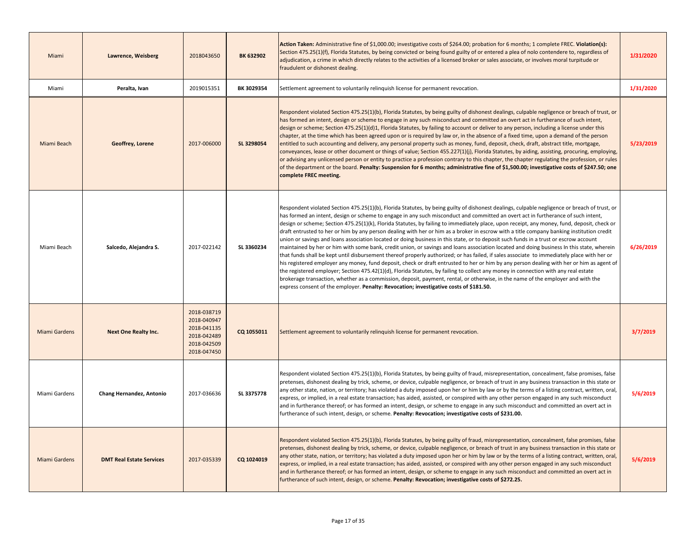| Miami                | Lawrence, Weisberg              | 2018043650                                                                             | BK 632902  | Action Taken: Administrative fine of \$1,000.00; investigative costs of \$264.00; probation for 6 months; 1 complete FREC. Violation(s):<br>Section 475.25(1)(f), Florida Statutes, by being convicted or being found guilty of or entered a plea of nolo contendere to, regardless of<br>adjudication, a crime in which directly relates to the activities of a licensed broker or sales associate, or involves moral turpitude or<br>fraudulent or dishonest dealing.                                                                                                                                                                                                                                                                                                                                                                                                                                                                                                                                                                                                                                                                                                                                                                                                                                                                                                                                                                                                                                                               | 1/31/2020 |
|----------------------|---------------------------------|----------------------------------------------------------------------------------------|------------|---------------------------------------------------------------------------------------------------------------------------------------------------------------------------------------------------------------------------------------------------------------------------------------------------------------------------------------------------------------------------------------------------------------------------------------------------------------------------------------------------------------------------------------------------------------------------------------------------------------------------------------------------------------------------------------------------------------------------------------------------------------------------------------------------------------------------------------------------------------------------------------------------------------------------------------------------------------------------------------------------------------------------------------------------------------------------------------------------------------------------------------------------------------------------------------------------------------------------------------------------------------------------------------------------------------------------------------------------------------------------------------------------------------------------------------------------------------------------------------------------------------------------------------|-----------|
| Miami                | Peralta, Ivan                   | 2019015351                                                                             | BK 3029354 | Settlement agreement to voluntarily relinquish license for permanent revocation.                                                                                                                                                                                                                                                                                                                                                                                                                                                                                                                                                                                                                                                                                                                                                                                                                                                                                                                                                                                                                                                                                                                                                                                                                                                                                                                                                                                                                                                      | 1/31/2020 |
| Miami Beach          | Geoffrey, Lorene                | 2017-006000                                                                            | SL 3298054 | Respondent violated Section 475.25(1)(b), Florida Statutes, by being guilty of dishonest dealings, culpable negligence or breach of trust, or<br>has formed an intent, design or scheme to engage in any such misconduct and committed an overt act in furtherance of such intent,<br>design or scheme; Section 475.25(1)(d)1, Florida Statutes, by failing to account or deliver to any person, including a license under this<br>chapter, at the time which has been agreed upon or is required by law or, in the absence of a fixed time, upon a demand of the person<br>entitled to such accounting and delivery, any personal property such as money, fund, deposit, check, draft, abstract title, mortgage,<br>conveyances, lease or other document or things of value; Section 455.227(1)(j), Florida Statutes, by aiding, assisting, procuring, employing,<br>or advising any unlicensed person or entity to practice a profession contrary to this chapter, the chapter regulating the profession, or rules<br>of the department or the board. Penalty: Suspension for 6 months; administrative fine of \$1,500.00; investigative costs of \$247.50; one<br>complete FREC meeting.                                                                                                                                                                                                                                                                                                                                           | 5/23/2019 |
| Miami Beach          | Salcedo, Alejandra S.           | 2017-022142                                                                            | SL 3360234 | Respondent violated Section 475.25(1)(b), Florida Statutes, by being guilty of dishonest dealings, culpable negligence or breach of trust, or<br>has formed an intent, design or scheme to engage in any such misconduct and committed an overt act in furtherance of such intent,<br>design or scheme; Section 475.25(1)(k), Florida Statutes, by failing to immediately place, upon receipt, any money, fund, deposit, check or<br>draft entrusted to her or him by any person dealing with her or him as a broker in escrow with a title company banking institution credit<br>union or savings and loans association located or doing business in this state, or to deposit such funds in a trust or escrow account<br>maintained by her or him with some bank, credit union, or savings and loans association located and doing business In this state, wherein<br>that funds shall be kept until disbursement thereof properly authorized; or has failed, if sales associate to immediately place with her or<br>his registered employer any money, fund deposit, check or draft entrusted to her or him by any person dealing with her or him as agent of<br>the registered employer; Section 475.42(1)(d), Florida Statutes, by failing to collect any money in connection with any real estate<br>brokerage transaction, whether as a commission, deposit, payment, rental, or otherwise, in the name of the employer and with the<br>express consent of the employer. Penalty: Revocation; investigative costs of \$181.50. | 6/26/2019 |
| <b>Miami Gardens</b> | <b>Next One Realty Inc.</b>     | 2018-038719<br>2018-040947<br>2018-041135<br>2018-042489<br>2018-042509<br>2018-047450 | CQ 1055011 | Settlement agreement to voluntarily relinguish license for permanent revocation.                                                                                                                                                                                                                                                                                                                                                                                                                                                                                                                                                                                                                                                                                                                                                                                                                                                                                                                                                                                                                                                                                                                                                                                                                                                                                                                                                                                                                                                      | 3/7/2019  |
| Miami Gardens        | Chang Hernandez, Antonio        | 2017-036636                                                                            | SL 3375778 | Respondent violated Section 475.25(1)(b), Florida Statutes, by being guilty of fraud, misrepresentation, concealment, false promises, false<br>pretenses, dishonest dealing by trick, scheme, or device, culpable negligence, or breach of trust in any business transaction in this state or<br>any other state, nation, or territory; has violated a duty imposed upon her or him by law or by the terms of a listing contract, written, oral,<br>express, or implied, in a real estate transaction; has aided, assisted, or conspired with any other person engaged in any such misconduct<br>and in furtherance thereof; or has formed an intent, design, or scheme to engage in any such misconduct and committed an overt act in<br>furtherance of such intent, design, or scheme. Penalty: Revocation; investigative costs of \$231.00.                                                                                                                                                                                                                                                                                                                                                                                                                                                                                                                                                                                                                                                                                        | 5/6/2019  |
| <b>Miami Gardens</b> | <b>DMT Real Estate Services</b> | 2017-035339                                                                            | CQ 1024019 | Respondent violated Section 475.25(1)(b), Florida Statutes, by being guilty of fraud, misrepresentation, concealment, false promises, false<br>pretenses, dishonest dealing by trick, scheme, or device, culpable negligence, or breach of trust in any business transaction in this state or<br>any other state, nation, or territory; has violated a duty imposed upon her or him by law or by the terms of a listing contract, written, oral,<br>express, or implied, in a real estate transaction; has aided, assisted, or conspired with any other person engaged in any such misconduct<br>and in furtherance thereof; or has formed an intent, design, or scheme to engage in any such misconduct and committed an overt act in<br>furtherance of such intent, design, or scheme. Penalty: Revocation; investigative costs of \$272.25.                                                                                                                                                                                                                                                                                                                                                                                                                                                                                                                                                                                                                                                                                        | 5/6/2019  |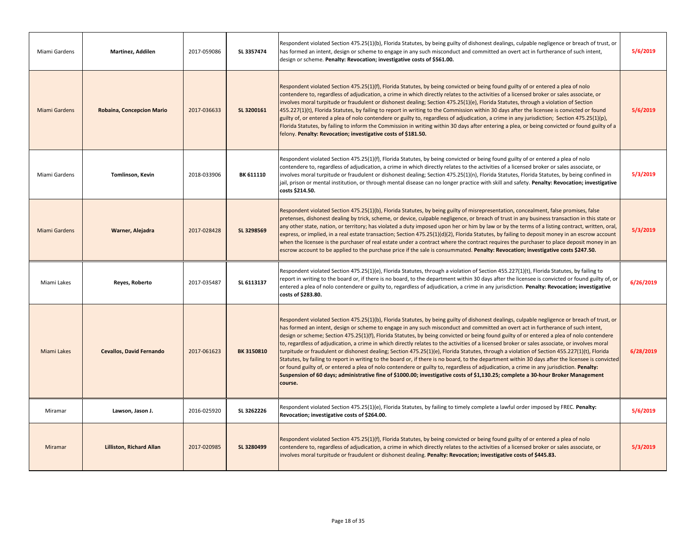| Miami Gardens        | Martinez, Addilen                | 2017-059086 | SL 3357474        | Respondent violated Section 475.25(1)(b), Florida Statutes, by being guilty of dishonest dealings, culpable negligence or breach of trust, or<br>has formed an intent, design or scheme to engage in any such misconduct and committed an overt act in furtherance of such intent,<br>design or scheme. Penalty: Revocation; investigative costs of \$561.00.                                                                                                                                                                                                                                                                                                                                                                                                                                                                                                                                                                                                                                                                                                                                                                                                                     | 5/6/2019  |
|----------------------|----------------------------------|-------------|-------------------|-----------------------------------------------------------------------------------------------------------------------------------------------------------------------------------------------------------------------------------------------------------------------------------------------------------------------------------------------------------------------------------------------------------------------------------------------------------------------------------------------------------------------------------------------------------------------------------------------------------------------------------------------------------------------------------------------------------------------------------------------------------------------------------------------------------------------------------------------------------------------------------------------------------------------------------------------------------------------------------------------------------------------------------------------------------------------------------------------------------------------------------------------------------------------------------|-----------|
| Miami Gardens        | <b>Robaina, Concepcion Mario</b> | 2017-036633 | SL 3200161        | Respondent violated Section 475.25(1)(f), Florida Statutes, by being convicted or being found guilty of or entered a plea of nolo<br>contendere to, regardless of adjudication, a crime in which directly relates to the activities of a licensed broker or sales associate, or<br>involves moral turpitude or fraudulent or dishonest dealing; Section 475.25(1)(e), Florida Statutes, through a violation of Section<br>455.227(1)(t), Florida Statutes, by failing to report in writing to the Commission within 30 days after the licensee is convicted or found<br>guilty of, or entered a plea of nolo contendere or guilty to, regardless of adjudication, a crime in any jurisdiction; Section 475.25(1)(p),<br>Florida Statutes, by failing to inform the Commission in writing within 30 days after entering a plea, or being convicted or found guilty of a<br>felony. Penalty: Revocation; investigative costs of \$181.50.                                                                                                                                                                                                                                           | 5/6/2019  |
| Miami Gardens        | Tomlinson, Kevin                 | 2018-033906 | BK 611110         | Respondent violated Section 475.25(1)(f), Florida Statutes, by being convicted or being found guilty of or entered a plea of nolo<br>contendere to, regardless of adjudication, a crime in which directly relates to the activities of a licensed broker or sales associate, or<br>involves moral turpitude or fraudulent or dishonest dealing; Section 475.25(1)(n), Florida Statutes, Florida Statutes, by being confined in<br>jail, prison or mental institution, or through mental disease can no longer practice with skill and safety. Penalty: Revocation; investigative<br>costs \$214.50.                                                                                                                                                                                                                                                                                                                                                                                                                                                                                                                                                                               | 5/3/2019  |
| <b>Miami Gardens</b> | Warner, Alejadra                 | 2017-028428 | SL 3298569        | Respondent violated Section 475.25(1)(b), Florida Statutes, by being guilty of misrepresentation, concealment, false promises, false<br>pretenses, dishonest dealing by trick, scheme, or device, culpable negligence, or breach of trust in any business transaction in this state or<br>any other state, nation, or territory; has violated a duty imposed upon her or him by law or by the terms of a listing contract, written, oral,<br>express, or implied, in a real estate transaction; Section 475.25(1)(d)(2), Florida Statutes, by failing to deposit money in an escrow account<br>when the licensee is the purchaser of real estate under a contract where the contract requires the purchaser to place deposit money in an<br>escrow account to be applied to the purchase price if the sale is consummated. Penalty: Revocation; investigative costs \$247.50.                                                                                                                                                                                                                                                                                                     | 5/3/2019  |
| Miami Lakes          | Reyes, Roberto                   | 2017-035487 | SL 6113137        | Respondent violated Section 475.25(1)(e), Florida Statutes, through a violation of Section 455.227(1)(t), Florida Statutes, by failing to<br>report in writing to the board or, if there is no board, to the department within 30 days after the licensee is convicted or found guilty of, or<br>entered a plea of nolo contendere or guilty to, regardless of adjudication, a crime in any jurisdiction. Penalty: Revocation; investigative<br>costs of \$283.80.                                                                                                                                                                                                                                                                                                                                                                                                                                                                                                                                                                                                                                                                                                                | 6/26/2019 |
| <b>Miami Lakes</b>   | <b>Cevallos, David Fernando</b>  | 2017-061623 | <b>BK 3150810</b> | Respondent violated Section 475.25(1)(b), Florida Statutes, by being guilty of dishonest dealings, culpable negligence or breach of trust, or<br>has formed an intent, design or scheme to engage in any such misconduct and committed an overt act in furtherance of such intent,<br>design or scheme; Section 475.25(1)(f), Florida Statutes, by being convicted or being found guilty of or entered a plea of nolo contendere<br>to, regardless of adjudication, a crime in which directly relates to the activities of a licensed broker or sales associate, or involves moral<br>turpitude or fraudulent or dishonest dealing; Section 475.25(1)(e), Florida Statutes, through a violation of Section 455.227(1)(t), Florida<br>Statutes, by failing to report in writing to the board or, if there is no board, to the department within 30 days after the licensee is convicted<br>or found guilty of, or entered a plea of nolo contendere or guilty to, regardless of adjudication, a crime in any jurisdiction. Penalty:<br>Suspension of 60 days; administrative fine of \$1000.00; investigative costs of \$1,130.25; complete a 30-hour Broker Management<br>course. | 6/28/2019 |
| Miramar              | Lawson, Jason J.                 | 2016-025920 | SL 3262226        | Respondent violated Section 475.25(1)(e), Florida Statutes, by failing to timely complete a lawful order imposed by FREC. Penalty:<br>Revocation; investigative costs of \$264.00.                                                                                                                                                                                                                                                                                                                                                                                                                                                                                                                                                                                                                                                                                                                                                                                                                                                                                                                                                                                                | 5/6/2019  |
| Miramar              | <b>Lilliston, Richard Allan</b>  | 2017-020985 | SL 3280499        | Respondent violated Section 475.25(1)(f), Florida Statutes, by being convicted or being found guilty of or entered a plea of nolo<br>contendere to, regardless of adjudication, a crime in which directly relates to the activities of a licensed broker or sales associate, or<br>involves moral turpitude or fraudulent or dishonest dealing. Penalty: Revocation; investigative costs of \$445.83.                                                                                                                                                                                                                                                                                                                                                                                                                                                                                                                                                                                                                                                                                                                                                                             | 5/3/2019  |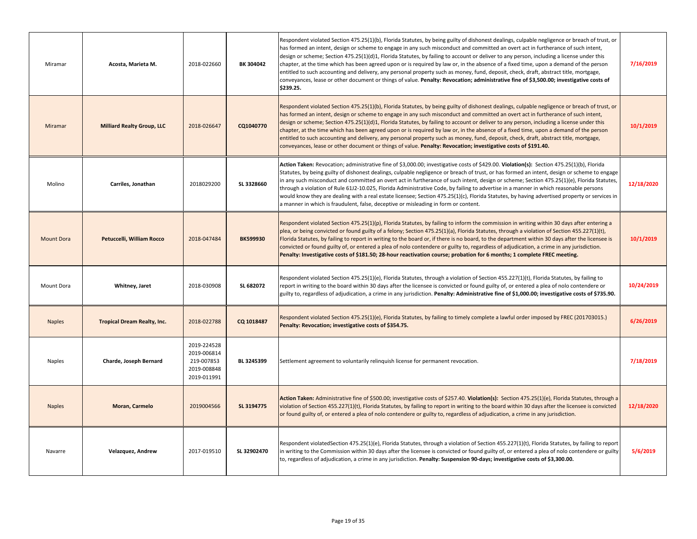| Miramar           | Acosta, Marieta M.                 | 2018-022660                                                            | BK 304042       | Respondent violated Section 475.25(1)(b), Florida Statutes, by being guilty of dishonest dealings, culpable negligence or breach of trust, or<br>has formed an intent, design or scheme to engage in any such misconduct and committed an overt act in furtherance of such intent,<br>design or scheme; Section 475.25(1)(d)1, Florida Statutes, by failing to account or deliver to any person, including a license under this<br>chapter, at the time which has been agreed upon or is required by law or, in the absence of a fixed time, upon a demand of the person<br>entitled to such accounting and delivery, any personal property such as money, fund, deposit, check, draft, abstract title, mortgage,<br>conveyances, lease or other document or things of value. Penalty: Revocation; administrative fine of \$3,500.00; investigative costs of<br>\$239.25. | 7/16/2019  |
|-------------------|------------------------------------|------------------------------------------------------------------------|-----------------|---------------------------------------------------------------------------------------------------------------------------------------------------------------------------------------------------------------------------------------------------------------------------------------------------------------------------------------------------------------------------------------------------------------------------------------------------------------------------------------------------------------------------------------------------------------------------------------------------------------------------------------------------------------------------------------------------------------------------------------------------------------------------------------------------------------------------------------------------------------------------|------------|
| Miramar           | <b>Milliard Realty Group, LLC</b>  | 2018-026647                                                            | CQ1040770       | Respondent violated Section 475.25(1)(b), Florida Statutes, by being guilty of dishonest dealings, culpable negligence or breach of trust, or<br>has formed an intent, design or scheme to engage in any such misconduct and committed an overt act in furtherance of such intent,<br>design or scheme; Section 475.25(1)(d)1, Florida Statutes, by failing to account or deliver to any person, including a license under this<br>chapter, at the time which has been agreed upon or is required by law or, in the absence of a fixed time, upon a demand of the person<br>entitled to such accounting and delivery, any personal property such as money, fund, deposit, check, draft, abstract title, mortgage,<br>conveyances, lease or other document or things of value. Penalty: Revocation; investigative costs of \$191.40.                                       | 10/1/2019  |
| Molino            | Carriles, Jonathan                 | 2018029200                                                             | SL 3328660      | Action Taken: Revocation; administrative fine of \$3,000.00; investigative costs of \$429.00. Violation(s): Section 475.25(1)(b), Florida<br>Statutes, by being guilty of dishonest dealings, culpable negligence or breach of trust, or has formed an intent, design or scheme to engage<br>in any such misconduct and committed an overt act in furtherance of such intent, design or scheme; Section 475.25(1)(e), Florida Statutes,<br>through a violation of Rule 61J2-10.025, Florida Administrative Code, by failing to advertise in a manner in which reasonable persons<br>would know they are dealing with a real estate licensee; Section 475.25(1)(c), Florida Statutes, by having advertised property or services in<br>a manner in which is fraudulent, false, deceptive or misleading in form or content.                                                  | 12/18/2020 |
| <b>Mount Dora</b> | Petuccelli, William Rocco          | 2018-047484                                                            | <b>BK599930</b> | Respondent violated Section 475.25(1)(p), Florida Statutes, by failing to inform the commission in writing within 30 days after entering a<br>plea, or being convicted or found guilty of a felony; Section 475.25(1)(a), Florida Statutes, through a violation of Section 455.227(1)(t),<br>Florida Statutes, by failing to report in writing to the board or, if there is no board, to the department within 30 days after the licensee is<br>convicted or found guilty of, or entered a plea of nolo contendere or guilty to, regardless of adjudication, a crime in any jurisdiction.<br>Penalty: Investigative costs of \$181.50; 28-hour reactivation course; probation for 6 months; 1 complete FREC meeting.                                                                                                                                                      | 10/1/2019  |
| Mount Dora        | Whitney, Jaret                     | 2018-030908                                                            | SL 682072       | Respondent violated Section 475.25(1)(e), Florida Statutes, through a violation of Section 455.227(1)(t), Florida Statutes, by failing to<br>report in writing to the board within 30 days after the licensee is convicted or found guilty of, or entered a plea of nolo contendere or<br>guilty to, regardless of adjudication, a crime in any jurisdiction. Penalty: Administrative fine of \$1,000.00; investigative costs of \$735.90.                                                                                                                                                                                                                                                                                                                                                                                                                                | 10/24/2019 |
| <b>Naples</b>     | <b>Tropical Dream Realty, Inc.</b> | 2018-022788                                                            | CQ 1018487      | Respondent violated Section 475.25(1)(e), Florida Statutes, by failing to timely complete a lawful order imposed by FREC (201703015.)<br>Penalty: Revocation; investigative costs of \$354.75.                                                                                                                                                                                                                                                                                                                                                                                                                                                                                                                                                                                                                                                                            | 6/26/2019  |
| Naples            | Charde, Joseph Bernard             | 2019-224528<br>2019-006814<br>219-007853<br>2019-008848<br>2019-011991 | BL 3245399      | Settlement agreement to voluntarily relinquish license for permanent revocation.                                                                                                                                                                                                                                                                                                                                                                                                                                                                                                                                                                                                                                                                                                                                                                                          | 7/18/2019  |
| <b>Naples</b>     | <b>Moran, Carmelo</b>              | 2019004566                                                             | SL 3194775      | Action Taken: Administrative fine of \$500.00; investigative costs of \$257.40. Violation(s): Section 475.25(1)(e), Florida Statutes, through a<br>violation of Section 455.227(1)(t), Florida Statutes, by failing to report in writing to the board within 30 days after the licensee is convicted<br>or found guilty of, or entered a plea of nolo contendere or guilty to, regardless of adjudication, a crime in any jurisdiction.                                                                                                                                                                                                                                                                                                                                                                                                                                   | 12/18/2020 |
| Navarre           | Velazquez, Andrew                  | 2017-019510                                                            | SL 32902470     | Respondent violatedSection 475.25(1)(e), Florida Statutes, through a violation of Section 455.227(1)(t), Florida Statutes, by failing to report<br>in writing to the Commission within 30 days after the licensee is convicted or found guilty of, or entered a plea of nolo contendere or guilty<br>to, regardless of adjudication, a crime in any jurisdiction. Penalty: Suspension 90-days; investigative costs of \$3,300.00.                                                                                                                                                                                                                                                                                                                                                                                                                                         | 5/6/2019   |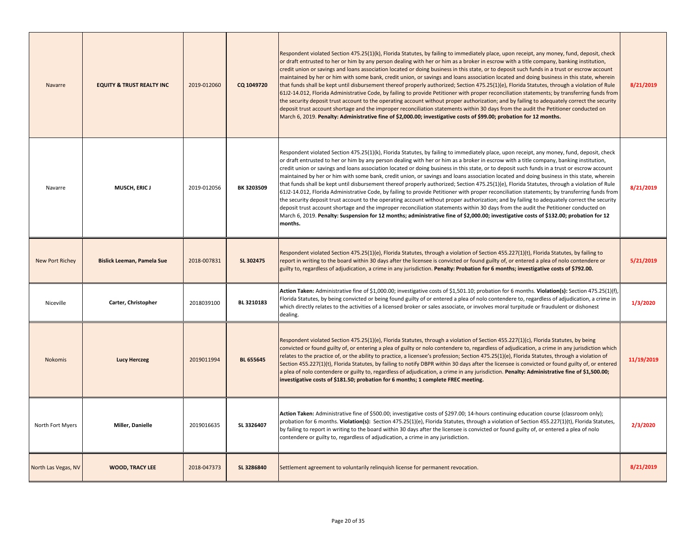| Navarre             | <b>EQUITY &amp; TRUST REALTY INC</b> | 2019-012060 | CQ 1049720       | Respondent violated Section 475.25(1)(k), Florida Statutes, by failing to immediately place, upon receipt, any money, fund, deposit, check<br>or draft entrusted to her or him by any person dealing with her or him as a broker in escrow with a title company, banking institution,<br>credit union or savings and loans association located or doing business in this state, or to deposit such funds in a trust or escrow account<br>maintained by her or him with some bank, credit union, or savings and loans association located and doing business in this state, wherein<br>that funds shall be kept until disbursement thereof properly authorized; Section 475.25(1)(e), Florida Statutes, through a violation of Rule<br>61J2-14.012, Florida Administrative Code, by failing to provide Petitioner with proper reconciliation statements; by transferring funds from<br>the security deposit trust account to the operating account without proper authorization; and by failing to adequately correct the security<br>deposit trust account shortage and the improper reconciliation statements within 30 days from the audit the Petitioner conducted on<br>March 6, 2019. Penalty: Administrative fine of \$2,000.00; investigative costs of \$99.00; probation for 12 months.                               | 8/21/2019  |
|---------------------|--------------------------------------|-------------|------------------|-------------------------------------------------------------------------------------------------------------------------------------------------------------------------------------------------------------------------------------------------------------------------------------------------------------------------------------------------------------------------------------------------------------------------------------------------------------------------------------------------------------------------------------------------------------------------------------------------------------------------------------------------------------------------------------------------------------------------------------------------------------------------------------------------------------------------------------------------------------------------------------------------------------------------------------------------------------------------------------------------------------------------------------------------------------------------------------------------------------------------------------------------------------------------------------------------------------------------------------------------------------------------------------------------------------------------------|------------|
| Navarre             | <b>MUSCH, ERIC J</b>                 | 2019-012056 | BK 3203509       | Respondent violated Section 475.25(1)(k), Florida Statutes, by failing to immediately place, upon receipt, any money, fund, deposit, check<br>or draft entrusted to her or him by any person dealing with her or him as a broker in escrow with a title company, banking institution,<br>credit union or savings and loans association located or doing business in this state, or to deposit such funds in a trust or escrow account<br>maintained by her or him with some bank, credit union, or savings and loans association located and doing business in this state, wherein<br>that funds shall be kept until disbursement thereof properly authorized; Section 475.25(1)(e), Florida Statutes, through a violation of Rule<br>6112-14.012, Florida Administrative Code, by failing to provide Petitioner with proper reconciliation statements; by transferring funds from<br>the security deposit trust account to the operating account without proper authorization; and by failing to adequately correct the security<br>deposit trust account shortage and the improper reconciliation statements within 30 days from the audit the Petitioner conducted on<br>March 6, 2019. Penalty: Suspension for 12 months; administrative fine of \$2,000.00; investigative costs of \$132.00; probation for 12<br>months. | 8/21/2019  |
| New Port Richey     | <b>Bislick Leeman, Pamela Sue</b>    | 2018-007831 | SL 302475        | Respondent violated Section 475.25(1)(e), Florida Statutes, through a violation of Section 455.227(1)(t), Florida Statutes, by failing to<br>report in writing to the board within 30 days after the licensee is convicted or found guilty of, or entered a plea of nolo contendere or<br>guilty to, regardless of adjudication, a crime in any jurisdiction. Penalty: Probation for 6 months; investigative costs of \$792.00.                                                                                                                                                                                                                                                                                                                                                                                                                                                                                                                                                                                                                                                                                                                                                                                                                                                                                               | 5/21/2019  |
| Niceville           | Carter, Christopher                  | 2018039100  | BL 3210183       | Action Taken: Administrative fine of \$1,000.00; investigative costs of \$1,501.10; probation for 6 months. Violation(s): Section 475.25(1)(f),<br>Florida Statutes, by being convicted or being found guilty of or entered a plea of nolo contendere to, regardless of adjudication, a crime in<br>which directly relates to the activities of a licensed broker or sales associate, or involves moral turpitude or fraudulent or dishonest<br>dealing.                                                                                                                                                                                                                                                                                                                                                                                                                                                                                                                                                                                                                                                                                                                                                                                                                                                                      | 1/3/2020   |
| Nokomis             | <b>Lucy Herczeg</b>                  | 2019011994  | <b>BL 655645</b> | Respondent violated Section 475.25(1)(e), Florida Statutes, through a violation of Section 455.227(1)(c), Florida Statutes, by being<br>convicted or found guilty of, or entering a plea of guilty or nolo contendere to, regardless of adjudication, a crime in any jurisdiction which<br>relates to the practice of, or the ability to practice, a licensee's profession; Section 475.25(1)(e), Florida Statutes, through a violation of<br>Section 455.227(1)(t), Florida Statutes, by failing to notify DBPR within 30 days after the licensee is convicted or found guilty of, or entered<br>a plea of nolo contendere or guilty to, regardless of adjudication, a crime in any jurisdiction. Penalty: Administrative fine of \$1,500.00;<br>investigative costs of \$181.50; probation for 6 months; 1 complete FREC meeting.                                                                                                                                                                                                                                                                                                                                                                                                                                                                                           | 11/19/2019 |
| North Fort Myers    | Miller, Danielle                     | 2019016635  | SL 3326407       | Action Taken: Administrative fine of \$500.00; investigative costs of \$297.00; 14-hours continuing education course (classroom only);<br>probation for 6 months. Violation(s): Section 475.25(1)(e), Florida Statutes, through a violation of Section 455.227(1)(t), Florida Statutes,<br>by failing to report in writing to the board within 30 days after the licensee is convicted or found guilty of, or entered a plea of nolo<br>contendere or guilty to, regardless of adjudication, a crime in any jurisdiction.                                                                                                                                                                                                                                                                                                                                                                                                                                                                                                                                                                                                                                                                                                                                                                                                     | 2/3/2020   |
| North Las Vegas, NV | <b>WOOD, TRACY LEE</b>               | 2018-047373 | SL 3286840       | Settlement agreement to voluntarily relinquish license for permanent revocation.                                                                                                                                                                                                                                                                                                                                                                                                                                                                                                                                                                                                                                                                                                                                                                                                                                                                                                                                                                                                                                                                                                                                                                                                                                              | 8/21/2019  |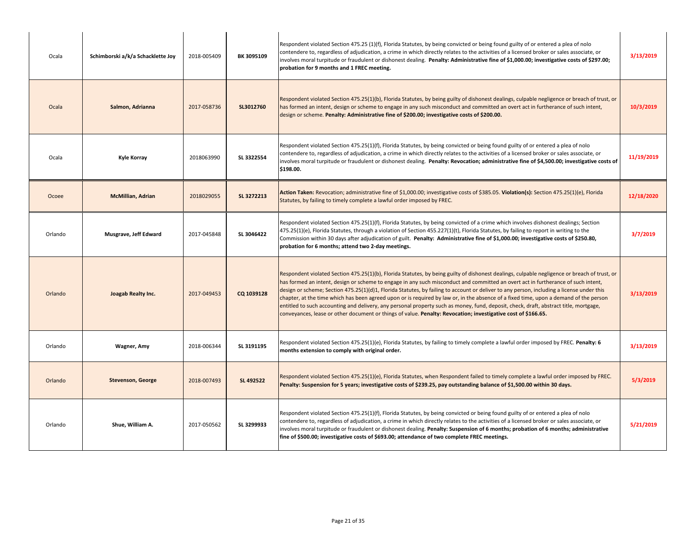| Ocala   | Schimborski a/k/a Schacklette Joy | 2018-005409 | BK 3095109 | Respondent violated Section 475.25 (1)(f), Florida Statutes, by being convicted or being found guilty of or entered a plea of nolo<br>contendere to, regardless of adjudication, a crime in which directly relates to the activities of a licensed broker or sales associate, or<br>involves moral turpitude or fraudulent or dishonest dealing. Penalty: Administrative fine of \$1,000.00; investigative costs of \$297.00;<br>probation for 9 months and 1 FREC meeting.                                                                                                                                                                                                                                                                                                                                                        | 3/13/2019  |
|---------|-----------------------------------|-------------|------------|------------------------------------------------------------------------------------------------------------------------------------------------------------------------------------------------------------------------------------------------------------------------------------------------------------------------------------------------------------------------------------------------------------------------------------------------------------------------------------------------------------------------------------------------------------------------------------------------------------------------------------------------------------------------------------------------------------------------------------------------------------------------------------------------------------------------------------|------------|
| Ocala   | Salmon, Adrianna                  | 2017-058736 | SL3012760  | Respondent violated Section 475.25(1)(b), Florida Statutes, by being guilty of dishonest dealings, culpable negligence or breach of trust, or<br>has formed an intent, design or scheme to engage in any such misconduct and committed an overt act in furtherance of such intent,<br>design or scheme. Penalty: Administrative fine of \$200.00; investigative costs of \$200.00.                                                                                                                                                                                                                                                                                                                                                                                                                                                 | 10/3/2019  |
| Ocala   | <b>Kyle Korray</b>                | 2018063990  | SL 3322554 | Respondent violated Section 475.25(1)(f), Florida Statutes, by being convicted or being found guilty of or entered a plea of nolo<br>contendere to, regardless of adjudication, a crime in which directly relates to the activities of a licensed broker or sales associate, or<br>involves moral turpitude or fraudulent or dishonest dealing. Penalty: Revocation; administrative fine of \$4,500.00; investigative costs of<br>\$198.00.                                                                                                                                                                                                                                                                                                                                                                                        | 11/19/2019 |
| Ocoee   | <b>McMillian, Adrian</b>          | 2018029055  | SL 3272213 | Action Taken: Revocation; administrative fine of \$1,000.00; investigative costs of \$385.05. Violation(s): Section 475.25(1)(e), Florida<br>Statutes, by failing to timely complete a lawful order imposed by FREC.                                                                                                                                                                                                                                                                                                                                                                                                                                                                                                                                                                                                               | 12/18/2020 |
| Orlando | Musgrave, Jeff Edward             | 2017-045848 | SL 3046422 | Respondent violated Section 475.25(1)(f), Florida Statutes, by being convicted of a crime which involves dishonest dealings; Section<br>475.25(1)(e), Florida Statutes, through a violation of Section 455.227(1)(t), Florida Statutes, by failing to report in writing to the<br>Commission within 30 days after adjudication of guilt. Penalty: Administrative fine of \$1,000.00; investigative costs of \$250.80,<br>probation for 6 months; attend two 2-day meetings.                                                                                                                                                                                                                                                                                                                                                        | 3/7/2019   |
| Orlando | Joagab Realty Inc.                | 2017-049453 | CQ 1039128 | Respondent violated Section 475.25(1)(b), Florida Statutes, by being guilty of dishonest dealings, culpable negligence or breach of trust, or<br>has formed an intent, design or scheme to engage in any such misconduct and committed an overt act in furtherance of such intent,<br>design or scheme; Section 475.25(1)(d)1, Florida Statutes, by failing to account or deliver to any person, including a license under this<br>chapter, at the time which has been agreed upon or is required by law or, in the absence of a fixed time, upon a demand of the person<br>entitled to such accounting and delivery, any personal property such as money, fund, deposit, check, draft, abstract title, mortgage,<br>conveyances, lease or other document or things of value. Penalty: Revocation; investigative cost of \$166.65. | 3/13/2019  |
| Orlando | Wagner, Amy                       | 2018-006344 | SL 3191195 | Respondent violated Section 475.25(1)(e), Florida Statutes, by failing to timely complete a lawful order imposed by FREC. Penalty: 6<br>months extension to comply with original order.                                                                                                                                                                                                                                                                                                                                                                                                                                                                                                                                                                                                                                            | 3/13/2019  |
| Orlando | <b>Stevenson, George</b>          | 2018-007493 | SL 492522  | Respondent violated Section 475.25(1)(e), Florida Statutes, when Respondent failed to timely complete a lawful order imposed by FREC.<br>Penalty: Suspension for 5 years; investigative costs of \$239.25, pay outstanding balance of \$1,500.00 within 30 days.                                                                                                                                                                                                                                                                                                                                                                                                                                                                                                                                                                   | 5/3/2019   |
| Orlando | Shue, William A.                  | 2017-050562 | SL 3299933 | Respondent violated Section 475.25(1)(f), Florida Statutes, by being convicted or being found guilty of or entered a plea of nolo<br>contendere to, regardless of adjudication, a crime in which directly relates to the activities of a licensed broker or sales associate, or<br>involves moral turpitude or fraudulent or dishonest dealing. Penalty: Suspension of 6 months; probation of 6 months; administrative<br>fine of \$500.00; investigative costs of \$693.00; attendance of two complete FREC meetings.                                                                                                                                                                                                                                                                                                             | 5/21/2019  |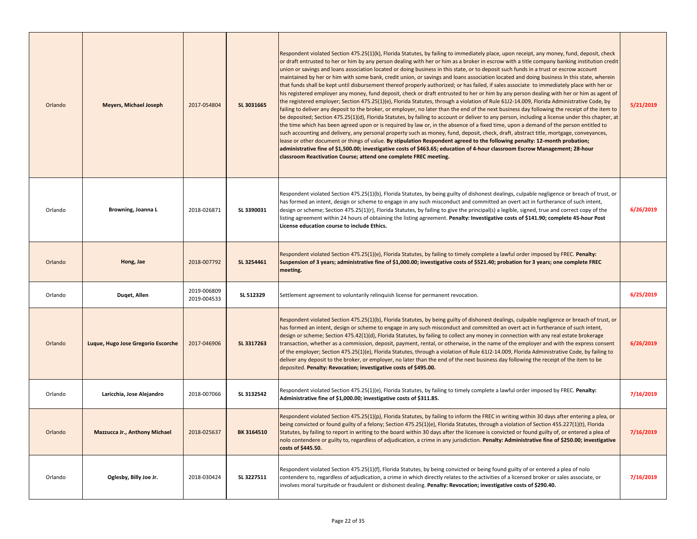| Orlando | <b>Meyers, Michael Joseph</b>        | 2017-054804                | SL 3031665 | Respondent violated Section 475.25(1)(k), Florida Statutes, by failing to immediately place, upon receipt, any money, fund, deposit, check<br>or draft entrusted to her or him by any person dealing with her or him as a broker in escrow with a title company banking institution credit<br>union or savings and loans association located or doing business in this state, or to deposit such funds in a trust or escrow account<br>maintained by her or him with some bank, credit union, or savings and loans association located and doing business In this state, wherein<br>that funds shall be kept until disbursement thereof properly authorized; or has failed, if sales associate to immediately place with her or<br>his registered employer any money, fund deposit, check or draft entrusted to her or him by any person dealing with her or him as agent of<br>the registered employer; Section 475.25(1)(e), Florida Statutes, through a violation of Rule 61J2-14.009, Florida Administrative Code, by<br>failing to deliver any deposit to the broker, or employer, no later than the end of the next business day following the receipt of the item to<br>be deposited; Section 475.25(1)(d), Florida Statutes, by failing to account or deliver to any person, including a license under this chapter, at<br>the time which has been agreed upon or is required by law or, in the absence of a fixed time, upon a demand of the person entitled to<br>such accounting and delivery, any personal property such as money, fund, deposit, check, draft, abstract title, mortgage, conveyances,<br>lease or other document or things of value. By stipulation Respondent agreed to the following penalty: 12-month probation;<br>administrative fine of \$1,500.00; investigative costs of \$463.65; education of 4-hour classroom Escrow Management; 28-hour<br>classroom Reactivation Course; attend one complete FREC meeting. | 5/21/2019 |
|---------|--------------------------------------|----------------------------|------------|------------------------------------------------------------------------------------------------------------------------------------------------------------------------------------------------------------------------------------------------------------------------------------------------------------------------------------------------------------------------------------------------------------------------------------------------------------------------------------------------------------------------------------------------------------------------------------------------------------------------------------------------------------------------------------------------------------------------------------------------------------------------------------------------------------------------------------------------------------------------------------------------------------------------------------------------------------------------------------------------------------------------------------------------------------------------------------------------------------------------------------------------------------------------------------------------------------------------------------------------------------------------------------------------------------------------------------------------------------------------------------------------------------------------------------------------------------------------------------------------------------------------------------------------------------------------------------------------------------------------------------------------------------------------------------------------------------------------------------------------------------------------------------------------------------------------------------------------------------------------------------------------------------------------------------------------------|-----------|
| Orlando | Browning, Joanna L                   | 2018-026871                | SL 3390031 | Respondent violated Section 475.25(1)(b), Florida Statutes, by being guilty of dishonest dealings, culpable negligence or breach of trust, or<br>has formed an intent, design or scheme to engage in any such misconduct and committed an overt act in furtherance of such intent,<br>design or scheme; Section 475.25(1)(r), Florida Statutes, by failing to give the principal(s) a legible, signed, true and correct copy of the<br>listing agreement within 24 hours of obtaining the listing agreement. Penalty: Investigative costs of \$141.90; complete 45-hour Post<br>License education course to include Ethics.                                                                                                                                                                                                                                                                                                                                                                                                                                                                                                                                                                                                                                                                                                                                                                                                                                                                                                                                                                                                                                                                                                                                                                                                                                                                                                                          | 6/26/2019 |
| Orlando | Hong, Jae                            | 2018-007792                | SL 3254461 | Respondent violated Section 475.25(1)(e), Florida Statutes, by failing to timely complete a lawful order imposed by FREC. Penalty:<br>Suspension of 3 years; administrative fine of \$1,000.00; investigative costs of \$521.40; probation for 3 years; one complete FREC<br>meeting.                                                                                                                                                                                                                                                                                                                                                                                                                                                                                                                                                                                                                                                                                                                                                                                                                                                                                                                                                                                                                                                                                                                                                                                                                                                                                                                                                                                                                                                                                                                                                                                                                                                                |           |
| Orlando | Duqet, Allen                         | 2019-006809<br>2019-004533 | SL 512329  | Settlement agreement to voluntarily relinguish license for permanent revocation.                                                                                                                                                                                                                                                                                                                                                                                                                                                                                                                                                                                                                                                                                                                                                                                                                                                                                                                                                                                                                                                                                                                                                                                                                                                                                                                                                                                                                                                                                                                                                                                                                                                                                                                                                                                                                                                                     | 6/25/2019 |
| Orlando | Luque, Hugo Jose Gregorio Escorche   | 2017-046906                | SL 3317263 | Respondent violated Section 475.25(1)(b), Florida Statutes, by being guilty of dishonest dealings, culpable negligence or breach of trust, or<br>has formed an intent, design or scheme to engage in any such misconduct and committed an overt act in furtherance of such intent,<br>design or scheme; Section 475.42(1)(d), Florida Statutes, by failing to collect any money in connection with any real estate brokerage<br>transaction, whether as a commission, deposit, payment, rental, or otherwise, in the name of the employer and with the express consent<br>of the employer; Section 475.25(1)(e), Florida Statutes, through a violation of Rule 61J2-14.009, Florida Administrative Code, by failing to<br>deliver any deposit to the broker, or employer, no later than the end of the next business day following the receipt of the item to be<br>deposited. Penalty: Revocation; investigative costs of \$495.00.                                                                                                                                                                                                                                                                                                                                                                                                                                                                                                                                                                                                                                                                                                                                                                                                                                                                                                                                                                                                                 | 6/26/2019 |
| Orlando | Laricchia, Jose Alejandro            | 2018-007066                | SL 3132542 | Respondent violated Section 475.25(1)(e), Florida Statutes, by failing to timely complete a lawful order imposed by FREC. Penalty:<br>Administrative fine of \$1,000.00; investigative costs of \$311.85.                                                                                                                                                                                                                                                                                                                                                                                                                                                                                                                                                                                                                                                                                                                                                                                                                                                                                                                                                                                                                                                                                                                                                                                                                                                                                                                                                                                                                                                                                                                                                                                                                                                                                                                                            | 7/16/2019 |
| Orlando | <b>Mazzucca Jr., Anthony Michael</b> | 2018-025637                | BK 3164510 | Respondent violated Section 475.25(1)(p), Florida Statutes, by failing to inform the FREC in writing within 30 days after entering a plea, or<br>being convicted or found guilty of a felony; Section 475.25(1)(e), Florida Statutes, through a violation of Section 455.227(1)(t), Florida<br>Statutes, by failing to report in writing to the board within 30 days after the licensee is convicted or found guilty of, or entered a plea of<br>nolo contendere or guilty to, regardless of adjudication, a crime in any jurisdiction. Penalty: Administrative fine of \$250.00; investigative<br>costs of \$445.50.                                                                                                                                                                                                                                                                                                                                                                                                                                                                                                                                                                                                                                                                                                                                                                                                                                                                                                                                                                                                                                                                                                                                                                                                                                                                                                                                | 7/16/2019 |
| Orlando | Oglesby, Billy Joe Jr.               | 2018-030424                | SL 3227511 | Respondent violated Section 475.25(1)(f), Florida Statutes, by being convicted or being found guilty of or entered a plea of nolo<br>contendere to, regardless of adjudication, a crime in which directly relates to the activities of a licensed broker or sales associate, or<br>involves moral turpitude or fraudulent or dishonest dealing. Penalty: Revocation; investigative costs of \$290.40.                                                                                                                                                                                                                                                                                                                                                                                                                                                                                                                                                                                                                                                                                                                                                                                                                                                                                                                                                                                                                                                                                                                                                                                                                                                                                                                                                                                                                                                                                                                                                | 7/16/2019 |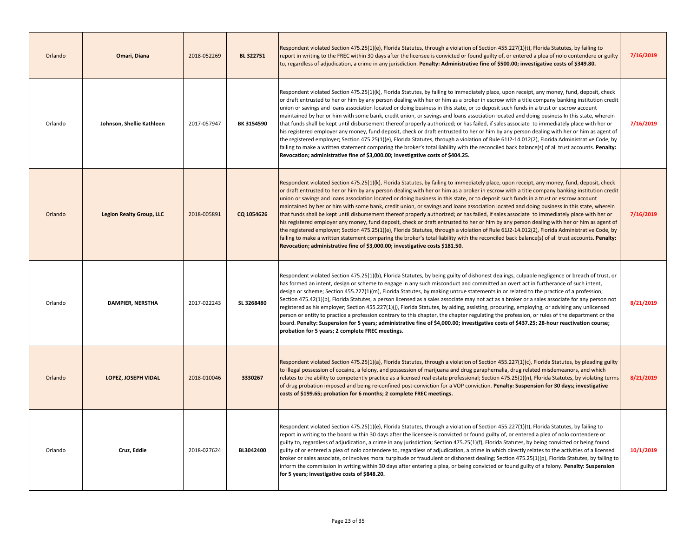| Orlando | Omari, Diana                    | 2018-052269 | BL 322751  | Respondent violated Section 475.25(1)(e), Florida Statutes, through a violation of Section 455.227(1)(t), Florida Statutes, by failing to<br>report in writing to the FREC within 30 days after the licensee is convicted or found guilty of, or entered a plea of nolo contendere or guilty<br>to, regardless of adjudication, a crime in any jurisdiction. Penalty: Administrative fine of \$500.00; investigative costs of \$349.80.                                                                                                                                                                                                                                                                                                                                                                                                                                                                                                                                                                                                                                                                                                                                                                                                                           | 7/16/2019 |
|---------|---------------------------------|-------------|------------|-------------------------------------------------------------------------------------------------------------------------------------------------------------------------------------------------------------------------------------------------------------------------------------------------------------------------------------------------------------------------------------------------------------------------------------------------------------------------------------------------------------------------------------------------------------------------------------------------------------------------------------------------------------------------------------------------------------------------------------------------------------------------------------------------------------------------------------------------------------------------------------------------------------------------------------------------------------------------------------------------------------------------------------------------------------------------------------------------------------------------------------------------------------------------------------------------------------------------------------------------------------------|-----------|
| Orlando | Johnson, Shellie Kathleen       | 2017-057947 | BK 3154590 | Respondent violated Section 475.25(1)(k), Florida Statutes, by failing to immediately place, upon receipt, any money, fund, deposit, check<br>or draft entrusted to her or him by any person dealing with her or him as a broker in escrow with a title company banking institution credit<br>union or savings and loans association located or doing business in this state, or to deposit such funds in a trust or escrow account<br>maintained by her or him with some bank, credit union, or savings and loans association located and doing business In this state, wherein<br>that funds shall be kept until disbursement thereof properly authorized; or has failed, if sales associate to immediately place with her or<br>his registered employer any money, fund deposit, check or draft entrusted to her or him by any person dealing with her or him as agent of<br>the registered employer; Section 475.25(1)(e), Florida Statutes, through a violation of Rule 61J2-14.012(2), Florida Administrative Code, by<br>failing to make a written statement comparing the broker's total liability with the reconciled back balance(s) of all trust accounts. Penalty:<br>Revocation; administrative fine of \$3,000.00; investigative costs of \$404.25. | 7/16/2019 |
| Orlando | <b>Legion Realty Group, LLC</b> | 2018-005891 | CQ 1054626 | Respondent violated Section 475.25(1)(k), Florida Statutes, by failing to immediately place, upon receipt, any money, fund, deposit, check<br>or draft entrusted to her or him by any person dealing with her or him as a broker in escrow with a title company banking institution credit<br>union or savings and loans association located or doing business in this state, or to deposit such funds in a trust or escrow account<br>maintained by her or him with some bank, credit union, or savings and loans association located and doing business In this state, wherein<br>that funds shall be kept until disbursement thereof properly authorized; or has failed, if sales associate to immediately place with her or<br>his registered employer any money, fund deposit, check or draft entrusted to her or him by any person dealing with her or him as agent of<br>the registered employer; Section 475.25(1)(e), Florida Statutes, through a violation of Rule 61J2-14.012(2), Florida Administrative Code, by<br>failing to make a written statement comparing the broker's total liability with the reconciled back balance(s) of all trust accounts. Penalty:<br>Revocation; administrative fine of \$3,000.00; investigative costs \$181.50.    | 7/16/2019 |
| Orlando | <b>DAMPIER, NERSTHA</b>         | 2017-022243 | SL 3268480 | Respondent violated Section 475.25(1)(b), Florida Statutes, by being guilty of dishonest dealings, culpable negligence or breach of trust, or<br>has formed an intent, design or scheme to engage in any such misconduct and committed an overt act in furtherance of such intent,<br>design or scheme; Section 455.227(1)(m), Florida Statutes, by making untrue statements in or related to the practice of a profession;<br>Section 475.42(1)(b), Florida Statutes, a person licensed as a sales associate may not act as a broker or a sales associate for any person not<br>registered as his employer; Section 455.227(1)(j), Florida Statutes, by aiding, assisting, procuring, employing, or advising any unlicensed<br>person or entity to practice a profession contrary to this chapter, the chapter regulating the profession, or rules of the department or the<br>board. Penalty: Suspension for 5 years; administrative fine of \$4,000.00; investigative costs of \$437.25; 28-hour reactivation course;<br>probation for 5 years; 2 complete FREC meetings.                                                                                                                                                                                      | 8/21/2019 |
| Orlando | LOPEZ, JOSEPH VIDAL             | 2018-010046 | 3330267    | Respondent violated Section 475.25(1)(a), Florida Statutes, through a violation of Section 455.227(1)(c), Florida Statutes, by pleading guilty<br>to illegal possession of cocaine, a felony, and possession of marijuana and drug paraphernalia, drug related misdemeanors, and which<br>relates to the ability to competently practice as a licensed real estate professional; Section 475.25(1)(n), Florida Statutes, by violating terms<br>of drug probation imposed and being re-confined post-conviction for a VOP conviction. Penalty: Suspension for 30 days; investigative<br>costs of \$199.65; probation for 6 months; 2 complete FREC meetings.                                                                                                                                                                                                                                                                                                                                                                                                                                                                                                                                                                                                       | 8/21/2019 |
| Orlando | Cruz, Eddie                     | 2018-027624 | BL3042400  | Respondent violated Section 475.25(1)(e), Florida Statutes, through a violation of Section 455.227(1)(t), Florida Statutes, by failing to<br>report in writing to the board within 30 days after the licensee is convicted or found guilty of, or entered a plea of nolo contendere or<br>guilty to, regardless of adjudication, a crime in any jurisdiction; Section 475.25(1)(f), Florida Statutes, by being convicted or being found<br>guilty of or entered a plea of nolo contendere to, regardless of adjudication, a crime in which directly relates to the activities of a licensed<br>broker or sales associate, or involves moral turpitude or fraudulent or dishonest dealing; Section 475.25(1)(p), Florida Statutes, by failing to<br>inform the commission in writing within 30 days after entering a plea, or being convicted or found guilty of a felony. Penalty: Suspension<br>for 5 years; investigative costs of \$848.20.                                                                                                                                                                                                                                                                                                                    | 10/1/2019 |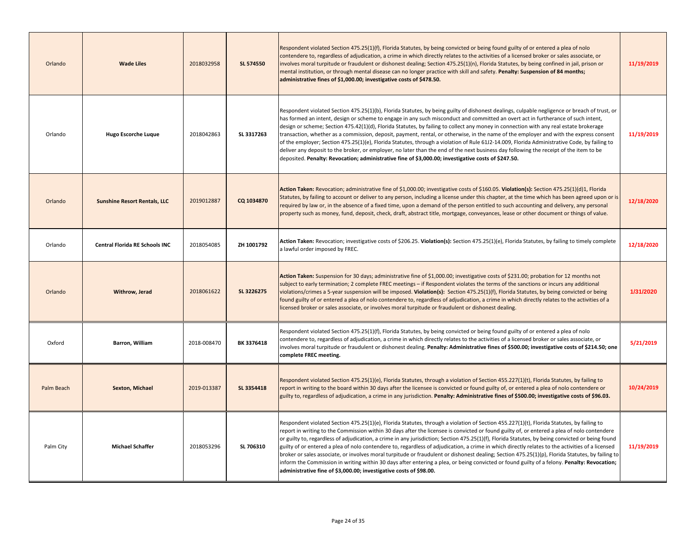| Orlando    | <b>Wade Liles</b>                   | 2018032958  | SL 574550  | Respondent violated Section 475.25(1)(f), Florida Statutes, by being convicted or being found guilty of or entered a plea of nolo<br>contendere to, regardless of adjudication, a crime in which directly relates to the activities of a licensed broker or sales associate, or<br>involves moral turpitude or fraudulent or dishonest dealing; Section 475.25(1)(n), Florida Statutes, by being confined in jail, prison or<br>mental institution, or through mental disease can no longer practice with skill and safety. Penalty: Suspension of 84 months;<br>administrative fines of \$1,000.00; investigative costs of \$478.50.                                                                                                                                                                                                                                                                                                                                     | 11/19/2019 |
|------------|-------------------------------------|-------------|------------|---------------------------------------------------------------------------------------------------------------------------------------------------------------------------------------------------------------------------------------------------------------------------------------------------------------------------------------------------------------------------------------------------------------------------------------------------------------------------------------------------------------------------------------------------------------------------------------------------------------------------------------------------------------------------------------------------------------------------------------------------------------------------------------------------------------------------------------------------------------------------------------------------------------------------------------------------------------------------|------------|
| Orlando    | <b>Hugo Escorche Luque</b>          | 2018042863  | SL 3317263 | Respondent violated Section 475.25(1)(b), Florida Statutes, by being guilty of dishonest dealings, culpable negligence or breach of trust, or<br>has formed an intent, design or scheme to engage in any such misconduct and committed an overt act in furtherance of such intent,<br>design or scheme; Section 475.42(1)(d), Florida Statutes, by failing to collect any money in connection with any real estate brokerage<br>transaction, whether as a commission, deposit, payment, rental, or otherwise, in the name of the employer and with the express consent<br>of the employer; Section 475.25(1)(e), Florida Statutes, through a violation of Rule 61J2-14.009, Florida Administrative Code, by failing to<br>deliver any deposit to the broker, or employer, no later than the end of the next business day following the receipt of the item to be<br>deposited. Penalty: Revocation; administrative fine of \$3,000.00; investigative costs of \$247.50.   | 11/19/2019 |
| Orlando    | <b>Sunshine Resort Rentals, LLC</b> | 2019012887  | CQ 1034870 | Action Taken: Revocation; administrative fine of \$1,000.00; investigative costs of \$160.05. Violation(s): Section 475.25(1)(d)1, Florida<br>Statutes, by failing to account or deliver to any person, including a license under this chapter, at the time which has been agreed upon or is<br>required by law or, in the absence of a fixed time, upon a demand of the person entitled to such accounting and delivery, any personal<br>property such as money, fund, deposit, check, draft, abstract title, mortgage, conveyances, lease or other document or things of value.                                                                                                                                                                                                                                                                                                                                                                                         | 12/18/2020 |
| Orlando    | Central Florida RE Schools INC      | 2018054085  | ZH 1001792 | Action Taken: Revocation; investigative costs of \$206.25. Violation(s): Section 475.25(1)(e), Florida Statutes, by failing to timely complete<br>a lawful order imposed by FREC.                                                                                                                                                                                                                                                                                                                                                                                                                                                                                                                                                                                                                                                                                                                                                                                         | 12/18/2020 |
| Orlando    | Withrow, Jerad                      | 2018061622  | SL 3226275 | Action Taken: Suspension for 30 days; administrative fine of \$1,000.00; investigative costs of \$231.00; probation for 12 months not<br>subject to early termination; 2 complete FREC meetings – if Respondent violates the terms of the sanctions or incurs any additional<br>violations/crimes a 5-year suspension will be imposed. Violation(s): Section 475.25(1)(f), Florida Statutes, by being convicted or being<br>found guilty of or entered a plea of nolo contendere to, regardless of adjudication, a crime in which directly relates to the activities of a<br>licensed broker or sales associate, or involves moral turpitude or fraudulent or dishonest dealing.                                                                                                                                                                                                                                                                                          | 1/31/2020  |
| Oxford     | Barron, William                     | 2018-008470 | BK 3376418 | Respondent violated Section 475.25(1)(f), Florida Statutes, by being convicted or being found guilty of or entered a plea of nolo<br>contendere to, regardless of adjudication, a crime in which directly relates to the activities of a licensed broker or sales associate, or<br>involves moral turpitude or fraudulent or dishonest dealing. Penalty: Administrative fines of \$500.00; investigative costs of \$214.50; one<br>complete FREC meeting.                                                                                                                                                                                                                                                                                                                                                                                                                                                                                                                 | 5/21/2019  |
| Palm Beach | <b>Sexton, Michael</b>              | 2019-013387 | SL 3354418 | Respondent violated Section 475.25(1)(e), Florida Statutes, through a violation of Section 455.227(1)(t), Florida Statutes, by failing to<br>report in writing to the board within 30 days after the licensee is convicted or found guilty of, or entered a plea of nolo contendere or<br>guilty to, regardless of adjudication, a crime in any jurisdiction. Penalty: Administrative fines of \$500.00; investigative costs of \$96.03.                                                                                                                                                                                                                                                                                                                                                                                                                                                                                                                                  | 10/24/2019 |
| Palm City  | <b>Michael Schaffer</b>             | 2018053296  | SL 706310  | Respondent violated Section 475.25(1)(e), Florida Statutes, through a violation of Section 455.227(1)(t), Florida Statutes, by failing to<br>report in writing to the Commission within 30 days after the licensee is convicted or found guilty of, or entered a plea of nolo contendere<br>or guilty to, regardless of adjudication, a crime in any jurisdiction; Section 475.25(1)(f), Florida Statutes, by being convicted or being found<br>guilty of or entered a plea of nolo contendere to, regardless of adjudication, a crime in which directly relates to the activities of a licensed<br>broker or sales associate, or involves moral turpitude or fraudulent or dishonest dealing; Section 475.25(1)(p), Florida Statutes, by failing to<br>inform the Commission in writing within 30 days after entering a plea, or being convicted or found guilty of a felony. Penalty: Revocation;<br>administrative fine of \$3,000.00; investigative costs of \$98.00. | 11/19/2019 |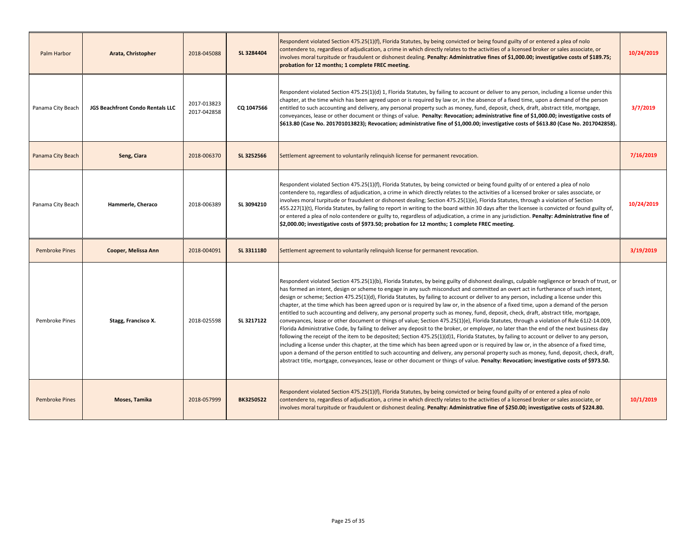| Palm Harbor           | Arata, Christopher               | 2018-045088                | SL 3284404 | Respondent violated Section 475.25(1)(f), Florida Statutes, by being convicted or being found guilty of or entered a plea of nolo<br>contendere to, regardless of adjudication, a crime in which directly relates to the activities of a licensed broker or sales associate, or<br>involves moral turpitude or fraudulent or dishonest dealing. Penalty: Administrative fines of \$1,000.00; investigative costs of \$189.75;<br>probation for 12 months; 1 complete FREC meeting.                                                                                                                                                                                                                                                                                                                                                                                                                                                                                                                                                                                                                                                                                                                                                                                                                                                                                                                                                                                                                                                                                                           | 10/24/2019 |
|-----------------------|----------------------------------|----------------------------|------------|----------------------------------------------------------------------------------------------------------------------------------------------------------------------------------------------------------------------------------------------------------------------------------------------------------------------------------------------------------------------------------------------------------------------------------------------------------------------------------------------------------------------------------------------------------------------------------------------------------------------------------------------------------------------------------------------------------------------------------------------------------------------------------------------------------------------------------------------------------------------------------------------------------------------------------------------------------------------------------------------------------------------------------------------------------------------------------------------------------------------------------------------------------------------------------------------------------------------------------------------------------------------------------------------------------------------------------------------------------------------------------------------------------------------------------------------------------------------------------------------------------------------------------------------------------------------------------------------|------------|
| Panama City Beach     | JGS Beachfront Condo Rentals LLC | 2017-013823<br>2017-042858 | CQ 1047566 | Respondent violated Section 475.25(1)(d) 1, Florida Statutes, by failing to account or deliver to any person, including a license under this<br>chapter, at the time which has been agreed upon or is required by law or, in the absence of a fixed time, upon a demand of the person<br>entitled to such accounting and delivery, any personal property such as money, fund, deposit, check, draft, abstract title, mortgage,<br>conveyances, lease or other document or things of value. Penalty: Revocation; administrative fine of \$1,000.00; investigative costs of<br>\$613.80 (Case No. 201701013823); Revocation; administrative fine of \$1,000.00; investigative costs of \$613.80 (Case No. 2017042858).                                                                                                                                                                                                                                                                                                                                                                                                                                                                                                                                                                                                                                                                                                                                                                                                                                                                         | 3/7/2019   |
| Panama City Beach     | Seng, Ciara                      | 2018-006370                | SL 3252566 | Settlement agreement to voluntarily relinquish license for permanent revocation.                                                                                                                                                                                                                                                                                                                                                                                                                                                                                                                                                                                                                                                                                                                                                                                                                                                                                                                                                                                                                                                                                                                                                                                                                                                                                                                                                                                                                                                                                                             | 7/16/2019  |
| Panama City Beach     | Hammerle, Cheraco                | 2018-006389                | SL 3094210 | Respondent violated Section 475.25(1)(f), Florida Statutes, by being convicted or being found guilty of or entered a plea of nolo<br>contendere to, regardless of adjudication, a crime in which directly relates to the activities of a licensed broker or sales associate, or<br>involves moral turpitude or fraudulent or dishonest dealing; Section 475.25(1)(e), Florida Statutes, through a violation of Section<br>455.227(1)(t), Florida Statutes, by failing to report in writing to the board within 30 days after the licensee is convicted or found guilty of,<br>or entered a plea of nolo contendere or guilty to, regardless of adjudication, a crime in any jurisdiction. Penalty: Administrative fine of<br>\$2,000.00; investigative costs of \$973.50; probation for 12 months; 1 complete FREC meeting.                                                                                                                                                                                                                                                                                                                                                                                                                                                                                                                                                                                                                                                                                                                                                                  | 10/24/2019 |
| <b>Pembroke Pines</b> | Cooper, Melissa Ann              | 2018-004091                | SL 3311180 | Settlement agreement to voluntarily relinquish license for permanent revocation.                                                                                                                                                                                                                                                                                                                                                                                                                                                                                                                                                                                                                                                                                                                                                                                                                                                                                                                                                                                                                                                                                                                                                                                                                                                                                                                                                                                                                                                                                                             | 3/19/2019  |
| Pembroke Pines        | Stagg, Francisco X.              | 2018-025598                | SL 3217122 | Respondent violated Section 475.25(1)(b), Florida Statutes, by being guilty of dishonest dealings, culpable negligence or breach of trust, or<br>has formed an intent, design or scheme to engage in any such misconduct and committed an overt act in furtherance of such intent,<br>design or scheme; Section 475.25(1)(d), Florida Statutes, by failing to account or deliver to any person, including a license under this<br>chapter, at the time which has been agreed upon or is required by law or, in the absence of a fixed time, upon a demand of the person<br>entitled to such accounting and delivery, any personal property such as money, fund, deposit, check, draft, abstract title, mortgage,<br>conveyances, lease or other document or things of value; Section 475.25(1)(e), Florida Statutes, through a violation of Rule 61J2-14.009,<br>Florida Administrative Code, by failing to deliver any deposit to the broker, or employer, no later than the end of the next business day<br>following the receipt of the item to be deposited; Section 475.25(1)(d)1, Florida Statutes, by failing to account or deliver to any person,<br>including a license under this chapter, at the time which has been agreed upon or is required by law or, in the absence of a fixed time,<br>upon a demand of the person entitled to such accounting and delivery, any personal property such as money, fund, deposit, check, draft,<br>abstract title, mortgage, conveyances, lease or other document or things of value. Penalty: Revocation; investigative costs of \$973.50. |            |
| <b>Pembroke Pines</b> | Moses, Tamika                    | 2018-057999                | BK3250522  | Respondent violated Section 475.25(1)(f), Florida Statutes, by being convicted or being found guilty of or entered a plea of nolo<br>contendere to, regardless of adjudication, a crime in which directly relates to the activities of a licensed broker or sales associate, or<br>involves moral turpitude or fraudulent or dishonest dealing. Penalty: Administrative fine of \$250.00; investigative costs of \$224.80.                                                                                                                                                                                                                                                                                                                                                                                                                                                                                                                                                                                                                                                                                                                                                                                                                                                                                                                                                                                                                                                                                                                                                                   | 10/1/2019  |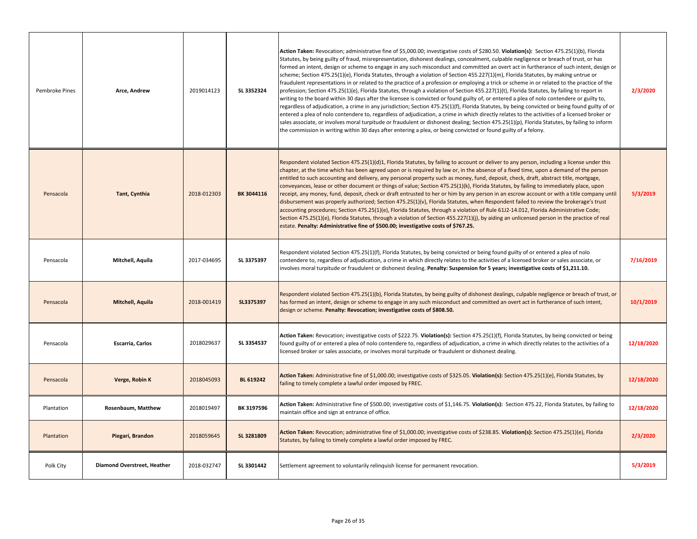| Pembroke Pines | Arce, Andrew                | 2019014123  | SL 3352324 | Action Taken: Revocation; administrative fine of \$5,000.00; investigative costs of \$280.50. Violation(s): Section 475.25(1)(b), Florida<br>Statutes, by being guilty of fraud, misrepresentation, dishonest dealings, concealment, culpable negligence or breach of trust, or has<br>formed an intent, design or scheme to engage in any such misconduct and committed an overt act in furtherance of such intent, design or<br>scheme; Section 475.25(1)(e), Florida Statutes, through a violation of Section 455.227(1)(m), Florida Statutes, by making untrue or<br>fraudulent representations in or related to the practice of a profession or employing a trick or scheme in or related to the practice of the<br>profession; Section 475.25(1)(e), Florida Statutes, through a violation of Section 455.227(1)(t), Florida Statutes, by failing to report in<br>writing to the board within 30 days after the licensee is convicted or found guilty of, or entered a plea of nolo contendere or guilty to,<br>regardless of adjudication, a crime in any jurisdiction; Section 475.25(1)(f), Florida Statutes, by being convicted or being found guilty of or<br>entered a plea of nolo contendere to, regardless of adjudication, a crime in which directly relates to the activities of a licensed broker or<br>sales associate, or involves moral turpitude or fraudulent or dishonest dealing; Section 475.25(1)(p), Florida Statutes, by failing to inform<br>the commission in writing within 30 days after entering a plea, or being convicted or found guilty of a felony. | 2/3/2020   |
|----------------|-----------------------------|-------------|------------|--------------------------------------------------------------------------------------------------------------------------------------------------------------------------------------------------------------------------------------------------------------------------------------------------------------------------------------------------------------------------------------------------------------------------------------------------------------------------------------------------------------------------------------------------------------------------------------------------------------------------------------------------------------------------------------------------------------------------------------------------------------------------------------------------------------------------------------------------------------------------------------------------------------------------------------------------------------------------------------------------------------------------------------------------------------------------------------------------------------------------------------------------------------------------------------------------------------------------------------------------------------------------------------------------------------------------------------------------------------------------------------------------------------------------------------------------------------------------------------------------------------------------------------------------------------------------------------------|------------|
| Pensacola      | Tant, Cynthia               | 2018-012303 | BK 3044116 | Respondent violated Section 475.25(1)(d)1, Florida Statutes, by failing to account or deliver to any person, including a license under this<br>chapter, at the time which has been agreed upon or is required by law or, in the absence of a fixed time, upon a demand of the person<br>entitled to such accounting and delivery, any personal property such as money, fund, deposit, check, draft, abstract title, mortgage,<br>conveyances, lease or other document or things of value; Section 475.25(1)(k), Florida Statutes, by failing to immediately place, upon<br>receipt, any money, fund, deposit, check or draft entrusted to her or him by any person in an escrow account or with a title company until<br>disbursement was properly authorized; Section 475.25(1)(v), Florida Statutes, when Respondent failed to review the brokerage's trust<br>accounting procedures; Section 475.25(1)(e), Florida Statutes, through a violation of Rule 61J2-14.012, Florida Administrative Code;<br>Section 475.25(1)(e), Florida Statutes, through a violation of Section 455.227(1)(j), by aiding an unlicensed person in the practice of real<br>estate. Penalty: Administrative fine of \$500.00; investigative costs of \$767.25.                                                                                                                                                                                                                                                                                                                                                | 5/3/2019   |
| Pensacola      | Mitchell, Aquila            | 2017-034695 | SL 3375397 | Respondent violated Section 475.25(1)(f), Florida Statutes, by being convicted or being found guilty of or entered a plea of nolo<br>contendere to, regardless of adjudication, a crime in which directly relates to the activities of a licensed broker or sales associate, or<br>involves moral turpitude or fraudulent or dishonest dealing. Penalty: Suspension for 5 years; investigative costs of \$1,211.10.                                                                                                                                                                                                                                                                                                                                                                                                                                                                                                                                                                                                                                                                                                                                                                                                                                                                                                                                                                                                                                                                                                                                                                        | 7/16/2019  |
| Pensacola      | Mitchell, Aquila            | 2018-001419 | SL3375397  | Respondent violated Section 475.25(1)(b), Florida Statutes, by being guilty of dishonest dealings, culpable negligence or breach of trust, or<br>has formed an intent, design or scheme to engage in any such misconduct and committed an overt act in furtherance of such intent,<br>design or scheme. Penalty: Revocation; investigative costs of \$808.50.                                                                                                                                                                                                                                                                                                                                                                                                                                                                                                                                                                                                                                                                                                                                                                                                                                                                                                                                                                                                                                                                                                                                                                                                                              | 10/1/2019  |
| Pensacola      | Escarria, Carlos            | 2018029637  | SL 3354537 | Action Taken: Revocation; investigative costs of \$222.75. Violation(s): Section 475.25(1)(f), Florida Statutes, by being convicted or being<br>found guilty of or entered a plea of nolo contendere to, regardless of adjudication, a crime in which directly relates to the activities of a<br>licensed broker or sales associate, or involves moral turpitude or fraudulent or dishonest dealing.                                                                                                                                                                                                                                                                                                                                                                                                                                                                                                                                                                                                                                                                                                                                                                                                                                                                                                                                                                                                                                                                                                                                                                                       | 12/18/2020 |
| Pensacola      | Verge, Robin K              | 2018045093  | BL 619242  | Action Taken: Administrative fine of \$1,000.00; investigative costs of \$325.05. Violation(s): Section 475.25(1)(e), Florida Statutes, by<br>failing to timely complete a lawful order imposed by FREC.                                                                                                                                                                                                                                                                                                                                                                                                                                                                                                                                                                                                                                                                                                                                                                                                                                                                                                                                                                                                                                                                                                                                                                                                                                                                                                                                                                                   | 12/18/2020 |
| Plantation     | Rosenbaum, Matthew          | 2018019497  | BK 3197596 | Action Taken: Administrative fine of \$500.00; investigative costs of \$1,146.75. Violation(s): Section 475.22, Florida Statutes, by failing to<br>maintain office and sign at entrance of office.                                                                                                                                                                                                                                                                                                                                                                                                                                                                                                                                                                                                                                                                                                                                                                                                                                                                                                                                                                                                                                                                                                                                                                                                                                                                                                                                                                                         | 12/18/2020 |
| Plantation     | Piegari, Brandon            | 2018059645  | SL 3281809 | Action Taken: Revocation; administrative fine of \$1,000.00; investigative costs of \$238.85. Violation(s): Section 475.25(1)(e), Florida<br>Statutes, by failing to timely complete a lawful order imposed by FREC.                                                                                                                                                                                                                                                                                                                                                                                                                                                                                                                                                                                                                                                                                                                                                                                                                                                                                                                                                                                                                                                                                                                                                                                                                                                                                                                                                                       | 2/3/2020   |
| Polk City      | Diamond Overstreet, Heather | 2018-032747 | SL 3301442 | Settlement agreement to voluntarily relinguish license for permanent revocation.                                                                                                                                                                                                                                                                                                                                                                                                                                                                                                                                                                                                                                                                                                                                                                                                                                                                                                                                                                                                                                                                                                                                                                                                                                                                                                                                                                                                                                                                                                           | 5/3/2019   |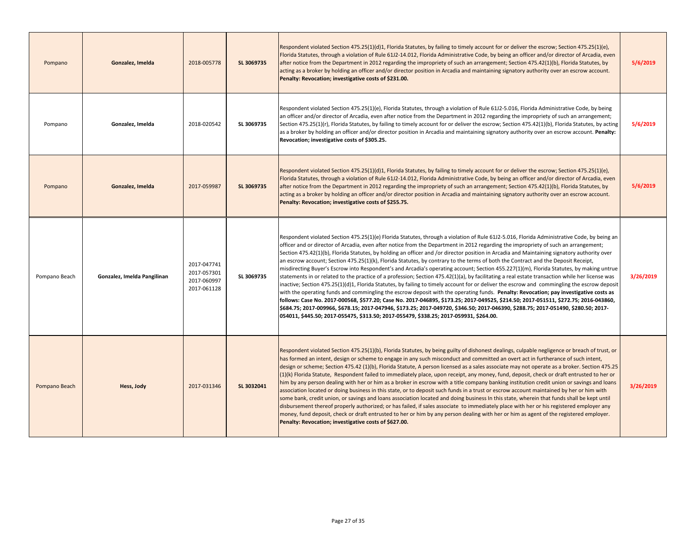| Pompano       | Gonzalez, Imelda            | 2018-005778                                              | SL 3069735 | Respondent violated Section 475.25(1)(d)1, Florida Statutes, by failing to timely account for or deliver the escrow; Section 475.25(1)(e),<br>Florida Statutes, through a violation of Rule 61J2-14.012, Florida Administrative Code, by being an officer and/or director of Arcadia, even<br>after notice from the Department in 2012 regarding the impropriety of such an arrangement; Section 475.42(1)(b), Florida Statutes, by<br>acting as a broker by holding an officer and/or director position in Arcadia and maintaining signatory authority over an escrow account.<br>Penalty: Revocation; investigative costs of \$231.00.                                                                                                                                                                                                                                                                                                                                                                                                                                                                                                                                                                                                                                                                                                                                                                                                                                                                                              | 5/6/2019  |
|---------------|-----------------------------|----------------------------------------------------------|------------|---------------------------------------------------------------------------------------------------------------------------------------------------------------------------------------------------------------------------------------------------------------------------------------------------------------------------------------------------------------------------------------------------------------------------------------------------------------------------------------------------------------------------------------------------------------------------------------------------------------------------------------------------------------------------------------------------------------------------------------------------------------------------------------------------------------------------------------------------------------------------------------------------------------------------------------------------------------------------------------------------------------------------------------------------------------------------------------------------------------------------------------------------------------------------------------------------------------------------------------------------------------------------------------------------------------------------------------------------------------------------------------------------------------------------------------------------------------------------------------------------------------------------------------|-----------|
| Pompano       | Gonzalez, Imelda            | 2018-020542                                              | SL 3069735 | Respondent violated Section 475.25(1)(e), Florida Statutes, through a violation of Rule 61J2-5.016, Florida Administrative Code, by being<br>an officer and/or director of Arcadia, even after notice from the Department in 2012 regarding the impropriety of such an arrangement;<br>Section 475.25(1)(r), Florida Statutes, by failing to timely account for or deliver the escrow; Section 475.42(1)(b), Florida Statutes, by acting<br>as a broker by holding an officer and/or director position in Arcadia and maintaining signatory authority over an escrow account. Penalty:<br>Revocation; investigative costs of \$305.25.                                                                                                                                                                                                                                                                                                                                                                                                                                                                                                                                                                                                                                                                                                                                                                                                                                                                                                | 5/6/2019  |
| Pompano       | Gonzalez, Imelda            | 2017-059987                                              | SL 3069735 | Respondent violated Section 475.25(1)(d)1, Florida Statutes, by failing to timely account for or deliver the escrow; Section 475.25(1)(e),<br>Florida Statutes, through a violation of Rule 6112-14.012, Florida Administrative Code, by being an officer and/or director of Arcadia, even<br>after notice from the Department in 2012 regarding the impropriety of such an arrangement; Section 475.42(1)(b), Florida Statutes, by<br>acting as a broker by holding an officer and/or director position in Arcadia and maintaining signatory authority over an escrow account.<br>Penalty: Revocation; investigative costs of \$255.75.                                                                                                                                                                                                                                                                                                                                                                                                                                                                                                                                                                                                                                                                                                                                                                                                                                                                                              | 5/6/2019  |
| Pompano Beach | Gonzalez, Imelda Pangilinan | 2017-047741<br>2017-057301<br>2017-060997<br>2017-061128 | SL 3069735 | Respondent violated Section 475.25(1)(e) Florida Statutes, through a violation of Rule 61J2-5.016, Florida Administrative Code, by being an<br>officer and or director of Arcadia, even after notice from the Department in 2012 regarding the impropriety of such an arrangement;<br>Section 475.42(1)(b), Florida Statutes, by holding an officer and /or director position in Arcadia and Maintaining signatory authority over<br>an escrow account; Section 475.25(1)(k), Florida Statutes, by contrary to the terms of both the Contract and the Deposit Receipt,<br>misdirecting Buyer's Escrow into Respondent's and Arcadia's operating account; Section 455.227(1)(m), Florida Statutes, by making untrue<br>statements in or related to the practice of a profession; Section 475.42(1)(a), by facilitating a real estate transaction while her license was<br>inactive; Section 475.25(1)(d)1, Florida Statutes, by failing to timely account for or deliver the escrow and commingling the escrow deposit<br>with the operating funds and commingling the escrow deposit with the operating funds. Penalty: Revocation; pay investigative costs as<br>follows: Case No. 2017-000568, \$577.20; Case No. 2017-046895, \$173.25; 2017-049525, \$214.50; 2017-051511, \$272.75; 2016-043860,<br>\$684.75; 2017-009966, \$678.15; 2017-047946, \$173.25; 2017-049720, \$346.50; 2017-046390, \$288.75; 2017-051490, \$280.50; 2017-<br>054011, \$445.50; 2017-055475, \$313.50; 2017-055479, \$338.25; 2017-059931, \$264.00. | 3/26/2019 |
| Pompano Beach | Hess, Jody                  | 2017-031346                                              | SL 3032041 | Respondent violated Section 475.25(1)(b), Florida Statutes, by being guilty of dishonest dealings, culpable negligence or breach of trust, or<br>has formed an intent, design or scheme to engage in any such misconduct and committed an overt act in furtherance of such intent,<br>design or scheme; Section 475.42 (1)(b), Florida Statute, A person licensed as a sales associate may not operate as a broker. Section 475.25<br>(1)(k) Florida Statute, Respondent failed to immediately place, upon receipt, any money, fund, deposit, check or draft entrusted to her or<br>him by any person dealing with her or him as a broker in escrow with a title company banking institution credit union or savings and loans<br>association located or doing business in this state, or to deposit such funds in a trust or escrow account maintained by her or him with<br>some bank, credit union, or savings and loans association located and doing business In this state, wherein that funds shall be kept until<br>disbursement thereof properly authorized; or has failed, if sales associate to immediately place with her or his registered employer any<br>money, fund deposit, check or draft entrusted to her or him by any person dealing with her or him as agent of the registered employer.<br>Penalty: Revocation; investigative costs of \$627.00.                                                                                                                                                               | 3/26/2019 |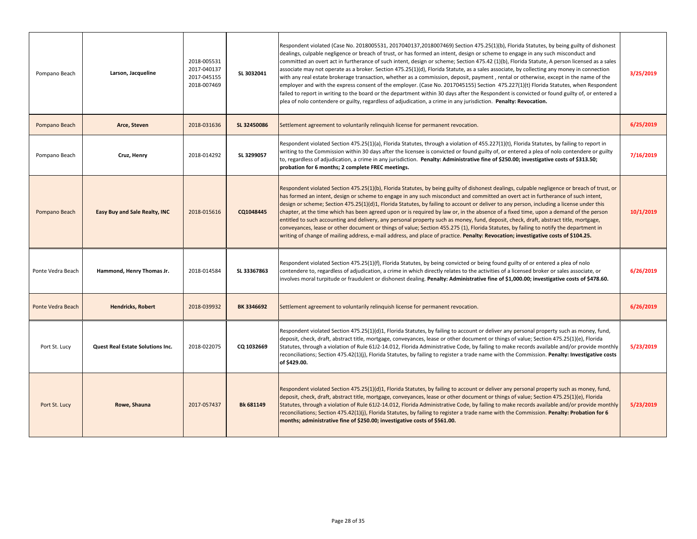| Pompano Beach     | Larson, Jacqueline               | 2018-005531<br>2017-040137<br>2017-045155<br>2018-007469 | SL 3032041  | Respondent violated (Case No. 2018005531, 2017040137,2018007469) Section 475.25(1)(b), Florida Statutes, by being guilty of dishonest<br>dealings, culpable negligence or breach of trust, or has formed an intent, design or scheme to engage in any such misconduct and<br>committed an overt act in furtherance of such intent, design or scheme; Section 475.42 (1)(b), Florida Statute, A person licensed as a sales<br>associate may not operate as a broker. Section 475.25(1)(d), Florida Statute, as a sales associate, by collecting any money in connection<br>with any real estate brokerage transaction, whether as a commission, deposit, payment, rental or otherwise, except in the name of the<br>employer and with the express consent of the employer. (Case No. 2017045155) Section 475.227(1)(t) Florida Statutes, when Respondent<br>failed to report in writing to the board or the department within 30 days after the Respondent is convicted or found guilty of, or entered a<br>plea of nolo contendere or guilty, regardless of adjudication, a crime in any jurisdiction. Penalty: Revocation. | 3/25/2019 |
|-------------------|----------------------------------|----------------------------------------------------------|-------------|-----------------------------------------------------------------------------------------------------------------------------------------------------------------------------------------------------------------------------------------------------------------------------------------------------------------------------------------------------------------------------------------------------------------------------------------------------------------------------------------------------------------------------------------------------------------------------------------------------------------------------------------------------------------------------------------------------------------------------------------------------------------------------------------------------------------------------------------------------------------------------------------------------------------------------------------------------------------------------------------------------------------------------------------------------------------------------------------------------------------------------|-----------|
| Pompano Beach     | Arce, Steven                     | 2018-031636                                              | SL 32450086 | Settlement agreement to voluntarily relinguish license for permanent revocation.                                                                                                                                                                                                                                                                                                                                                                                                                                                                                                                                                                                                                                                                                                                                                                                                                                                                                                                                                                                                                                            | 6/25/2019 |
| Pompano Beach     | Cruz, Henry                      | 2018-014292                                              | SL 3299057  | Respondent violated Section 475.25(1)(a), Florida Statutes, through a violation of 455.227(1)(t), Florida Statutes, by failing to report in<br>writing to the Commission within 30 days after the licensee is convicted or found guilty of, or entered a plea of nolo contendere or guilty<br>to, regardless of adjudication, a crime in any jurisdiction. Penalty: Administrative fine of \$250.00; investigative costs of \$313.50;<br>probation for 6 months; 2 complete FREC meetings.                                                                                                                                                                                                                                                                                                                                                                                                                                                                                                                                                                                                                                  | 7/16/2019 |
| Pompano Beach     | Easy Buy and Sale Realty, INC    | 2018-015616                                              | CQ1048445   | Respondent violated Section 475.25(1)(b), Florida Statutes, by being guilty of dishonest dealings, culpable negligence or breach of trust, or<br>has formed an intent, design or scheme to engage in any such misconduct and committed an overt act in furtherance of such intent,<br>design or scheme; Section 475.25(1)(d)1, Florida Statutes, by failing to account or deliver to any person, including a license under this<br>chapter, at the time which has been agreed upon or is required by law or, in the absence of a fixed time, upon a demand of the person<br>entitled to such accounting and delivery, any personal property such as money, fund, deposit, check, draft, abstract title, mortgage,<br>conveyances, lease or other document or things of value; Section 455.275 (1), Florida Statutes, by failing to notify the department in<br>writing of change of mailing address, e-mail address, and place of practice. Penalty: Revocation; investigative costs of \$104.25.                                                                                                                           | 10/1/2019 |
| Ponte Vedra Beach | Hammond, Henry Thomas Jr.        | 2018-014584                                              | SL 33367863 | Respondent violated Section 475.25(1)(f), Florida Statutes, by being convicted or being found guilty of or entered a plea of nolo<br>contendere to, regardless of adjudication, a crime in which directly relates to the activities of a licensed broker or sales associate, or<br>involves moral turpitude or fraudulent or dishonest dealing. Penalty: Administrative fine of \$1,000.00; investigative costs of \$478.60.                                                                                                                                                                                                                                                                                                                                                                                                                                                                                                                                                                                                                                                                                                | 6/26/2019 |
| Ponte Vedra Beach | <b>Hendricks, Robert</b>         | 2018-039932                                              | BK 3346692  | Settlement agreement to voluntarily relinquish license for permanent revocation.                                                                                                                                                                                                                                                                                                                                                                                                                                                                                                                                                                                                                                                                                                                                                                                                                                                                                                                                                                                                                                            | 6/26/2019 |
| Port St. Lucy     | Quest Real Estate Solutions Inc. | 2018-022075                                              | CQ 1032669  | Respondent violated Section 475.25(1)(d)1, Florida Statutes, by failing to account or deliver any personal property such as money, fund,<br>deposit, check, draft, abstract title, mortgage, conveyances, lease or other document or things of value; Section 475.25(1)(e), Florida<br>Statutes, through a violation of Rule 61J2-14.012, Florida Administrative Code, by failing to make records available and/or provide monthly<br>reconciliations; Section 475.42(1)(j), Florida Statutes, by failing to register a trade name with the Commission. Penalty: Investigative costs<br>of \$429.00.                                                                                                                                                                                                                                                                                                                                                                                                                                                                                                                        | 5/23/2019 |
| Port St. Lucy     | Rowe, Shauna                     | 2017-057437                                              | Bk 681149   | Respondent violated Section 475.25(1)(d)1, Florida Statutes, by failing to account or deliver any personal property such as money, fund,<br>deposit, check, draft, abstract title, mortgage, conveyances, lease or other document or things of value; Section 475.25(1)(e), Florida<br>Statutes, through a violation of Rule 61J2-14.012, Florida Administrative Code, by failing to make records available and/or provide monthly<br>reconciliations; Section 475.42(1)(j), Florida Statutes, by failing to register a trade name with the Commission. Penalty: Probation for 6<br>months; administrative fine of \$250.00; investigative costs of \$561.00.                                                                                                                                                                                                                                                                                                                                                                                                                                                               | 5/23/2019 |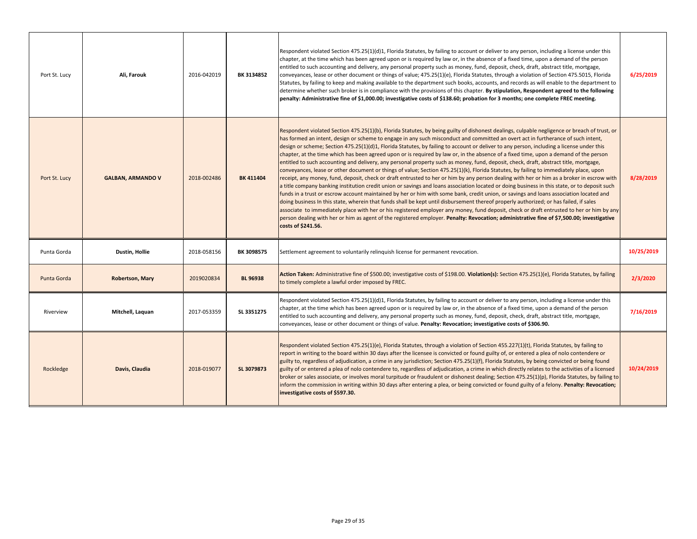| Port St. Lucy | Ali, Farouk              | 2016-042019 | BK 3134852      | Respondent violated Section 475.25(1)(d)1, Florida Statutes, by failing to account or deliver to any person, including a license under this<br>chapter, at the time which has been agreed upon or is required by law or, in the absence of a fixed time, upon a demand of the person<br>entitled to such accounting and delivery, any personal property such as money, fund, deposit, check, draft, abstract title, mortgage,<br>conveyances, lease or other document or things of value; 475.25(1)(e), Florida Statutes, through a violation of Section 475.5015, Florida<br>Statutes, by failing to keep and making available to the department such books, accounts, and records as will enable to the department to<br>determine whether such broker is in compliance with the provisions of this chapter. By stipulation, Respondent agreed to the following<br>penalty: Administrative fine of \$1,000.00; investigative costs of \$138.60; probation for 3 months; one complete FREC meeting.                                                                                                                                                                                                                                                                                                                                                                                                                                                                                                                                                                                                                                                                                                                                                           | 6/25/2019  |
|---------------|--------------------------|-------------|-----------------|----------------------------------------------------------------------------------------------------------------------------------------------------------------------------------------------------------------------------------------------------------------------------------------------------------------------------------------------------------------------------------------------------------------------------------------------------------------------------------------------------------------------------------------------------------------------------------------------------------------------------------------------------------------------------------------------------------------------------------------------------------------------------------------------------------------------------------------------------------------------------------------------------------------------------------------------------------------------------------------------------------------------------------------------------------------------------------------------------------------------------------------------------------------------------------------------------------------------------------------------------------------------------------------------------------------------------------------------------------------------------------------------------------------------------------------------------------------------------------------------------------------------------------------------------------------------------------------------------------------------------------------------------------------------------------------------------------------------------------------------------------------|------------|
| Port St. Lucy | <b>GALBAN, ARMANDO V</b> | 2018-002486 | BK 411404       | Respondent violated Section 475.25(1)(b), Florida Statutes, by being guilty of dishonest dealings, culpable negligence or breach of trust, or<br>has formed an intent, design or scheme to engage in any such misconduct and committed an overt act in furtherance of such intent,<br>design or scheme; Section 475.25(1)(d)1, Florida Statutes, by failing to account or deliver to any person, including a license under this<br>chapter, at the time which has been agreed upon or is required by law or, in the absence of a fixed time, upon a demand of the person<br>entitled to such accounting and delivery, any personal property such as money, fund, deposit, check, draft, abstract title, mortgage,<br>conveyances, lease or other document or things of value; Section 475.25(1)(k), Florida Statutes, by failing to immediately place, upon<br>receipt, any money, fund, deposit, check or draft entrusted to her or him by any person dealing with her or him as a broker in escrow with<br>a title company banking institution credit union or savings and loans association located or doing business in this state, or to deposit such<br>funds in a trust or escrow account maintained by her or him with some bank, credit union, or savings and loans association located and<br>doing business In this state, wherein that funds shall be kept until disbursement thereof properly authorized; or has failed, if sales<br>associate to immediately place with her or his registered employer any money, fund deposit, check or draft entrusted to her or him by any<br>person dealing with her or him as agent of the registered employer. Penalty: Revocation; administrative fine of \$7,500.00; investigative<br>costs of \$241.56. | 8/28/2019  |
| Punta Gorda   | Dustin, Hollie           | 2018-058156 | BK 3098575      | Settlement agreement to voluntarily relinquish license for permanent revocation.                                                                                                                                                                                                                                                                                                                                                                                                                                                                                                                                                                                                                                                                                                                                                                                                                                                                                                                                                                                                                                                                                                                                                                                                                                                                                                                                                                                                                                                                                                                                                                                                                                                                               | 10/25/2019 |
| Punta Gorda   | <b>Robertson, Mary</b>   | 2019020834  | <b>BL 96938</b> | Action Taken: Administrative fine of \$500.00; investigative costs of \$198.00. Violation(s): Section 475.25(1)(e), Florida Statutes, by failing<br>to timely complete a lawful order imposed by FREC.                                                                                                                                                                                                                                                                                                                                                                                                                                                                                                                                                                                                                                                                                                                                                                                                                                                                                                                                                                                                                                                                                                                                                                                                                                                                                                                                                                                                                                                                                                                                                         | 2/3/2020   |
| Riverview     | Mitchell, Laguan         | 2017-053359 | SL 3351275      | Respondent violated Section 475.25(1)(d)1, Florida Statutes, by failing to account or deliver to any person, including a license under this<br>chapter, at the time which has been agreed upon or is required by law or, in the absence of a fixed time, upon a demand of the person<br>entitled to such accounting and delivery, any personal property such as money, fund, deposit, check, draft, abstract title, mortgage,<br>conveyances, lease or other document or things of value. Penalty: Revocation; investigative costs of \$306.90.                                                                                                                                                                                                                                                                                                                                                                                                                                                                                                                                                                                                                                                                                                                                                                                                                                                                                                                                                                                                                                                                                                                                                                                                                | 7/16/2019  |
| Rockledge     | Davis, Claudia           | 2018-019077 | SL 3079873      | Respondent violated Section 475.25(1)(e), Florida Statutes, through a violation of Section 455.227(1)(t), Florida Statutes, by failing to<br>report in writing to the board within 30 days after the licensee is convicted or found guilty of, or entered a plea of nolo contendere or<br>guilty to, regardless of adjudication, a crime in any jurisdiction; Section 475.25(1)(f), Florida Statutes, by being convicted or being found<br>guilty of or entered a plea of nolo contendere to, regardless of adjudication, a crime in which directly relates to the activities of a licensed<br>broker or sales associate, or involves moral turpitude or fraudulent or dishonest dealing; Section 475.25(1)(p), Florida Statutes, by failing to<br>inform the commission in writing within 30 days after entering a plea, or being convicted or found guilty of a felony. <b>Penalty: Revocation;</b><br>investigative costs of \$597.30.                                                                                                                                                                                                                                                                                                                                                                                                                                                                                                                                                                                                                                                                                                                                                                                                                      | 10/24/2019 |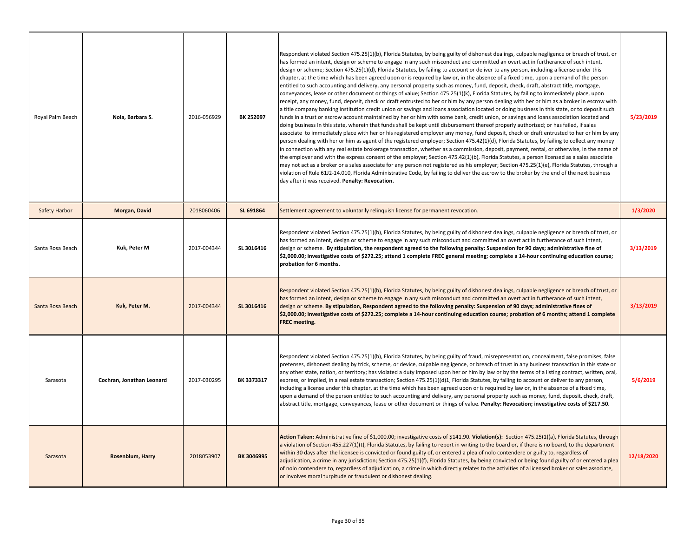| Royal Palm Beach | Nola, Barbara S.          | 2016-056929 | BK 252097  | Respondent violated Section 475.25(1)(b), Florida Statutes, by being guilty of dishonest dealings, culpable negligence or breach of trust, or<br>has formed an intent, design or scheme to engage in any such misconduct and committed an overt act in furtherance of such intent,<br>design or scheme; Section 475.25(1)(d), Florida Statutes, by failing to account or deliver to any person, including a license under this<br>chapter, at the time which has been agreed upon or is required by law or, in the absence of a fixed time, upon a demand of the person<br>entitled to such accounting and delivery, any personal property such as money, fund, deposit, check, draft, abstract title, mortgage,<br>conveyances, lease or other document or things of value; Section 475.25(1)(k), Florida Statutes, by failing to immediately place, upon<br>receipt, any money, fund, deposit, check or draft entrusted to her or him by any person dealing with her or him as a broker in escrow with<br>a title company banking institution credit union or savings and loans association located or doing business in this state, or to deposit such<br>funds in a trust or escrow account maintained by her or him with some bank, credit union, or savings and loans association located and<br>doing business In this state, wherein that funds shall be kept until disbursement thereof properly authorized; or has failed, if sales<br>associate to immediately place with her or his registered employer any money, fund deposit, check or draft entrusted to her or him by any<br>person dealing with her or him as agent of the registered employer; Section 475.42(1)(d), Florida Statutes, by failing to collect any money<br>in connection with any real estate brokerage transaction, whether as a commission, deposit, payment, rental, or otherwise, in the name of<br>the employer and with the express consent of the employer; Section 475.42(1)(b), Florida Statutes, a person licensed as a sales associate<br>may not act as a broker or a sales associate for any person not registered as his employer; Section 475.25(1)(e), Florida Statutes, through a<br>violation of Rule 61J2-14.010, Florida Administrative Code, by failing to deliver the escrow to the broker by the end of the next business<br>day after it was received. Penalty: Revocation. | 5/23/2019  |
|------------------|---------------------------|-------------|------------|---------------------------------------------------------------------------------------------------------------------------------------------------------------------------------------------------------------------------------------------------------------------------------------------------------------------------------------------------------------------------------------------------------------------------------------------------------------------------------------------------------------------------------------------------------------------------------------------------------------------------------------------------------------------------------------------------------------------------------------------------------------------------------------------------------------------------------------------------------------------------------------------------------------------------------------------------------------------------------------------------------------------------------------------------------------------------------------------------------------------------------------------------------------------------------------------------------------------------------------------------------------------------------------------------------------------------------------------------------------------------------------------------------------------------------------------------------------------------------------------------------------------------------------------------------------------------------------------------------------------------------------------------------------------------------------------------------------------------------------------------------------------------------------------------------------------------------------------------------------------------------------------------------------------------------------------------------------------------------------------------------------------------------------------------------------------------------------------------------------------------------------------------------------------------------------------------------------------------------------------------------------------------------------------------------------------------------------------------------------------------------------|------------|
| Safety Harbor    | Morgan, David             | 2018060406  | SL 691864  | Settlement agreement to voluntarily relinquish license for permanent revocation.                                                                                                                                                                                                                                                                                                                                                                                                                                                                                                                                                                                                                                                                                                                                                                                                                                                                                                                                                                                                                                                                                                                                                                                                                                                                                                                                                                                                                                                                                                                                                                                                                                                                                                                                                                                                                                                                                                                                                                                                                                                                                                                                                                                                                                                                                                      | 1/3/2020   |
| Santa Rosa Beach | Kuk, Peter M              | 2017-004344 | SL 3016416 | Respondent violated Section 475.25(1)(b), Florida Statutes, by being guilty of dishonest dealings, culpable negligence or breach of trust, or<br>has formed an intent, design or scheme to engage in any such misconduct and committed an overt act in furtherance of such intent,<br>design or scheme. By stipulation, the respondent agreed to the following penalty: Suspension for 90 days; administrative fine of<br>\$2,000.00; investigative costs of \$272.25; attend 1 complete FREC general meeting; complete a 14-hour continuing education course;<br>probation for 6 months.                                                                                                                                                                                                                                                                                                                                                                                                                                                                                                                                                                                                                                                                                                                                                                                                                                                                                                                                                                                                                                                                                                                                                                                                                                                                                                                                                                                                                                                                                                                                                                                                                                                                                                                                                                                             | 3/13/2019  |
| Santa Rosa Beach | Kuk, Peter M.             | 2017-004344 | SL 3016416 | Respondent violated Section 475.25(1)(b), Florida Statutes, by being guilty of dishonest dealings, culpable negligence or breach of trust, or<br>has formed an intent, design or scheme to engage in any such misconduct and committed an overt act in furtherance of such intent,<br>design or scheme. By stipulation, Respondent agreed to the following penalty: Suspension of 90 days; administrative fines of<br>\$2,000.00; investigative costs of \$272.25; complete a 14-hour continuing education course; probation of 6 months; attend 1 complete<br><b>FREC</b> meeting.                                                                                                                                                                                                                                                                                                                                                                                                                                                                                                                                                                                                                                                                                                                                                                                                                                                                                                                                                                                                                                                                                                                                                                                                                                                                                                                                                                                                                                                                                                                                                                                                                                                                                                                                                                                                   | 3/13/2019  |
| Sarasota         | Cochran, Jonathan Leonard | 2017-030295 | BK 3373317 | Respondent violated Section 475.25(1)(b), Florida Statutes, by being guilty of fraud, misrepresentation, concealment, false promises, false<br>pretenses, dishonest dealing by trick, scheme, or device, culpable negligence, or breach of trust in any business transaction in this state or<br>any other state, nation, or territory; has violated a duty imposed upon her or him by law or by the terms of a listing contract, written, oral,<br>express, or implied, in a real estate transaction; Section 475.25(1)(d)1, Florida Statutes, by failing to account or deliver to any person,<br>including a license under this chapter, at the time which has been agreed upon or is required by law or, in the absence of a fixed time,<br>upon a demand of the person entitled to such accounting and delivery, any personal property such as money, fund, deposit, check, draft,<br>abstract title, mortgage, conveyances, lease or other document or things of value. Penalty: Revocation; investigative costs of \$217.50.                                                                                                                                                                                                                                                                                                                                                                                                                                                                                                                                                                                                                                                                                                                                                                                                                                                                                                                                                                                                                                                                                                                                                                                                                                                                                                                                                    | 5/6/2019   |
| Sarasota         | <b>Rosenblum, Harry</b>   | 2018053907  | BK 3046995 | Action Taken: Administrative fine of \$1,000.00; investigative costs of \$141.90. Violation(s): Section 475.25(1)(a), Florida Statutes, through<br>a violation of Section 455.227(1)(t), Florida Statutes, by failing to report in writing to the board or, if there is no board, to the department<br>within 30 days after the licensee is convicted or found guilty of, or entered a plea of nolo contendere or guilty to, regardless of<br>adjudication, a crime in any jurisdiction; Section 475.25(1)(f), Florida Statutes, by being convicted or being found guilty of or entered a plea<br>of nolo contendere to, regardless of adjudication, a crime in which directly relates to the activities of a licensed broker or sales associate,<br>or involves moral turpitude or fraudulent or dishonest dealing.                                                                                                                                                                                                                                                                                                                                                                                                                                                                                                                                                                                                                                                                                                                                                                                                                                                                                                                                                                                                                                                                                                                                                                                                                                                                                                                                                                                                                                                                                                                                                                  | 12/18/2020 |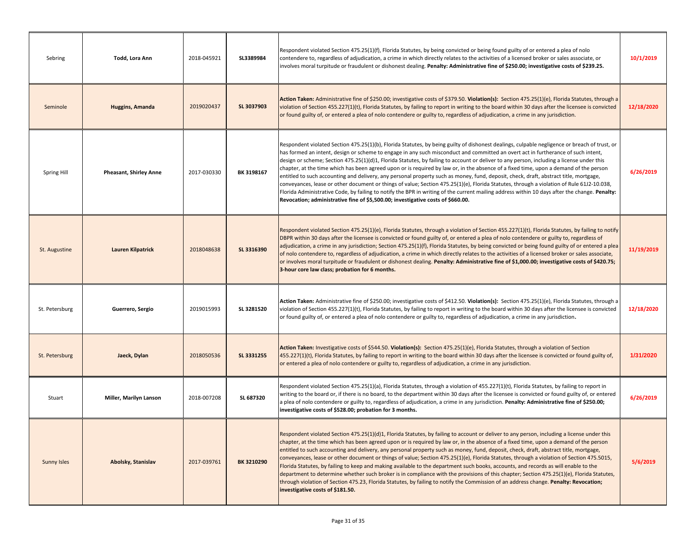| Sebring            | Todd, Lora Ann                | 2018-045921 | SL3389984  | Respondent violated Section 475.25(1)(f), Florida Statutes, by being convicted or being found guilty of or entered a plea of nolo<br>contendere to, regardless of adjudication, a crime in which directly relates to the activities of a licensed broker or sales associate, or<br>involves moral turpitude or fraudulent or dishonest dealing. Penalty: Administrative fine of \$250.00; investigative costs of \$239.25.                                                                                                                                                                                                                                                                                                                                                                                                                                                                                                                                                                                                                                                                         | 10/1/2019  |
|--------------------|-------------------------------|-------------|------------|----------------------------------------------------------------------------------------------------------------------------------------------------------------------------------------------------------------------------------------------------------------------------------------------------------------------------------------------------------------------------------------------------------------------------------------------------------------------------------------------------------------------------------------------------------------------------------------------------------------------------------------------------------------------------------------------------------------------------------------------------------------------------------------------------------------------------------------------------------------------------------------------------------------------------------------------------------------------------------------------------------------------------------------------------------------------------------------------------|------------|
| Seminole           | <b>Huggins, Amanda</b>        | 2019020437  | SL 3037903 | Action Taken: Administrative fine of \$250.00; investigative costs of \$379.50. Violation(s): Section 475.25(1)(e), Florida Statutes, through a<br>violation of Section 455.227(1)(t), Florida Statutes, by failing to report in writing to the board within 30 days after the licensee is convicted<br>or found guilty of, or entered a plea of nolo contendere or guilty to, regardless of adjudication, a crime in any jurisdiction.                                                                                                                                                                                                                                                                                                                                                                                                                                                                                                                                                                                                                                                            | 12/18/2020 |
| Spring Hill        | <b>Pheasant, Shirley Anne</b> | 2017-030330 | BK 3198167 | Respondent violated Section 475.25(1)(b), Florida Statutes, by being guilty of dishonest dealings, culpable negligence or breach of trust, or<br>has formed an intent, design or scheme to engage in any such misconduct and committed an overt act in furtherance of such intent,<br>design or scheme; Section 475.25(1)(d)1, Florida Statutes, by failing to account or deliver to any person, including a license under this<br>chapter, at the time which has been agreed upon or is required by law or, in the absence of a fixed time, upon a demand of the person<br>entitled to such accounting and delivery, any personal property such as money, fund, deposit, check, draft, abstract title, mortgage,<br>conveyances, lease or other document or things of value; Section 475.25(1)(e), Florida Statutes, through a violation of Rule 61J2-10.038,<br>Florida Administrative Code, by failing to notify the BPR in writing of the current mailing address within 10 days after the change. Penalty:<br>Revocation; administrative fine of \$5,500.00; investigative costs of \$660.00. | 6/26/2019  |
| St. Augustine      | <b>Lauren Kilpatrick</b>      | 2018048638  | SL 3316390 | Respondent violated Section 475.25(1)(e), Florida Statutes, through a violation of Section 455.227(1)(t), Florida Statutes, by failing to notify<br>DBPR within 30 days after the licensee is convicted or found guilty of, or entered a plea of nolo contendere or guilty to, regardless of<br>adjudication, a crime in any jurisdiction; Section 475.25(1)(f), Florida Statutes, by being convicted or being found guilty of or entered a plea<br>of nolo contendere to, regardless of adjudication, a crime in which directly relates to the activities of a licensed broker or sales associate,<br>or involves moral turpitude or fraudulent or dishonest dealing. Penalty: Administrative fine of \$1,000.00; investigative costs of \$420.75;<br>3-hour core law class; probation for 6 months.                                                                                                                                                                                                                                                                                              | 11/19/2019 |
| St. Petersburg     | Guerrero, Sergio              | 2019015993  | SL 3281520 | Action Taken: Administrative fine of \$250.00; investigative costs of \$412.50. Violation(s): Section 475.25(1)(e), Florida Statutes, through a<br>violation of Section 455.227(1)(t), Florida Statutes, by failing to report in writing to the board within 30 days after the licensee is convicted<br>or found guilty of, or entered a plea of nolo contendere or guilty to, regardless of adjudication, a crime in any jurisdiction.                                                                                                                                                                                                                                                                                                                                                                                                                                                                                                                                                                                                                                                            | 12/18/2020 |
| St. Petersburg     | Jaeck, Dylan                  | 2018050536  | SL 3331255 | Action Taken: Investigative costs of \$544.50. Violation(s): Section 475.25(1)(e), Florida Statutes, through a violation of Section<br>455.227(1)(t), Florida Statutes, by failing to report in writing to the board within 30 days after the licensee is convicted or found guilty of,<br>or entered a plea of nolo contendere or guilty to, regardless of adjudication, a crime in any jurisdiction.                                                                                                                                                                                                                                                                                                                                                                                                                                                                                                                                                                                                                                                                                             | 1/31/2020  |
| Stuart             | Miller, Marilyn Lanson        | 2018-007208 | SL 687320  | Respondent violated Section 475.25(1)(a), Florida Statutes, through a violation of 455.227(1)(t), Florida Statutes, by failing to report in<br>writing to the board or, if there is no board, to the department within 30 days after the licensee is convicted or found guilty of, or entered<br>a plea of nolo contendere or guilty to, regardless of adjudication, a crime in any jurisdiction. Penalty: Administrative fine of \$250.00;<br>investigative costs of \$528.00; probation for 3 months.                                                                                                                                                                                                                                                                                                                                                                                                                                                                                                                                                                                            | 6/26/2019  |
| <b>Sunny Isles</b> | Abolsky, Stanislav            | 2017-039761 | BK 3210290 | Respondent violated Section 475.25(1)(d)1, Florida Statutes, by failing to account or deliver to any person, including a license under this<br>chapter, at the time which has been agreed upon or is required by law or, in the absence of a fixed time, upon a demand of the person<br>entitled to such accounting and delivery, any personal property such as money, fund, deposit, check, draft, abstract title, mortgage,<br>conveyances, lease or other document or things of value; Section 475.25(1)(e), Florida Statutes, through a violation of Section 475.5015,<br>Florida Statutes, by failing to keep and making available to the department such books, accounts, and records as will enable to the<br>department to determine whether such broker is in compliance with the provisions of this chapter; Section 475.25(1)(e), Florida Statutes,<br>through violation of Section 475.23, Florida Statutes, by failing to notify the Commission of an address change. Penalty: Revocation;<br>investigative costs of \$181.50.                                                        | 5/6/2019   |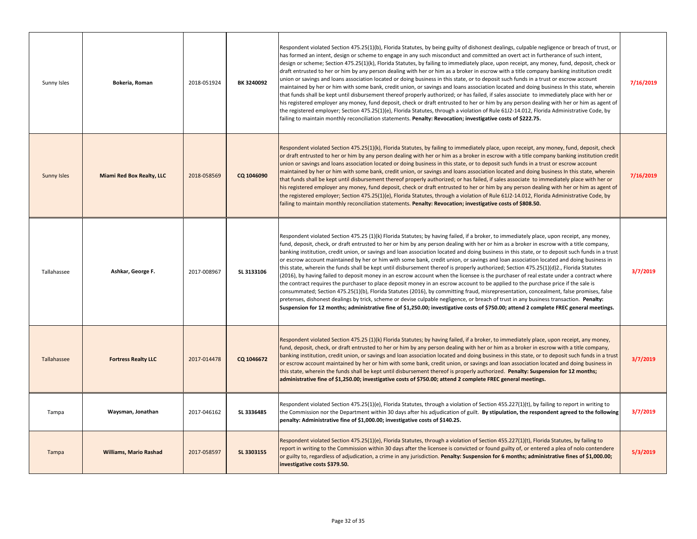| Sunny Isles        | Bokeria, Roman                   | 2018-051924 | BK 3240092 | Respondent violated Section 475.25(1)(b), Florida Statutes, by being guilty of dishonest dealings, culpable negligence or breach of trust, or<br>has formed an intent, design or scheme to engage in any such misconduct and committed an overt act in furtherance of such intent,<br>design or scheme; Section 475.25(1)(k), Florida Statutes, by failing to immediately place, upon receipt, any money, fund, deposit, check or<br>draft entrusted to her or him by any person dealing with her or him as a broker in escrow with a title company banking institution credit<br>union or savings and loans association located or doing business in this state, or to deposit such funds in a trust or escrow account<br>maintained by her or him with some bank, credit union, or savings and loans association located and doing business In this state, wherein<br>that funds shall be kept until disbursement thereof properly authorized; or has failed, if sales associate to immediately place with her or<br>his registered employer any money, fund deposit, check or draft entrusted to her or him by any person dealing with her or him as agent of<br>the registered employer; Section 475.25(1)(e), Florida Statutes, through a violation of Rule 61J2-14.012, Florida Administrative Code, by<br>failing to maintain monthly reconciliation statements. Penalty: Revocation; investigative costs of \$222.75.                 | 7/16/2019 |
|--------------------|----------------------------------|-------------|------------|-----------------------------------------------------------------------------------------------------------------------------------------------------------------------------------------------------------------------------------------------------------------------------------------------------------------------------------------------------------------------------------------------------------------------------------------------------------------------------------------------------------------------------------------------------------------------------------------------------------------------------------------------------------------------------------------------------------------------------------------------------------------------------------------------------------------------------------------------------------------------------------------------------------------------------------------------------------------------------------------------------------------------------------------------------------------------------------------------------------------------------------------------------------------------------------------------------------------------------------------------------------------------------------------------------------------------------------------------------------------------------------------------------------------------------------------------|-----------|
| <b>Sunny Isles</b> | <b>Miami Red Box Realty, LLC</b> | 2018-058569 | CQ 1046090 | Respondent violated Section 475.25(1)(k), Florida Statutes, by failing to immediately place, upon receipt, any money, fund, deposit, check<br>or draft entrusted to her or him by any person dealing with her or him as a broker in escrow with a title company banking institution credit<br>union or savings and loans association located or doing business in this state, or to deposit such funds in a trust or escrow account<br>maintained by her or him with some bank, credit union, or savings and loans association located and doing business In this state, wherein<br>that funds shall be kept until disbursement thereof properly authorized; or has failed, if sales associate to immediately place with her or<br>his registered employer any money, fund deposit, check or draft entrusted to her or him by any person dealing with her or him as agent of<br>the registered employer; Section 475.25(1)(e), Florida Statutes, through a violation of Rule 61J2-14.012, Florida Administrative Code, by<br>failing to maintain monthly reconciliation statements. Penalty: Revocation; investigative costs of \$808.50.                                                                                                                                                                                                                                                                                                     | 7/16/2019 |
| Tallahassee        | Ashkar, George F.                | 2017-008967 | SL 3133106 | Respondent violated Section 475.25 (1)(k) Florida Statutes; by having failed, if a broker, to immediately place, upon receipt, any money,<br>fund, deposit, check, or draft entrusted to her or him by any person dealing with her or him as a broker in escrow with a title company,<br>banking institution, credit union, or savings and loan association located and doing business in this state, or to deposit such funds in a trust<br>or escrow account maintained by her or him with some bank, credit union, or savings and loan association located and doing business in<br>this state, wherein the funds shall be kept until disbursement thereof is properly authorized; Section 475.25(1)(d)2., Florida Statutes<br>(2016), by having failed to deposit money in an escrow account when the licensee is the purchaser of real estate under a contract where<br>the contract requires the purchaser to place deposit money in an escrow account to be applied to the purchase price if the sale is<br>consummated; Section 475.25(1)(b), Florida Statutes (2016), by committing fraud, misrepresentation, concealment, false promises, false<br>pretenses, dishonest dealings by trick, scheme or devise culpable negligence, or breach of trust in any business transaction. Penalty:<br>Suspension for 12 months; administrative fine of \$1,250.00; investigative costs of \$750.00; attend 2 complete FREC general meetings. | 3/7/2019  |
| Tallahassee        | <b>Fortress Realty LLC</b>       | 2017-014478 | CQ 1046672 | Respondent violated Section 475.25 (1)(k) Florida Statutes; by having failed, if a broker, to immediately place, upon receipt, any money,<br>fund, deposit, check, or draft entrusted to her or him by any person dealing with her or him as a broker in escrow with a title company,<br>banking institution, credit union, or savings and loan association located and doing business in this state, or to deposit such funds in a trust<br>or escrow account maintained by her or him with some bank, credit union, or savings and loan association located and doing business in<br>this state, wherein the funds shall be kept until disbursement thereof is properly authorized. Penalty: Suspension for 12 months;<br>administrative fine of \$1,250.00; investigative costs of \$750.00; attend 2 complete FREC general meetings.                                                                                                                                                                                                                                                                                                                                                                                                                                                                                                                                                                                                      | 3/7/2019  |
| Tampa              | Waysman, Jonathan                | 2017-046162 | SL 3336485 | Respondent violated Section 475.25(1)(e), Florida Statutes, through a violation of Section 455.227(1)(t), by failing to report in writing to<br>the Commission nor the Department within 30 days after his adjudication of guilt. By stipulation, the respondent agreed to the following<br>penalty: Administrative fine of \$1,000.00; investigative costs of \$140.25.                                                                                                                                                                                                                                                                                                                                                                                                                                                                                                                                                                                                                                                                                                                                                                                                                                                                                                                                                                                                                                                                      | 3/7/2019  |
| Tampa              | <b>Williams, Mario Rashad</b>    | 2017-058597 | SL 3303155 | Respondent violated Section 475.25(1)(e), Florida Statutes, through a violation of Section 455.227(1)(t), Florida Statutes, by failing to<br>report in writing to the Commission within 30 days after the licensee is convicted or found guilty of, or entered a plea of nolo contendere<br>or guilty to, regardless of adjudication, a crime in any jurisdiction. Penalty: Suspension for 6 months; administrative fines of \$1,000.00;<br>investigative costs \$379.50.                                                                                                                                                                                                                                                                                                                                                                                                                                                                                                                                                                                                                                                                                                                                                                                                                                                                                                                                                                     | 5/3/2019  |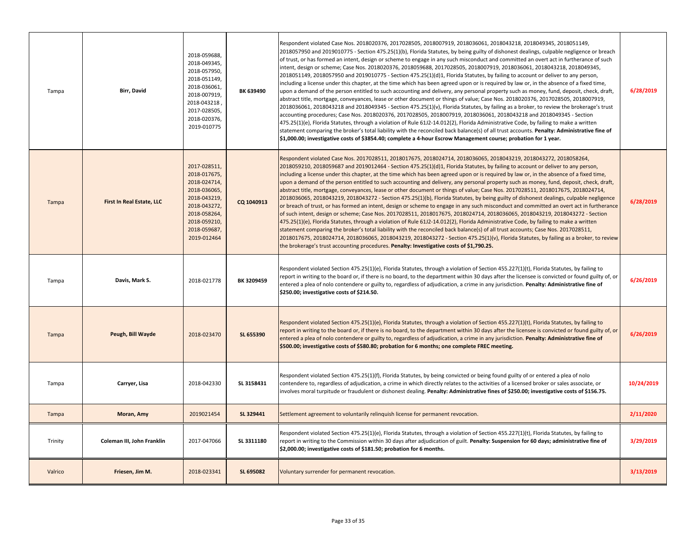| Tampa   | <b>Birr, David</b>         | 2018-059688,<br>2018-049345,<br>2018-057950,<br>2018-051149,<br>2018-036061,<br>2018-007919,<br>2018-043218,<br>2017-028505,<br>2018-020376,<br>2019-010775 | BK 639490  | Respondent violated Case Nos. 2018020376, 2017028505, 2018007919, 2018036061, 2018043218, 2018049345, 2018051149,<br>2018057950 and 2019010775 - Section 475.25(1)(b), Florida Statutes, by being guilty of dishonest dealings, culpable negligence or breach<br>of trust, or has formed an intent, design or scheme to engage in any such misconduct and committed an overt act in furtherance of such<br>intent, design or scheme; Case Nos. 2018020376, 2018059688, 2017028505, 2018007919, 2018036061, 2018043218, 2018049345,<br>2018051149, 2018057950 and 2019010775 - Section 475.25(1)(d)1, Florida Statutes, by failing to account or deliver to any person,<br>including a license under this chapter, at the time which has been agreed upon or is required by law or, in the absence of a fixed time,<br>upon a demand of the person entitled to such accounting and delivery, any personal property such as money, fund, deposit, check, draft,<br>abstract title, mortgage, conveyances, lease or other document or things of value; Case Nos. 2018020376, 2017028505, 2018007919,<br>2018036061, 2018043218 and 2018049345 - Section 475.25(1)(v), Florida Statutes, by failing as a broker, to review the brokerage's trust<br>accounting procedures; Case Nos. 2018020376, 2017028505, 2018007919, 2018036061, 2018043218 and 2018049345 - Section<br>475.25(1)(e), Florida Statutes, through a violation of Rule 61J2-14.012(2), Florida Administrative Code, by failing to make a written<br>statement comparing the broker's total liability with the reconciled back balance(s) of all trust accounts. Penalty: Administrative fine of<br>$\frac{1}{2}$ ,000.00; investigative costs of \$3854.40; complete a 4-hour Escrow Management course; probation for 1 year. | 6/28/2019  |
|---------|----------------------------|-------------------------------------------------------------------------------------------------------------------------------------------------------------|------------|--------------------------------------------------------------------------------------------------------------------------------------------------------------------------------------------------------------------------------------------------------------------------------------------------------------------------------------------------------------------------------------------------------------------------------------------------------------------------------------------------------------------------------------------------------------------------------------------------------------------------------------------------------------------------------------------------------------------------------------------------------------------------------------------------------------------------------------------------------------------------------------------------------------------------------------------------------------------------------------------------------------------------------------------------------------------------------------------------------------------------------------------------------------------------------------------------------------------------------------------------------------------------------------------------------------------------------------------------------------------------------------------------------------------------------------------------------------------------------------------------------------------------------------------------------------------------------------------------------------------------------------------------------------------------------------------------------------------------------------------------------------------------------------------|------------|
| Tampa   | First In Real Estate, LLC  | 2017-028511,<br>2018-017675,<br>2018-024714,<br>2018-036065,<br>2018-043219,<br>2018-043272,<br>2018-058264,<br>2018-059210,<br>2018-059687,<br>2019-012464 | CQ 1040913 | Respondent violated Case Nos. 2017028511, 2018017675, 2018024714, 2018036065, 2018043219, 2018043272, 2018058264,<br>2018059210, 2018059687 and 2019012464 - Section 475.25(1)(d)1, Florida Statutes, by failing to account or deliver to any person,<br>including a license under this chapter, at the time which has been agreed upon or is required by law or, in the absence of a fixed time,<br>upon a demand of the person entitled to such accounting and delivery, any personal property such as money, fund, deposit, check, draft,<br>abstract title, mortgage, conveyances, lease or other document or things of value; Case Nos. 2017028511, 2018017675, 2018024714,<br>2018036065, 2018043219, 2018043272 - Section 475.25(1)(b), Florida Statutes, by being guilty of dishonest dealings, culpable negligence<br>or breach of trust, or has formed an intent, design or scheme to engage in any such misconduct and committed an overt act in furtherance<br>of such intent, design or scheme; Case Nos. 2017028511, 2018017675, 2018024714, 2018036065, 2018043219, 2018043272 - Section<br>475.25(1)(e), Florida Statutes, through a violation of Rule 61J2-14.012(2), Florida Administrative Code, by failing to make a written<br>statement comparing the broker's total liability with the reconciled back balance(s) of all trust accounts; Case Nos. 2017028511,<br>2018017675, 2018024714, 2018036065, 2018043219, 2018043272 - Section 475.25(1)(v), Florida Statutes, by failing as a broker, to review<br>the brokerage's trust accounting procedures. Penalty: Investigative costs of \$1,790.25.                                                                                                                                                                | 6/28/2019  |
| Tampa   | Davis, Mark S.             | 2018-021778                                                                                                                                                 | BK 3209459 | Respondent violated Section 475.25(1)(e), Florida Statutes, through a violation of Section 455.227(1)(t), Florida Statutes, by failing to<br>report in writing to the board or, if there is no board, to the department within 30 days after the licensee is convicted or found guilty of, or<br>entered a plea of nolo contendere or guilty to, regardless of adjudication, a crime in any jurisdiction. Penalty: Administrative fine of<br>\$250.00; investigative costs of \$214.50.                                                                                                                                                                                                                                                                                                                                                                                                                                                                                                                                                                                                                                                                                                                                                                                                                                                                                                                                                                                                                                                                                                                                                                                                                                                                                                    | 6/26/2019  |
| Tampa   | Peugh, Bill Wayde          | 2018-023470                                                                                                                                                 | SL 655390  | Respondent violated Section 475.25(1)(e), Florida Statutes, through a violation of Section 455.227(1)(t), Florida Statutes, by failing to<br>report in writing to the board or, if there is no board, to the department within 30 days after the licensee is convicted or found guilty of, or<br>entered a plea of nolo contendere or guilty to, regardless of adjudication, a crime in any jurisdiction. Penalty: Administrative fine of<br>\$500.00; investigative costs of \$580.80; probation for 6 months; one complete FREC meeting.                                                                                                                                                                                                                                                                                                                                                                                                                                                                                                                                                                                                                                                                                                                                                                                                                                                                                                                                                                                                                                                                                                                                                                                                                                                 | 6/26/2019  |
| Tampa   | Carryer, Lisa              | 2018-042330                                                                                                                                                 | SL 3158431 | Respondent violated Section 475.25(1)(f), Florida Statutes, by being convicted or being found guilty of or entered a plea of nolo<br>contendere to, regardless of adjudication, a crime in which directly relates to the activities of a licensed broker or sales associate, or<br>involves moral turpitude or fraudulent or dishonest dealing. Penalty: Administrative fines of \$250.00; investigative costs of \$156.75.                                                                                                                                                                                                                                                                                                                                                                                                                                                                                                                                                                                                                                                                                                                                                                                                                                                                                                                                                                                                                                                                                                                                                                                                                                                                                                                                                                | 10/24/2019 |
| Tampa   | Moran, Amy                 | 2019021454                                                                                                                                                  | SL 329441  | Settlement agreement to voluntarily relinquish license for permanent revocation.                                                                                                                                                                                                                                                                                                                                                                                                                                                                                                                                                                                                                                                                                                                                                                                                                                                                                                                                                                                                                                                                                                                                                                                                                                                                                                                                                                                                                                                                                                                                                                                                                                                                                                           | 2/11/2020  |
| Trinity | Coleman III, John Franklin | 2017-047066                                                                                                                                                 | SL 3311180 | Respondent violated Section 475.25(1)(e), Florida Statutes, through a violation of Section 455.227(1)(t), Florida Statutes, by failing to<br>report in writing to the Commission within 30 days after adjudication of guilt. Penalty: Suspension for 60 days; administrative fine of<br>\$2,000.00; investigative costs of \$181.50; probation for 6 months.                                                                                                                                                                                                                                                                                                                                                                                                                                                                                                                                                                                                                                                                                                                                                                                                                                                                                                                                                                                                                                                                                                                                                                                                                                                                                                                                                                                                                               | 3/29/2019  |
| Valrico | Friesen, Jim M.            | 2018-023341                                                                                                                                                 | SL 695082  | Voluntary surrender for permanent revocation.                                                                                                                                                                                                                                                                                                                                                                                                                                                                                                                                                                                                                                                                                                                                                                                                                                                                                                                                                                                                                                                                                                                                                                                                                                                                                                                                                                                                                                                                                                                                                                                                                                                                                                                                              | 3/13/2019  |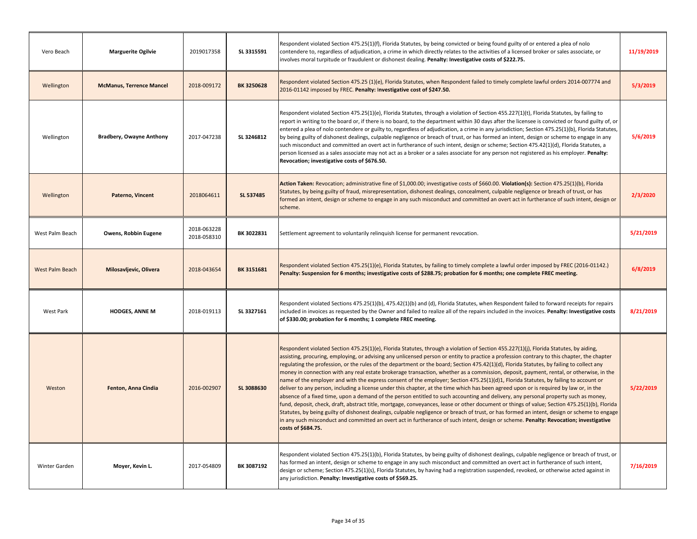| Vero Beach      | <b>Marguerite Ogilvie</b>       | 2019017358                 | SL 3315591 | Respondent violated Section 475.25(1)(f), Florida Statutes, by being convicted or being found guilty of or entered a plea of nolo<br>contendere to, regardless of adjudication, a crime in which directly relates to the activities of a licensed broker or sales associate, or<br>involves moral turpitude or fraudulent or dishonest dealing. Penalty: Investigative costs of \$222.75.                                                                                                                                                                                                                                                                                                                                                                                                                                                                                                                                                                                                                                                                                                                                                                                                                                                                                                                                                                                                                                                                              | 11/19/2019 |
|-----------------|---------------------------------|----------------------------|------------|------------------------------------------------------------------------------------------------------------------------------------------------------------------------------------------------------------------------------------------------------------------------------------------------------------------------------------------------------------------------------------------------------------------------------------------------------------------------------------------------------------------------------------------------------------------------------------------------------------------------------------------------------------------------------------------------------------------------------------------------------------------------------------------------------------------------------------------------------------------------------------------------------------------------------------------------------------------------------------------------------------------------------------------------------------------------------------------------------------------------------------------------------------------------------------------------------------------------------------------------------------------------------------------------------------------------------------------------------------------------------------------------------------------------------------------------------------------------|------------|
| Wellington      | <b>McManus, Terrence Mancel</b> | 2018-009172                | BK 3250628 | Respondent violated Section 475.25 (1)(e), Florida Statutes, when Respondent failed to timely complete lawful orders 2014-007774 and<br>2016-01142 imposed by FREC. Penalty: Investigative cost of \$247.50.                                                                                                                                                                                                                                                                                                                                                                                                                                                                                                                                                                                                                                                                                                                                                                                                                                                                                                                                                                                                                                                                                                                                                                                                                                                           | 5/3/2019   |
| Wellington      | <b>Bradbery, Owayne Anthony</b> | 2017-047238                | SL 3246812 | Respondent violated Section 475.25(1)(e), Florida Statutes, through a violation of Section 455.227(1)(t), Florida Statutes, by failing to<br>report in writing to the board or, if there is no board, to the department within 30 days after the licensee is convicted or found guilty of, or<br>entered a plea of nolo contendere or guilty to, regardless of adjudication, a crime in any jurisdiction; Section 475.25(1)(b), Florida Statutes,<br>by being guilty of dishonest dealings, culpable negligence or breach of trust, or has formed an intent, design or scheme to engage in any<br>such misconduct and committed an overt act in furtherance of such intent, design or scheme; Section 475.42(1)(d), Florida Statutes, a<br>person licensed as a sales associate may not act as a broker or a sales associate for any person not registered as his employer. Penalty:<br>Revocation; investigative costs of \$676.50.                                                                                                                                                                                                                                                                                                                                                                                                                                                                                                                                   | 5/6/2019   |
| Wellington      | Paterno, Vincent                | 2018064611                 | SL 537485  | Action Taken: Revocation; administrative fine of \$1,000.00; investigative costs of \$660.00. Violation(s): Section 475.25(1)(b), Florida<br>Statutes, by being guilty of fraud, misrepresentation, dishonest dealings, concealment, culpable negligence or breach of trust, or has<br>formed an intent, design or scheme to engage in any such misconduct and committed an overt act in furtherance of such intent, design or<br>scheme.                                                                                                                                                                                                                                                                                                                                                                                                                                                                                                                                                                                                                                                                                                                                                                                                                                                                                                                                                                                                                              | 2/3/2020   |
| West Palm Beach | Owens, Robbin Eugene            | 2018-063228<br>2018-058310 | BK 3022831 | Settlement agreement to voluntarily relinguish license for permanent revocation.                                                                                                                                                                                                                                                                                                                                                                                                                                                                                                                                                                                                                                                                                                                                                                                                                                                                                                                                                                                                                                                                                                                                                                                                                                                                                                                                                                                       | 5/21/2019  |
| West Palm Beach | Milosavljevic, Olivera          | 2018-043654                | BK 3151681 | Respondent violated Section 475.25(1)(e), Florida Statutes, by failing to timely complete a lawful order imposed by FREC (2016-01142.)<br>Penalty: Suspension for 6 months; investigative costs of \$288.75; probation for 6 months; one complete FREC meeting.                                                                                                                                                                                                                                                                                                                                                                                                                                                                                                                                                                                                                                                                                                                                                                                                                                                                                                                                                                                                                                                                                                                                                                                                        | 6/8/2019   |
| West Park       | <b>HODGES, ANNE M</b>           | 2018-019113                | SL 3327161 | Respondent violated Sections 475.25(1)(b), 475.42(1)(b) and (d), Florida Statutes, when Respondent failed to forward receipts for repairs<br>included in invoices as requested by the Owner and failed to realize all of the repairs included in the invoices. Penalty: Investigative costs<br>of \$330.00; probation for 6 months; 1 complete FREC meeting.                                                                                                                                                                                                                                                                                                                                                                                                                                                                                                                                                                                                                                                                                                                                                                                                                                                                                                                                                                                                                                                                                                           | 8/21/2019  |
| Weston          | Fenton, Anna Cindia             | 2016-002907                | SL 3088630 | Respondent violated Section 475.25(1)(e), Florida Statutes, through a violation of Section 455.227(1)(j), Florida Statutes, by aiding,<br>assisting, procuring, employing, or advising any unlicensed person or entity to practice a profession contrary to this chapter, the chapter<br>regulating the profession, or the rules of the department or the board; Section 475.42(1)(d), Florida Statutes, by failing to collect any<br>money in connection with any real estate brokerage transaction, whether as a commission, deposit, payment, rental, or otherwise, in the<br>name of the employer and with the express consent of the employer; Section 475.25(1)(d)1, Florida Statutes, by failing to account or<br>deliver to any person, including a license under this chapter, at the time which has been agreed upon or is required by law or, in the<br>absence of a fixed time, upon a demand of the person entitled to such accounting and delivery, any personal property such as money,<br>fund, deposit, check, draft, abstract title, mortgage, conveyances, lease or other document or things of value; Section 475.25(1)(b), Florida<br>Statutes, by being guilty of dishonest dealings, culpable negligence or breach of trust, or has formed an intent, design or scheme to engage<br>in any such misconduct and committed an overt act in furtherance of such intent, design or scheme. Penalty: Revocation; investigative<br>costs of \$684.75. | 5/22/2019  |
| Winter Garden   | Moyer, Kevin L.                 | 2017-054809                | BK 3087192 | Respondent violated Section 475.25(1)(b), Florida Statutes, by being guilty of dishonest dealings, culpable negligence or breach of trust, or<br>has formed an intent, design or scheme to engage in any such misconduct and committed an overt act in furtherance of such intent,<br>design or scheme; Section 475.25(1)(s), Florida Statutes, by having had a registration suspended, revoked, or otherwise acted against in<br>any jurisdiction. Penalty: Investigative costs of \$569.25.                                                                                                                                                                                                                                                                                                                                                                                                                                                                                                                                                                                                                                                                                                                                                                                                                                                                                                                                                                          | 7/16/2019  |